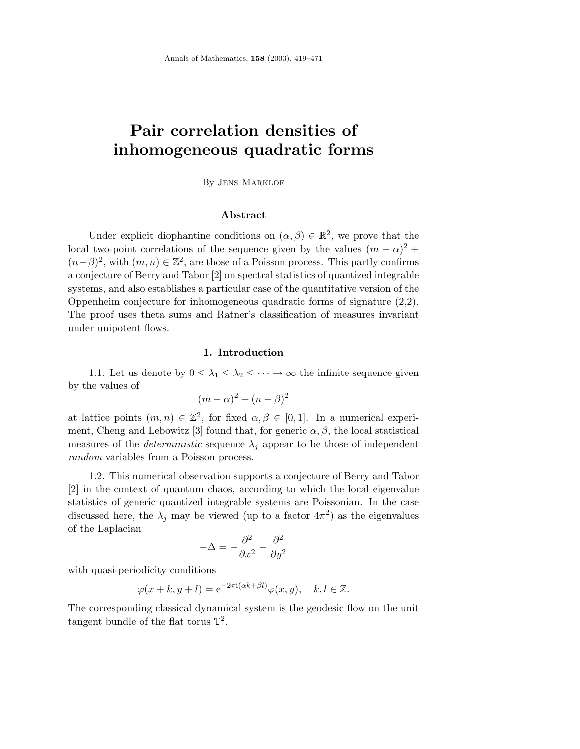# **Pair correlation densities of inhomogeneous quadratic forms**

By Jens Marklof

### **Abstract**

Under explicit diophantine conditions on  $(\alpha, \beta) \in \mathbb{R}^2$ , we prove that the local two-point correlations of the sequence given by the values  $(m - \alpha)^2$  +  $(n-\beta)^2$ , with  $(m, n) \in \mathbb{Z}^2$ , are those of a Poisson process. This partly confirms a conjecture of Berry and Tabor [2] on spectral statistics of quantized integrable systems, and also establishes a particular case of the quantitative version of the Oppenheim conjecture for inhomogeneous quadratic forms of signature (2,2). The proof uses theta sums and Ratner's classification of measures invariant under unipotent flows.

#### **1. Introduction**

1.1. Let us denote by  $0 \leq \lambda_1 \leq \lambda_2 \leq \cdots \to \infty$  the infinite sequence given by the values of

$$
(m - \alpha)^2 + (n - \beta)^2
$$

at lattice points  $(m, n) \in \mathbb{Z}^2$ , for fixed  $\alpha, \beta \in [0, 1]$ . In a numerical experiment, Cheng and Lebowitz [3] found that, for generic  $\alpha, \beta$ , the local statistical measures of the *deterministic* sequence  $\lambda_j$  appear to be those of independent random variables from a Poisson process.

1.2. This numerical observation supports a conjecture of Berry and Tabor [2] in the context of quantum chaos, according to which the local eigenvalue statistics of generic quantized integrable systems are Poissonian. In the case discussed here, the  $\lambda_j$  may be viewed (up to a factor  $4\pi^2$ ) as the eigenvalues of the Laplacian

$$
-\Delta = -\frac{\partial^2}{\partial x^2} - \frac{\partial^2}{\partial y^2}
$$

with quasi-periodicity conditions

$$
\varphi(x+k, y+l) = e^{-2\pi i(\alpha k+\beta l)} \varphi(x, y), \quad k, l \in \mathbb{Z}.
$$

The corresponding classical dynamical system is the geodesic flow on the unit tangent bundle of the flat torus  $\mathbb{T}^2$ .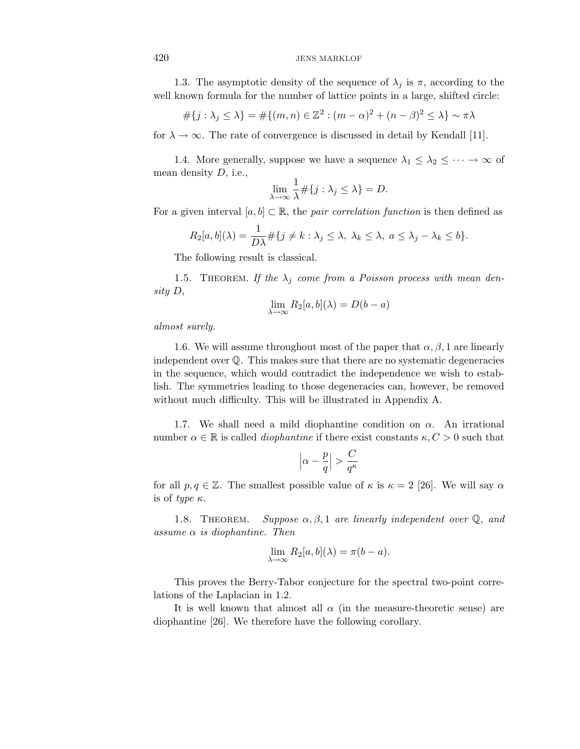1.3. The asymptotic density of the sequence of  $\lambda_j$  is  $\pi$ , according to the well known formula for the number of lattice points in a large, shifted circle:

$$
#{j: \lambda_j \leq \lambda} = #{(m, n) \in \mathbb{Z}^2 : (m - \alpha)^2 + (n - \beta)^2 \leq \lambda} \sim \pi\lambda
$$

for  $\lambda \to \infty$ . The rate of convergence is discussed in detail by Kendall [11].

1.4. More generally, suppose we have a sequence  $\lambda_1 \leq \lambda_2 \leq \cdots \to \infty$  of mean density D, i.e.,

$$
\lim_{\lambda \to \infty} \frac{1}{\lambda} \# \{ j : \lambda_j \le \lambda \} = D.
$$

For a given interval  $[a, b] \subset \mathbb{R}$ , the *pair correlation function* is then defined as

$$
R_2[a, b](\lambda) = \frac{1}{D\lambda} \# \{ j \neq k : \lambda_j \leq \lambda, \ \lambda_k \leq \lambda, \ a \leq \lambda_j - \lambda_k \leq b \}.
$$

The following result is classical.

1.5. THEOREM. If the  $\lambda_j$  come from a Poisson process with mean density D,

$$
\lim_{\lambda \to \infty} R_2[a, b](\lambda) = D(b - a)
$$

almost surely.

1.6. We will assume throughout most of the paper that  $\alpha, \beta, 1$  are linearly independent over  $\mathbb{Q}$ . This makes sure that there are no systematic degeneracies in the sequence, which would contradict the independence we wish to establish. The symmetries leading to those degeneracies can, however, be removed without much difficulty. This will be illustrated in Appendix A.

1.7. We shall need a mild diophantine condition on  $\alpha$ . An irrational number  $\alpha \in \mathbb{R}$  is called *diophantine* if there exist constants  $\kappa, C > 0$  such that

$$
\left|\alpha-\frac{p}{q}\right|>\frac{C}{q^\kappa}
$$

for all  $p, q \in \mathbb{Z}$ . The smallest possible value of  $\kappa$  is  $\kappa = 2$  [26]. We will say  $\alpha$ is of type  $\kappa$ .

1.8. THEOREM. Suppose  $\alpha, \beta, 1$  are linearly independent over  $\mathbb{Q}$ , and assume  $\alpha$  is diophantine. Then

$$
\lim_{\lambda \to \infty} R_2[a, b](\lambda) = \pi(b - a).
$$

This proves the Berry-Tabor conjecture for the spectral two-point correlations of the Laplacian in 1.2.

It is well known that almost all  $\alpha$  (in the measure-theoretic sense) are diophantine [26]. We therefore have the following corollary.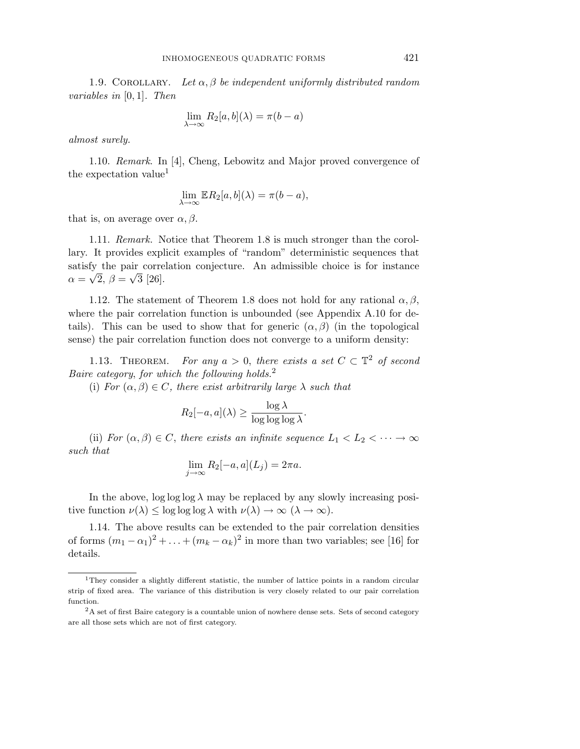1.9. COROLLARY. Let  $\alpha, \beta$  be independent uniformly distributed random variables in [0, 1]. Then

$$
\lim_{\lambda \to \infty} R_2[a, b](\lambda) = \pi(b - a)
$$

almost surely.

1.10. Remark. In [4], Cheng, Lebowitz and Major proved convergence of the expectation value<sup>1</sup>

$$
\lim_{\lambda \to \infty} \mathbb{E} R_2[a, b](\lambda) = \pi(b - a),
$$

that is, on average over  $\alpha, \beta$ .

1.11. Remark. Notice that Theorem 1.8 is much stronger than the corollary. It provides explicit examples of "random" deterministic sequences that satisfy the pair correlation conjecture. An admissible choice is for instance  $\alpha = \sqrt{2}, \, \beta = \sqrt{3}$  [26].

1.12. The statement of Theorem 1.8 does not hold for any rational  $\alpha, \beta$ , where the pair correlation function is unbounded (see Appendix A.10 for details). This can be used to show that for generic  $(\alpha, \beta)$  (in the topological sense) the pair correlation function does not converge to a uniform density:

1.13. THEOREM. For any  $a > 0$ , there exists a set  $C \subset \mathbb{T}^2$  of second Baire category, for which the following holds.<sup>2</sup>

(i) For  $(\alpha, \beta) \in C$ , there exist arbitrarily large  $\lambda$  such that

$$
R_2[-a,a](\lambda) \ge \frac{\log \lambda}{\log \log \log \lambda}.
$$

(ii) For  $(\alpha, \beta) \in C$ , there exists an infinite sequence  $L_1 < L_2 < \cdots \rightarrow \infty$ such that

$$
\lim_{j \to \infty} R_2[-a, a](L_j) = 2\pi a.
$$

In the above,  $\log \log \lambda$  may be replaced by any slowly increasing positive function  $\nu(\lambda) \leq \log \log \log \lambda$  with  $\nu(\lambda) \to \infty$   $(\lambda \to \infty)$ .

1.14. The above results can be extended to the pair correlation densities of forms  $(m_1 - \alpha_1)^2 + \ldots + (m_k - \alpha_k)^2$  in more than two variables; see [16] for details.

<sup>&</sup>lt;sup>1</sup>They consider a slightly different statistic, the number of lattice points in a random circular strip of fixed area. The variance of this distribution is very closely related to our pair correlation function.

<sup>2</sup>A set of first Baire category is a countable union of nowhere dense sets. Sets of second category are all those sets which are not of first category.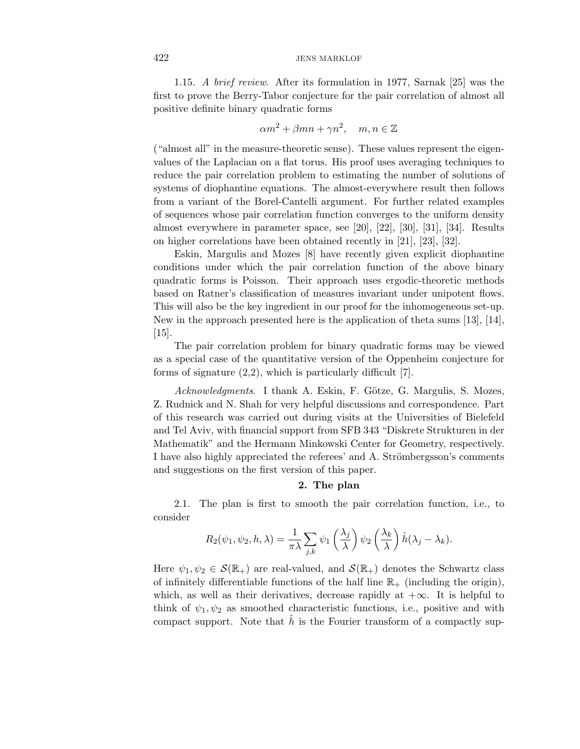1.15. A brief review. After its formulation in 1977, Sarnak [25] was the first to prove the Berry-Tabor conjecture for the pair correlation of almost all positive definite binary quadratic forms

$$
\alpha m^2 + \beta mn + \gamma n^2, \quad m, n \in \mathbb{Z}
$$

("almost all" in the measure-theoretic sense). These values represent the eigenvalues of the Laplacian on a flat torus. His proof uses averaging techniques to reduce the pair correlation problem to estimating the number of solutions of systems of diophantine equations. The almost-everywhere result then follows from a variant of the Borel-Cantelli argument. For further related examples of sequences whose pair correlation function converges to the uniform density almost everywhere in parameter space, see [20], [22], [30], [31], [34]. Results on higher correlations have been obtained recently in [21], [23], [32].

Eskin, Margulis and Mozes [8] have recently given explicit diophantine conditions under which the pair correlation function of the above binary quadratic forms is Poisson. Their approach uses ergodic-theoretic methods based on Ratner's classification of measures invariant under unipotent flows. This will also be the key ingredient in our proof for the inhomogeneous set-up. New in the approach presented here is the application of theta sums [13], [14],  $|15|$ .

The pair correlation problem for binary quadratic forms may be viewed as a special case of the quantitative version of the Oppenheim conjecture for forms of signature  $(2,2)$ , which is particularly difficult [7].

Acknowledgments. I thank A. Eskin, F. Götze, G. Margulis, S. Mozes, Z. Rudnick and N. Shah for very helpful discussions and correspondence. Part of this research was carried out during visits at the Universities of Bielefeld and Tel Aviv, with financial support from SFB 343 "Diskrete Strukturen in der Mathematik" and the Hermann Minkowski Center for Geometry, respectively. I have also highly appreciated the referees' and A. Strömbergsson's comments and suggestions on the first version of this paper.

#### **2. The plan**

2.1. The plan is first to smooth the pair correlation function, i.e., to consider

$$
R_2(\psi_1, \psi_2, h, \lambda) = \frac{1}{\pi \lambda} \sum_{j,k} \psi_1 \left(\frac{\lambda_j}{\lambda}\right) \psi_2 \left(\frac{\lambda_k}{\lambda}\right) \hat{h}(\lambda_j - \lambda_k).
$$

Here  $\psi_1, \psi_2 \in \mathcal{S}(\mathbb{R}_+)$  are real-valued, and  $\mathcal{S}(\mathbb{R}_+)$  denotes the Schwartz class of infinitely differentiable functions of the half line  $\mathbb{R}_+$  (including the origin), which, as well as their derivatives, decrease rapidly at  $+\infty$ . It is helpful to think of  $\psi_1, \psi_2$  as smoothed characteristic functions, i.e., positive and with compact support. Note that h is the Fourier transform of a compactly sup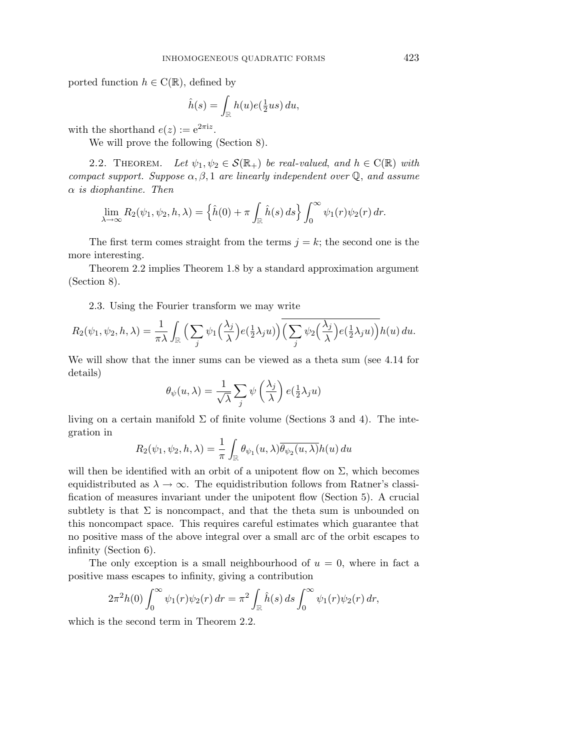ported function  $h \in C(\mathbb{R})$ , defined by

$$
\hat{h}(s) = \int_{\mathbb{R}} h(u)e(\frac{1}{2}us) du,
$$

with the shorthand  $e(z) := e^{2\pi i z}$ .

We will prove the following (Section 8).

2.2. THEOREM. Let  $\psi_1, \psi_2 \in \mathcal{S}(\mathbb{R}_+)$  be real-valued, and  $h \in \mathcal{C}(\mathbb{R})$  with compact support. Suppose  $\alpha, \beta, 1$  are linearly independent over  $\mathbb{Q}$ , and assume  $\alpha$  is diophantine. Then

$$
\lim_{\lambda \to \infty} R_2(\psi_1, \psi_2, h, \lambda) = \left\{ \hat{h}(0) + \pi \int_{\mathbb{R}} \hat{h}(s) ds \right\} \int_0^\infty \psi_1(r) \psi_2(r) dr.
$$

The first term comes straight from the terms  $j = k$ ; the second one is the more interesting.

Theorem 2.2 implies Theorem 1.8 by a standard approximation argument (Section 8).

2.3. Using the Fourier transform we may write

$$
R_2(\psi_1, \psi_2, h, \lambda) = \frac{1}{\pi \lambda} \int_{\mathbb{R}} \Big( \sum_j \psi_1 \Big( \frac{\lambda_j}{\lambda} \Big) e(\frac{1}{2} \lambda_j u) \Big) \overline{\Big( \sum_j \psi_2 \Big( \frac{\lambda_j}{\lambda} \Big) e(\frac{1}{2} \lambda_j u) \Big)} h(u) \, du.
$$

We will show that the inner sums can be viewed as a theta sum (see 4.14 for details)

$$
\theta_{\psi}(u,\lambda) = \frac{1}{\sqrt{\lambda}} \sum_{j} \psi\left(\frac{\lambda_j}{\lambda}\right) e(\frac{1}{2}\lambda_j u)
$$

living on a certain manifold  $\Sigma$  of finite volume (Sections 3 and 4). The integration in

$$
R_2(\psi_1, \psi_2, h, \lambda) = \frac{1}{\pi} \int_{\mathbb{R}} \theta_{\psi_1}(u, \lambda) \overline{\theta_{\psi_2}(u, \lambda)} h(u) du
$$

will then be identified with an orbit of a unipotent flow on  $\Sigma$ , which becomes equidistributed as  $\lambda \to \infty$ . The equidistribution follows from Ratner's classification of measures invariant under the unipotent flow (Section 5). A crucial subtlety is that  $\Sigma$  is noncompact, and that the theta sum is unbounded on this noncompact space. This requires careful estimates which guarantee that no positive mass of the above integral over a small arc of the orbit escapes to infinity (Section 6).

The only exception is a small neighbourhood of  $u = 0$ , where in fact a positive mass escapes to infinity, giving a contribution

$$
2\pi^2 h(0) \int_0^\infty \psi_1(r)\psi_2(r) dr = \pi^2 \int_{\mathbb{R}} \hat{h}(s) ds \int_0^\infty \psi_1(r)\psi_2(r) dr,
$$

which is the second term in Theorem 2.2.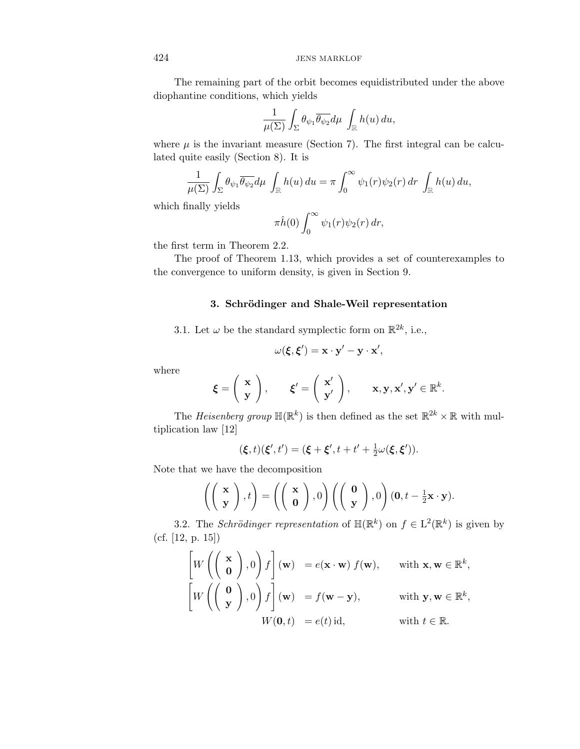The remaining part of the orbit becomes equidistributed under the above diophantine conditions, which yields

$$
\frac{1}{\mu(\Sigma)}\int_{\Sigma}\theta_{\psi_1}\overline{\theta_{\psi_2}}d\mu\int_{\mathbb{R}}h(u)\,du,
$$

where  $\mu$  is the invariant measure (Section 7). The first integral can be calculated quite easily (Section 8). It is

$$
\frac{1}{\mu(\Sigma)} \int_{\Sigma} \theta_{\psi_1} \overline{\theta_{\psi_2}} d\mu \int_{\mathbb{R}} h(u) du = \pi \int_0^{\infty} \psi_1(r) \psi_2(r) dr \int_{\mathbb{R}} h(u) du,
$$

which finally yields

$$
\pi \hat{h}(0) \int_0^\infty \psi_1(r) \psi_2(r) \, dr,
$$

the first term in Theorem 2.2.

The proof of Theorem 1.13, which provides a set of counterexamples to the convergence to uniform density, is given in Section 9.

#### **3. Schr¨odinger and Shale-Weil representation**

3.1. Let  $\omega$  be the standard symplectic form on  $\mathbb{R}^{2k}$ , i.e.,

$$
\omega(\xi, \xi') = \mathbf{x} \cdot \mathbf{y}' - \mathbf{y} \cdot \mathbf{x}',
$$

where

$$
\boldsymbol{\xi} = \begin{pmatrix} \mathbf{x} \\ \mathbf{y} \end{pmatrix}, \quad \boldsymbol{\xi}' = \begin{pmatrix} \mathbf{x}' \\ \mathbf{y}' \end{pmatrix}, \quad \mathbf{x}, \mathbf{y}, \mathbf{x}', \mathbf{y}' \in \mathbb{R}^k.
$$

The Heisenberg group  $\mathbb{H}(\mathbb{R}^k)$  is then defined as the set  $\mathbb{R}^{2k} \times \mathbb{R}$  with multiplication law [12]

$$
(\xi, t)(\xi', t') = (\xi + \xi', t + t' + \frac{1}{2}\omega(\xi, \xi')).
$$

Note that we have the decomposition

$$
\left(\left(\begin{array}{c}\mathbf{x}\\ \mathbf{y}\end{array}\right),t\right)=\left(\left(\begin{array}{c}\mathbf{x}\\ \mathbf{0}\end{array}\right),0\right)\left(\left(\begin{array}{c}\mathbf{0}\\ \mathbf{y}\end{array}\right),0\right)(\mathbf{0},t-\frac{1}{2}\mathbf{x}\cdot\mathbf{y}).
$$

3.2. The Schrödinger representation of  $\mathbb{H}(\mathbb{R}^k)$  on  $f \in L^2(\mathbb{R}^k)$  is given by (cf. [12, p. 15])

$$
\begin{bmatrix} W \left( \begin{pmatrix} \mathbf{x} \\ \mathbf{0} \end{pmatrix}, 0 \right) f \end{bmatrix} (\mathbf{w}) = e(\mathbf{x} \cdot \mathbf{w}) f(\mathbf{w}), \quad \text{with } \mathbf{x}, \mathbf{w} \in \mathbb{R}^{k},
$$

$$
\begin{bmatrix} W \left( \begin{pmatrix} \mathbf{0} \\ \mathbf{y} \end{pmatrix}, 0 \right) f \end{bmatrix} (\mathbf{w}) = f(\mathbf{w} - \mathbf{y}), \quad \text{with } \mathbf{y}, \mathbf{w} \in \mathbb{R}^{k},
$$

$$
W(\mathbf{0}, t) = e(t) \text{ id}, \quad \text{with } t \in \mathbb{R}.
$$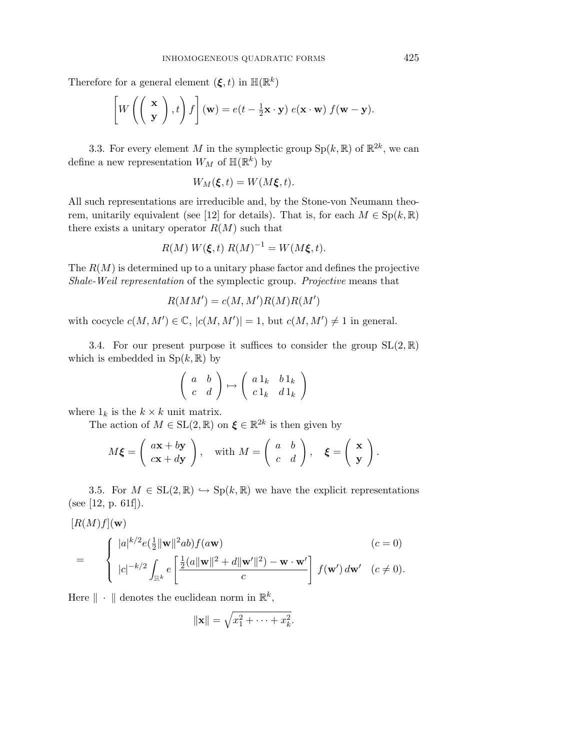Therefore for a general element  $(\boldsymbol{\xi}, t)$  in  $\mathbb{H}(\mathbb{R}^k)$ 

$$
\left[W\left(\left(\begin{array}{c}\mathbf{x}\\ \mathbf{y}\end{array}\right),t\right)f\right](\mathbf{w})=e(t-\frac{1}{2}\mathbf{x}\cdot\mathbf{y})\;e(\mathbf{x}\cdot\mathbf{w})\;f(\mathbf{w}-\mathbf{y}).
$$

3.3. For every element M in the symplectic group  $Sp(k, \mathbb{R})$  of  $\mathbb{R}^{2k}$ , we can define a new representation  $W_M$  of  $\mathbb{H}(\mathbb{R}^k)$  by

$$
W_M(\xi,t) = W(M\xi,t).
$$

All such representations are irreducible and, by the Stone-von Neumann theorem, unitarily equivalent (see [12] for details). That is, for each  $M \in Sp(k, \mathbb{R})$ there exists a unitary operator  $R(M)$  such that

$$
R(M) W(\xi, t) R(M)^{-1} = W(M\xi, t).
$$

The  $R(M)$  is determined up to a unitary phase factor and defines the projective Shale-Weil representation of the symplectic group. Projective means that

$$
R(MM') = c(M, M')R(M)R(M')
$$

with cocycle  $c(M, M') \in \mathbb{C}$ ,  $|c(M, M')| = 1$ , but  $c(M, M') \neq 1$  in general.

3.4. For our present purpose it suffices to consider the group  $SL(2, \mathbb{R})$ which is embedded in  $Sp(k, \mathbb{R})$  by

$$
\left(\begin{array}{cc} a & b \\ c & d \end{array}\right) \mapsto \left(\begin{array}{cc} a \, 1_k & b \, 1_k \\ c \, 1_k & d \, 1_k \end{array}\right)
$$

where  $1_k$  is the  $k \times k$  unit matrix.

The action of  $M \in SL(2, \mathbb{R})$  on  $\xi \in \mathbb{R}^{2k}$  is then given by

$$
M\xi = \left(\begin{array}{c} a\mathbf{x} + b\mathbf{y} \\ c\mathbf{x} + d\mathbf{y} \end{array}\right), \quad \text{with } M = \left(\begin{array}{cc} a & b \\ c & d \end{array}\right), \quad \xi = \left(\begin{array}{c} \mathbf{x} \\ \mathbf{y} \end{array}\right).
$$

3.5. For  $M \in SL(2,\mathbb{R}) \hookrightarrow Sp(k,\mathbb{R})$  we have the explicit representations (see [12, p. 61f]).

$$
[R(M)f]({\bf w})
$$

$$
= \begin{cases} |a|^{k/2} e(\frac{1}{2} \|\mathbf{w}\|^2 ab) f(a\mathbf{w}) & (c=0) \\ |c|^{-k/2} \int_{\mathbb{R}^k} e\left[\frac{\frac{1}{2}(a \|\mathbf{w}\|^2 + d\|\mathbf{w}'\|^2) - \mathbf{w} \cdot \mathbf{w}'}{c}\right] f(\mathbf{w}') d\mathbf{w}' & (c \neq 0). \end{cases}
$$

Here  $\|\cdot\|$  denotes the euclidean norm in  $\mathbb{R}^k$ ,

$$
\|\mathbf{x}\| = \sqrt{x_1^2 + \dots + x_k^2}.
$$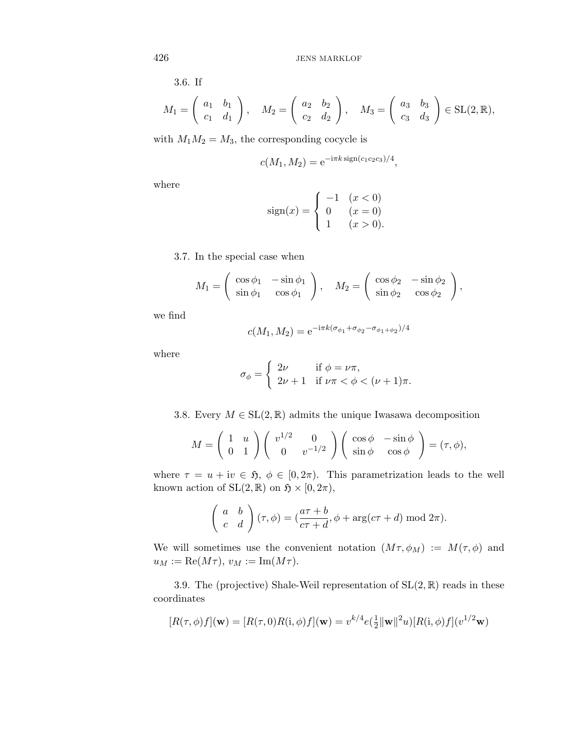3.6. If

$$
M_1 = \left(\begin{array}{cc} a_1 & b_1 \\ c_1 & d_1 \end{array}\right), \quad M_2 = \left(\begin{array}{cc} a_2 & b_2 \\ c_2 & d_2 \end{array}\right), \quad M_3 = \left(\begin{array}{cc} a_3 & b_3 \\ c_3 & d_3 \end{array}\right) \in \text{SL}(2, \mathbb{R}),
$$

with  $M_1M_2 = M_3$ , the corresponding cocycle is

$$
c(M_1, M_2) = e^{-i\pi k \operatorname{sign}(c_1 c_2 c_3)/4},
$$

where

$$
sign(x) = \begin{cases} -1 & (x < 0) \\ 0 & (x = 0) \\ 1 & (x > 0). \end{cases}
$$

3.7. In the special case when

$$
M_1 = \begin{pmatrix} \cos \phi_1 & -\sin \phi_1 \\ \sin \phi_1 & \cos \phi_1 \end{pmatrix}, \quad M_2 = \begin{pmatrix} \cos \phi_2 & -\sin \phi_2 \\ \sin \phi_2 & \cos \phi_2 \end{pmatrix},
$$

we find

$$
c(M_1, M_2) = e^{-i\pi k(\sigma_{\phi_1} + \sigma_{\phi_2} - \sigma_{\phi_1 + \phi_2})/4}
$$

where

$$
\sigma_{\phi} = \begin{cases} 2\nu & \text{if } \phi = \nu \pi, \\ 2\nu + 1 & \text{if } \nu \pi < \phi < (\nu + 1)\pi. \end{cases}
$$

3.8. Every  $M \in SL(2, \mathbb{R})$  admits the unique Iwasawa decomposition

$$
M = \begin{pmatrix} 1 & u \\ 0 & 1 \end{pmatrix} \begin{pmatrix} v^{1/2} & 0 \\ 0 & v^{-1/2} \end{pmatrix} \begin{pmatrix} \cos \phi & -\sin \phi \\ \sin \phi & \cos \phi \end{pmatrix} = (\tau, \phi),
$$

where  $\tau = u + iv \in \mathfrak{H}, \phi \in [0, 2\pi)$ . This parametrization leads to the well known action of  $SL(2, \mathbb{R})$  on  $\mathfrak{H} \times [0, 2\pi)$ ,

$$
\begin{pmatrix} a & b \ c & d \end{pmatrix} (\tau, \phi) = (\frac{a\tau + b}{c\tau + d}, \phi + \arg(c\tau + d) \mod 2\pi).
$$

We will sometimes use the convenient notation  $(M\tau,\phi_M) := M(\tau,\phi)$  and  $u_M := \text{Re}(M\tau), v_M := \text{Im}(M\tau).$ 

3.9. The (projective) Shale-Weil representation of  $SL(2,\mathbb{R})$  reads in these coordinates

$$
[R(\tau,\phi)f](\mathbf{w}) = [R(\tau,0)R(\mathbf{i},\phi)f](\mathbf{w}) = v^{k/4}e(\frac{1}{2}\|\mathbf{w}\|^2u)[R(\mathbf{i},\phi)f](v^{1/2}\mathbf{w})
$$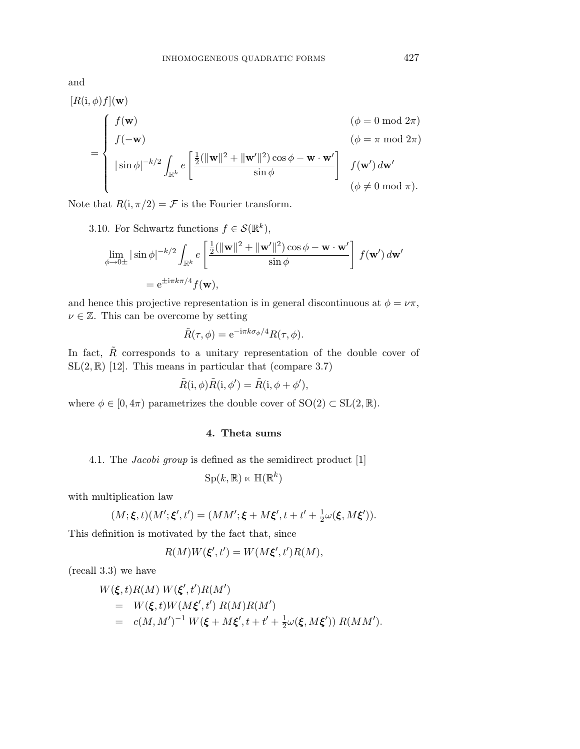and

$$
[R(i, \phi) f](\mathbf{w})
$$
  
= 
$$
\begin{cases} f(\mathbf{w}) & (\phi = 0 \text{ mod } 2\pi) \\ f(-\mathbf{w}) & (\phi = \pi \text{ mod } 2\pi) \\ |\sin \phi|^{-k/2} \int_{\mathbb{R}^k} e\left[\frac{\frac{1}{2}(\|\mathbf{w}\|^2 + \|\mathbf{w}'\|^2) \cos \phi - \mathbf{w} \cdot \mathbf{w}'}{\sin \phi}\right] & f(\mathbf{w}') d\mathbf{w}' \\ (\phi \neq 0 \text{ mod } \pi). \end{cases}
$$

Note that  $R(i, \pi/2) = \mathcal{F}$  is the Fourier transform.

3.10. For Schwartz functions  $f \in \mathcal{S}(\mathbb{R}^k)$ ,  $\lim_{\phi \to 0 \pm} |\sin \phi|^{-k/2} \int$  $\frac{e}{\mathbb{R}^k}$  $\int \frac{1}{2} (\|\mathbf{w}\|^2 + \|\mathbf{w}'\|^2) \cos \phi - \mathbf{w} \cdot \mathbf{w}'$  $\sin \phi$  $\int f(\mathbf{w}') d\mathbf{w}'$  $= e^{\pm i\pi k\pi/4} f(\mathbf{w}),$ 

and hence this projective representation is in general discontinuous at  $\phi = \nu \pi$ ,  $\nu \in \mathbb{Z}$ . This can be overcome by setting

$$
\tilde{R}(\tau,\phi) = e^{-i\pi k \sigma_{\phi}/4} R(\tau,\phi).
$$

In fact,  $\ddot{R}$  corresponds to a unitary representation of the double cover of  $SL(2,\mathbb{R})$  [12]. This means in particular that (compare 3.7)

$$
\tilde{R}(i, \phi)\tilde{R}(i, \phi') = \tilde{R}(i, \phi + \phi'),
$$

where  $\phi \in [0, 4\pi)$  parametrizes the double cover of  $SO(2) \subset SL(2, \mathbb{R})$ .

#### **4. Theta sums**

4.1. The Jacobi group is defined as the semidirect product [1]

$$
\mathrm{Sp}(k,\mathbb{R})\ltimes \mathbb{H}(\mathbb{R}^k)
$$

with multiplication law

$$
(M; \xi, t)(M'; \xi', t') = (MM'; \xi + M\xi', t + t' + \frac{1}{2}\omega(\xi, M\xi')).
$$

This definition is motivated by the fact that, since

$$
R(M)W(\xi',t') = W(M\xi',t')R(M),
$$

(recall 3.3) we have

$$
W(\xi, t)R(M) W(\xi', t')R(M')
$$
  
=  $W(\xi, t)W(M\xi', t') R(M)R(M')$   
=  $c(M, M')^{-1} W(\xi + M\xi', t + t' + \frac{1}{2}\omega(\xi, M\xi')) R(MM').$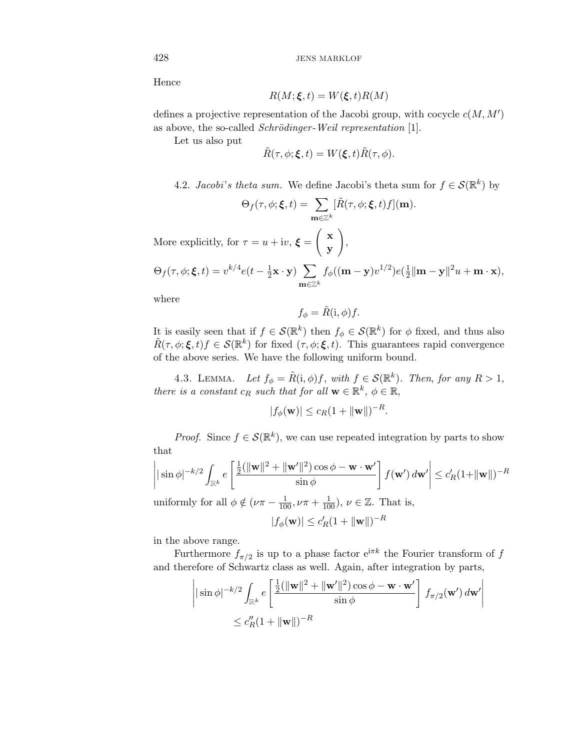Hence

$$
R(M; \xi, t) = W(\xi, t)R(M)
$$

defines a projective representation of the Jacobi group, with cocycle  $c(M, M')$ as above, the so-called *Schrödinger*-Weil representation  $[1]$ .

Let us also put

$$
\tilde{R}(\tau,\phi;\boldsymbol{\xi},t)=W(\boldsymbol{\xi},t)\tilde{R}(\tau,\phi).
$$

4.2. Jacobi's theta sum. We define Jacobi's theta sum for  $f \in \mathcal{S}(\mathbb{R}^k)$  by

,

$$
\Theta_f(\tau, \phi; \boldsymbol{\xi}, t) = \sum_{\mathbf{m} \in \mathbb{Z}^k} [\tilde{R}(\tau, \phi; \boldsymbol{\xi}, t) f](\mathbf{m}).
$$

More explicitly, for  $\tau = u + iv$ ,  $\xi =$  $\left( x \right)$ **y**

$$
\Theta_f(\tau,\phi;\boldsymbol{\xi},t)=v^{k/4}e(t-\tfrac{1}{2}\mathbf{x}\cdot\mathbf{y})\sum_{\mathbf{m}\in\mathbb{Z}^k}f_\phi((\mathbf{m}-\mathbf{y})v^{1/2})e(\tfrac{1}{2}\|\mathbf{m}-\mathbf{y}\|^2u+\mathbf{m}\cdot\mathbf{x}),
$$

where

$$
f_{\phi} = \tilde{R}(i, \phi) f.
$$

It is easily seen that if  $f \in \mathcal{S}(\mathbb{R}^k)$  then  $f_{\phi} \in \mathcal{S}(\mathbb{R}^k)$  for  $\phi$  fixed, and thus also  $\tilde{R}(\tau,\phi;\boldsymbol{\xi},t)f \in \mathcal{S}(\mathbb{R}^k)$  for fixed  $(\tau,\phi;\boldsymbol{\xi},t)$ . This guarantees rapid convergence of the above series. We have the following uniform bound.

4.3. LEMMA. Let  $f_{\phi} = \tilde{R}(i, \phi) f$ , with  $f \in \mathcal{S}(\mathbb{R}^k)$ . Then, for any  $R > 1$ , there is a constant  $c_R$  such that for all  $\mathbf{w} \in \mathbb{R}^k$ ,  $\phi \in \mathbb{R}$ ,

$$
|f_{\phi}(\mathbf{w})| \leq c_R (1 + \|\mathbf{w}\|)^{-R}.
$$

*Proof.* Since  $f \in \mathcal{S}(\mathbb{R}^k)$ , we can use repeated integration by parts to show that

$$
\left| |\sin \phi|^{-k/2} \int_{\mathbb{R}^k} e\left[ \frac{\frac{1}{2}(\|\mathbf{w}\|^2 + \|\mathbf{w}'\|^2) \cos \phi - \mathbf{w} \cdot \mathbf{w}'}{\sin \phi} \right] f(\mathbf{w}') d\mathbf{w}' \right| \le c_R' (1 + \|\mathbf{w}\|)^{-R}
$$
  
uniformly for all  $\phi \notin (\nu \pi - \frac{1}{100}, \nu \pi + \frac{1}{100}), \nu \in \mathbb{Z}$ . That is,

$$
|f_{\phi}(\mathbf{w})| \leq c_R'(1 + \|\mathbf{w}\|)^{-R}
$$

in the above range.

Furthermore  $f_{\pi/2}$  is up to a phase factor  $e^{i\pi k}$  the Fourier transform of f and therefore of Schwartz class as well. Again, after integration by parts,

$$
\left| \sin \phi \right|^{-k/2} \int_{\mathbb{R}^k} e \left[ \frac{\frac{1}{2} (\|\mathbf{w}\|^2 + \|\mathbf{w}'\|^2) \cos \phi - \mathbf{w} \cdot \mathbf{w}'}{\sin \phi} \right] f_{\pi/2}(\mathbf{w}') d\mathbf{w}' \right|
$$
  

$$
\leq c_R'' (1 + \|\mathbf{w}\|)^{-R}
$$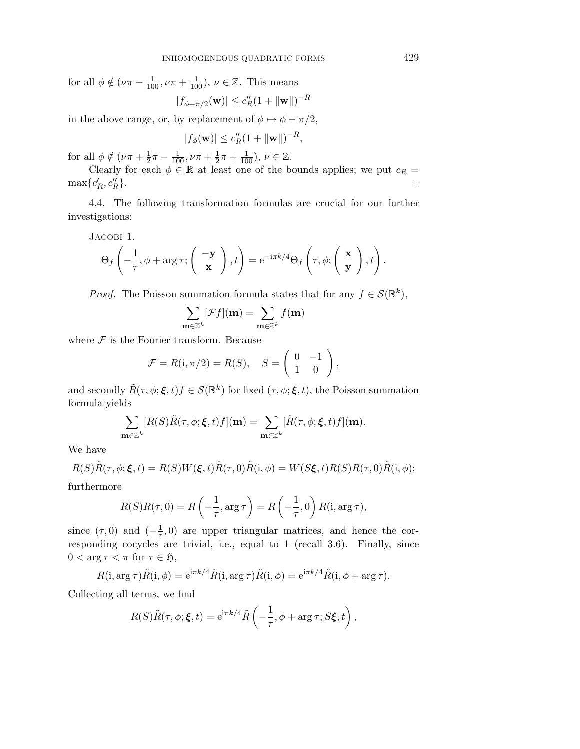for all  $\phi \notin (\nu \pi - \frac{1}{100}, \nu \pi + \frac{1}{100}), \nu \in \mathbb{Z}$ . This means  $|f_{\phi+\pi/2}(\mathbf{w})| \leq c_R''(1 + \|\mathbf{w}\|)^{-R}$ 

in the above range, or, by replacement of 
$$
\phi \mapsto \phi - \pi/2
$$
,

$$
|f_{\phi}(\mathbf{w})| \le c_R'' (1 + \|\mathbf{w}\|)^{-R},
$$

for all  $\phi \notin (\nu \pi + \frac{1}{2}\pi - \frac{1}{100}, \nu \pi + \frac{1}{2}\pi + \frac{1}{100}), \nu \in \mathbb{Z}$ .

Clearly for each  $\phi \in \mathbb{R}$  at least one of the bounds applies; we put  $c_R =$  $\max\{c'_R, c''_R\}.$  $\Box$ 

4.4. The following transformation formulas are crucial for our further investigations:

Jacobi 1.

$$
\Theta_f\left(-\frac{1}{\tau}, \phi + \arg \tau; \left(\begin{array}{c} -\mathbf{y} \\ \mathbf{x} \end{array}\right), t\right) = e^{-i\pi k/4} \Theta_f\left(\tau, \phi; \left(\begin{array}{c} \mathbf{x} \\ \mathbf{y} \end{array}\right), t\right).
$$

*Proof.* The Poisson summation formula states that for any  $f \in \mathcal{S}(\mathbb{R}^k)$ ,

$$
\sum_{\mathbf{m}\in\mathbb{Z}^k}[\mathcal{F}f](\mathbf{m})=\sum_{\mathbf{m}\in\mathbb{Z}^k}f(\mathbf{m})
$$

where  $\mathcal F$  is the Fourier transform. Because

$$
\mathcal{F} = R(i, \pi/2) = R(S), \quad S = \begin{pmatrix} 0 & -1 \\ 1 & 0 \end{pmatrix},
$$

and secondly  $\tilde{R}(\tau,\phi;\boldsymbol{\xi},t)f \in \mathcal{S}(\mathbb{R}^k)$  for fixed  $(\tau,\phi;\boldsymbol{\xi},t)$ , the Poisson summation formula yields

$$
\sum_{\mathbf{m}\in\mathbb{Z}^k}[R(S)\tilde{R}(\tau,\phi;\boldsymbol{\xi},t)f](\mathbf{m})=\sum_{\mathbf{m}\in\mathbb{Z}^k}[\tilde{R}(\tau,\phi;\boldsymbol{\xi},t)f](\mathbf{m}).
$$

We have

$$
R(S)\tilde{R}(\tau,\phi;\xi,t) = R(S)W(\xi,t)\tilde{R}(\tau,0)\tilde{R}(i,\phi) = W(S\xi,t)R(S)R(\tau,0)\tilde{R}(i,\phi);
$$

furthermore

$$
R(S)R(\tau,0) = R\left(-\frac{1}{\tau}, \arg \tau\right) = R\left(-\frac{1}{\tau}, 0\right)R(\mathbf{i}, \arg \tau),
$$

since  $(\tau,0)$  and  $\left(-\frac{1}{\tau},0\right)$  are upper triangular matrices, and hence the corresponding cocycles are trivial, i.e., equal to 1 (recall 3.6). Finally, since  $0 < \arg \tau < \pi$  for  $\tau \in \mathfrak{H}$ ,

$$
R(i, \arg \tau) \tilde{R}(i, \phi) = e^{i\pi k/4} \tilde{R}(i, \arg \tau) \tilde{R}(i, \phi) = e^{i\pi k/4} \tilde{R}(i, \phi + \arg \tau).
$$

Collecting all terms, we find

$$
R(S)\tilde{R}(\tau,\phi;\boldsymbol{\xi},t) = e^{i\pi k/4}\tilde{R}\left(-\frac{1}{\tau},\phi+\arg\tau;S\boldsymbol{\xi},t\right),\,
$$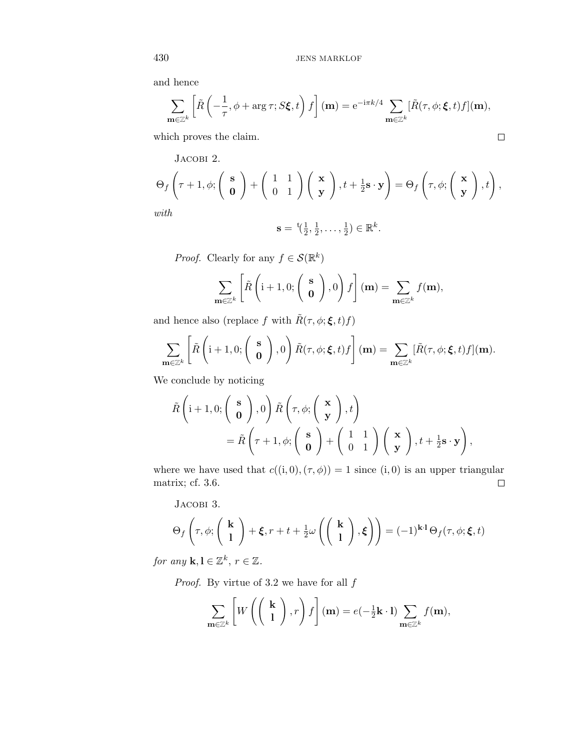and hence

$$
\sum_{\mathbf{m}\in\mathbb{Z}^k} \left[ \tilde{R}\left( -\frac{1}{\tau}, \phi + \arg \tau; S\xi, t \right) f \right](\mathbf{m}) = e^{-i\pi k/4} \sum_{\mathbf{m}\in\mathbb{Z}^k} [\tilde{R}(\tau, \phi; \xi, t) f](\mathbf{m}),
$$
  
which proves the claim.

which proves the claim.

JACOBI 2.  
\n
$$
\Theta_f\left(\tau+1,\phi;\left(\begin{array}{c} \mathbf{s} \\ \mathbf{0} \end{array}\right)+\left(\begin{array}{c} 1 & 1 \\ 0 & 1 \end{array}\right)\left(\begin{array}{c} \mathbf{x} \\ \mathbf{y} \end{array}\right),t+\tfrac{1}{2}\mathbf{s}\cdot\mathbf{y}\right)=\Theta_f\left(\tau,\phi;\left(\begin{array}{c} \mathbf{x} \\ \mathbf{y} \end{array}\right),t\right),\ldots
$$

with

$$
\mathbf{s} = {}^{\mathrm{t}}(\tfrac{1}{2}, \tfrac{1}{2}, \ldots, \tfrac{1}{2}) \in \mathbb{R}^k.
$$

*Proof.* Clearly for any  $f \in \mathcal{S}(\mathbb{R}^k)$ 

$$
\sum_{\mathbf{m}\in\mathbb{Z}^k}\left[\tilde{R}\left(\mathbf{i}+1,0;\left(\begin{array}{c}\mathbf{s}\\ \mathbf{0}\end{array}\right),0\right)f\right](\mathbf{m})=\sum_{\mathbf{m}\in\mathbb{Z}^k}f(\mathbf{m}),
$$

and hence also (replace  $f$  with  $\tilde{R}(\tau,\phi;\pmb{\xi},t)f)$ 

$$
\sum_{\mathbf{m}\in\mathbb{Z}^k}\left[\tilde{R}\left(\mathbf{i}+1,0;\left(\begin{array}{c}\mathbf{s}\\ \mathbf{0}\end{array}\right),0\right)\tilde{R}(\tau,\phi;\boldsymbol{\xi},t)f\right](\mathbf{m})=\sum_{\mathbf{m}\in\mathbb{Z}^k}[\tilde{R}(\tau,\phi;\boldsymbol{\xi},t)f](\mathbf{m}).
$$

We conclude by noticing

$$
\tilde{R}\left(\mathbf{i}+1,0;\left(\begin{array}{c}\mathbf{s}\\ \mathbf{0}\end{array}\right),0\right)\tilde{R}\left(\tau,\phi;\left(\begin{array}{c}\mathbf{x}\\ \mathbf{y}\end{array}\right),t\right) \n= \tilde{R}\left(\tau+1,\phi;\left(\begin{array}{c}\mathbf{s}\\ \mathbf{0}\end{array}\right)+\left(\begin{array}{cc}1&1\\ 0&1\end{array}\right)\left(\begin{array}{c}\mathbf{x}\\ \mathbf{y}\end{array}\right),t+\frac{1}{2}\mathbf{s}\cdot\mathbf{y}\right),
$$

where we have used that  $c((i, 0), (\tau, \phi)) = 1$  since  $(i, 0)$  is an upper triangular matrix; cf. 3.6.  $\Box$ 

Jacobi 3.

$$
\Theta_f\left(\tau,\phi;\left(\begin{array}{c}\mathbf{k}\\1\end{array}\right)+\boldsymbol{\xi},r+t+\tfrac{1}{2}\omega\left(\left(\begin{array}{c}\mathbf{k}\\1\end{array}\right),\boldsymbol{\xi}\right)\right)=(-1)^{\mathbf{k}\cdot\mathbf{l}}\,\Theta_f(\tau,\phi;\boldsymbol{\xi},t)
$$

for any **k**, **l**  $\in \mathbb{Z}^k$ ,  $r \in \mathbb{Z}$ .

*Proof.* By virtue of 3.2 we have for all  $f$ 

$$
\sum_{\mathbf{m}\in\mathbb{Z}^k}\left[W\left(\left(\begin{array}{c}\mathbf{k}\\1\end{array}\right),r\right)f\right](\mathbf{m})=e(-\frac{1}{2}\mathbf{k}\cdot\mathbf{l})\sum_{\mathbf{m}\in\mathbb{Z}^k}f(\mathbf{m}),
$$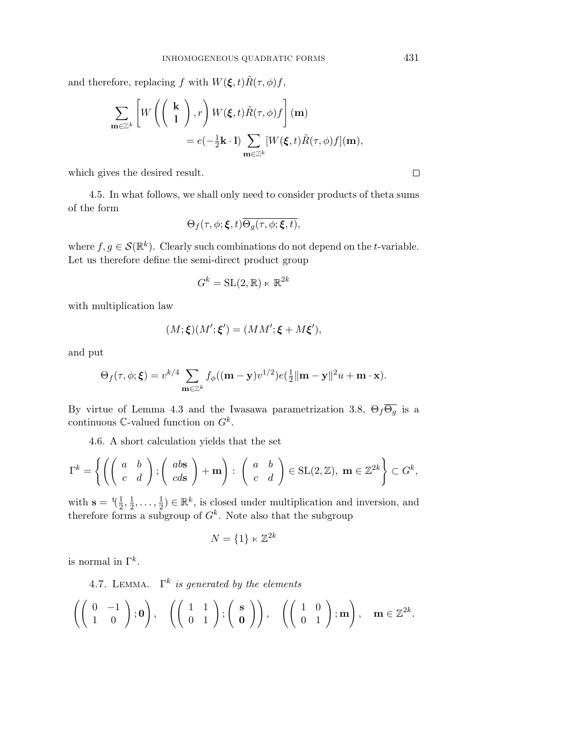and therefore, replacing f with  $W(\xi, t)\tilde{R}(\tau, \phi)f$ ,

$$
\sum_{\mathbf{m}\in\mathbb{Z}^k} \left[W\left(\begin{pmatrix} \mathbf{k} \\ 1 \end{pmatrix}, r\right) W(\boldsymbol{\xi}, t) \tilde{R}(\tau, \phi) f\right](\mathbf{m})
$$
  
=  $e(-\frac{1}{2}\mathbf{k} \cdot \mathbf{l}) \sum_{\mathbf{m}\in\mathbb{Z}^k} [W(\boldsymbol{\xi}, t) \tilde{R}(\tau, \phi) f](\mathbf{m}),$ 

which gives the desired result.

4.5. In what follows, we shall only need to consider products of theta sums of the form

$$
\Theta_f(\tau,\phi;\boldsymbol{\xi},t)\overline{\Theta_g(\tau,\phi;\boldsymbol{\xi},t)},
$$

where  $f,g \in \mathcal{S}(\mathbb{R}^k)$ . Clearly such combinations do not depend on the t-variable. Let us therefore define the semi-direct product group

$$
G^k = \mathrm{SL}(2, \mathbb{R}) \ltimes \mathbb{R}^{2k}
$$

with multiplication law

$$
(M; \xi)(M'; \xi') = (MM'; \xi + M\xi'),
$$

and put

$$
\Theta_f(\tau,\phi;\boldsymbol{\xi})=v^{k/4}\sum_{\mathbf{m}\in\mathbb{Z}^k}f_\phi((\mathbf{m}-\mathbf{y})v^{1/2})e(\tfrac{1}{2}\|\mathbf{m}-\mathbf{y}\|^2u+\mathbf{m}\cdot\mathbf{x}).
$$

By virtue of Lemma 4.3 and the Iwasawa parametrization 3.8,  $\Theta_f \overline{\Theta_g}$  is a continuous  $\mathbb{C}$ -valued function on  $G^k$ .

4.6. A short calculation yields that the set

$$
\Gamma^k = \left\{ \left( \left( \begin{array}{cc} a & b \\ c & d \end{array} \right) ; \left( \begin{array}{c} ab\mathbf{s} \\ cds \end{array} \right) + \mathbf{m} \right) : \left( \begin{array}{cc} a & b \\ c & d \end{array} \right) \in \text{SL}(2, \mathbb{Z}), \ \mathbf{m} \in \mathbb{Z}^{2k} \right\} \subset G^k,
$$

with  $\mathbf{s} = {}^t(\frac{1}{2}, \frac{1}{2}, \ldots, \frac{1}{2}) \in \mathbb{R}^k$ , is closed under multiplication and inversion, and therefore forms a subgroup of  $G^k$ . Note also that the subgroup

$$
N = \{1\} \ltimes \mathbb{Z}^{2k}
$$

is normal in  $\Gamma^k$ .

4.7. LEMMA.  $\Gamma^k$  is generated by the elements

$$
\left(\left(\begin{array}{cc}0 & -1 \\ 1 & 0\end{array}\right); \mathbf{0}\right), \quad \left(\left(\begin{array}{cc}1 & 1 \\ 0 & 1\end{array}\right); \left(\begin{array}{c}\mathbf{s} \\ \mathbf{0}\end{array}\right)\right), \quad \left(\left(\begin{array}{cc}1 & 0 \\ 0 & 1\end{array}\right); \mathbf{m}\right), \quad \mathbf{m} \in \mathbb{Z}^{2k}.
$$

 $\Box$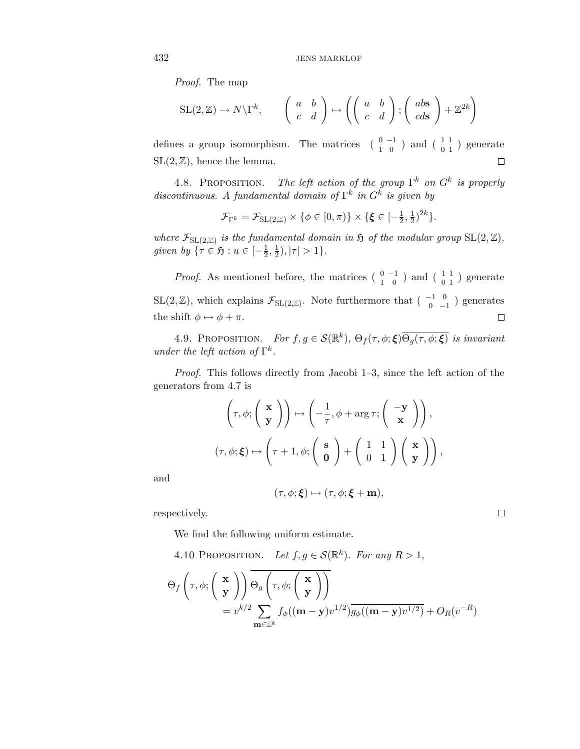Proof. The map

$$
SL(2, \mathbb{Z}) \to N\backslash \Gamma^k, \qquad \begin{pmatrix} a & b \\ c & d \end{pmatrix} \mapsto \left( \begin{pmatrix} a & b \\ c & d \end{pmatrix}; \begin{pmatrix} ab\ s & d \end{pmatrix} + \mathbb{Z}^{2k} \right)
$$

defines a group isomorphism. The matrices  $\begin{pmatrix} 0 & -1 \\ 1 & 0 \end{pmatrix}$  and  $\begin{pmatrix} 1 & 1 \\ 0 & 1 \end{pmatrix}$  generate  $SL(2, \mathbb{Z})$ , hence the lemma.  $\Box$ 

4.8. PROPOSITION. The left action of the group  $\Gamma^k$  on  $G^k$  is properly discontinuous. A fundamental domain of  $\Gamma^k$  in  $G^k$  is given by

$$
\mathcal{F}_{\Gamma^k} = \mathcal{F}_{\mathrm{SL}(2,\mathbb{Z})} \times \{ \phi \in [0,\pi) \} \times \{ \xi \in [-\frac{1}{2},\frac{1}{2})^{2k} \}.
$$

where  $\mathcal{F}_{SL(2,\mathbb{Z})}$  is the fundamental domain in  $\mathfrak{H}$  of the modular group  $SL(2,\mathbb{Z})$ , given by  $\{\tau \in \mathfrak{H} : u \in [-\frac{1}{2}, \frac{1}{2}), |\tau| > 1\}.$ 

*Proof.* As mentioned before, the matrices  $\begin{pmatrix} 0 & -1 \\ 1 & 0 \end{pmatrix}$  and  $\begin{pmatrix} 1 & 1 \\ 0 & 1 \end{pmatrix}$  generate SL(2,  $\mathbb{Z}$ ), which explains  $\mathcal{F}_{SL(2,\mathbb{Z})}$ . Note furthermore that  $\left(\begin{array}{cc} -1 & 0 \\ 0 & -1 \end{array}\right)$  generates the shift  $\phi \mapsto \phi + \pi$ .  $\Box$ 

4.9. PROPOSITION. For  $f, g \in \mathcal{S}(\mathbb{R}^k)$ ,  $\Theta_f(\tau, \phi; \boldsymbol{\xi}) \overline{\Theta_q(\tau, \phi; \boldsymbol{\xi})}$  is invariant under the left action of  $\Gamma^k$ .

Proof. This follows directly from Jacobi 1–3, since the left action of the generators from 4.7 is

$$
\left(\tau, \phi; \left(\begin{array}{c}\mathbf{x}\\ \mathbf{y}\end{array}\right)\right) \mapsto \left(-\frac{1}{\tau}, \phi + \arg \tau; \left(\begin{array}{c}-\mathbf{y}\\ \mathbf{x}\end{array}\right)\right),\
$$

$$
(\tau, \phi; \boldsymbol{\xi}) \mapsto \left(\tau + 1, \phi; \left(\begin{array}{c}\mathbf{s}\\ \mathbf{0}\end{array}\right) + \left(\begin{array}{cc}1 & 1\\ 0 & 1\end{array}\right)\left(\begin{array}{c}\mathbf{x}\\ \mathbf{y}\end{array}\right)\right),
$$

and

$$
(\tau, \phi; \xi) \mapsto (\tau, \phi; \xi + \mathbf{m}),
$$

 $\Box$ 

respectively.

We find the following uniform estimate.

4.10 PROPOSITION. Let  $f, g \in \mathcal{S}(\mathbb{R}^k)$ . For any  $R > 1$ ,

$$
\Theta_f\left(\tau, \phi; \begin{pmatrix} \mathbf{x} \\ \mathbf{y} \end{pmatrix} \right) \overline{\Theta_g\left(\tau, \phi; \begin{pmatrix} \mathbf{x} \\ \mathbf{y} \end{pmatrix} \right)}
$$
  
=  $v^{k/2} \sum_{\mathbf{m} \in \mathbb{Z}^k} f_{\phi}((\mathbf{m} - \mathbf{y})v^{1/2}) \overline{g_{\phi}((\mathbf{m} - \mathbf{y})v^{1/2})} + O_R(v^{-R})$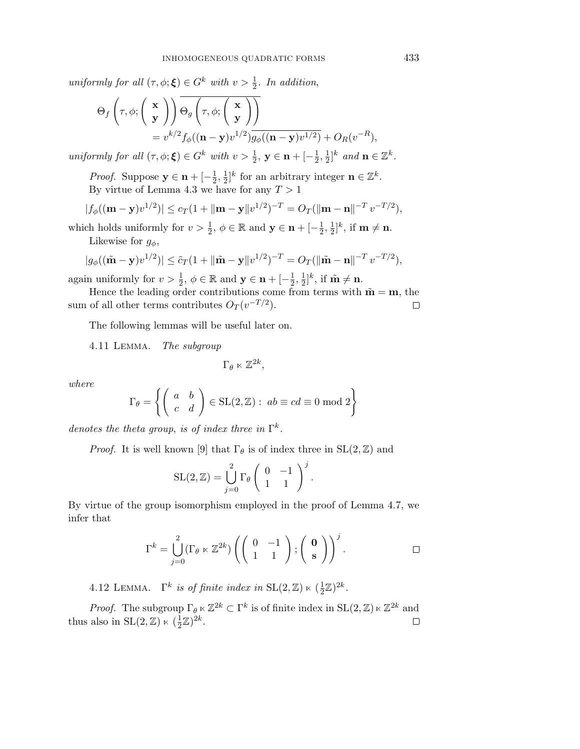uniformly for all  $(\tau, \phi; \boldsymbol{\xi}) \in G^k$  with  $v > \frac{1}{2}$ . In addition,

$$
\Theta_f\left(\tau,\phi;\begin{pmatrix} \mathbf{x} \\ \mathbf{y} \end{pmatrix} \right) \overline{\Theta_g\left(\tau,\phi;\begin{pmatrix} \mathbf{x} \\ \mathbf{y} \end{pmatrix} \right)}
$$
  
=  $v^{k/2} f_{\phi}((\mathbf{n}-\mathbf{y})v^{1/2}) g_{\phi}((\mathbf{n}-\mathbf{y})v^{1/2}) + O_R(v^{-R}),$ 

uniformly for all  $(\tau, \phi; \boldsymbol{\xi}) \in G^k$  with  $v > \frac{1}{2}$ ,  $y \in \mathbf{n} + [-\frac{1}{2}, \frac{1}{2}]^k$  and  $\mathbf{n} \in \mathbb{Z}^k$ .

*Proof.* Suppose  $\mathbf{y} \in \mathbf{n} + \left[-\frac{1}{2}, \frac{1}{2}\right]^k$  for an arbitrary integer  $\mathbf{n} \in \mathbb{Z}^k$ . By virtue of Lemma 4.3 we have for any  $T > 1$ 

$$
|f_{\phi}((\mathbf{m} - \mathbf{y})v^{1/2})| \leq c_T (1 + ||\mathbf{m} - \mathbf{y}||v^{1/2})^{-T} = O_T(||\mathbf{m} - \mathbf{n}||^{-T} v^{-T/2}),
$$

which holds uniformly for  $v > \frac{1}{2}$ ,  $\phi \in \mathbb{R}$  and  $\mathbf{y} \in \mathbf{n} + [-\frac{1}{2}, \frac{1}{2}]^k$ , if  $\mathbf{m} \neq \mathbf{n}$ . Likewise for  $g_{\phi}$ ,

$$
|g_{\phi}((\tilde{\mathbf{m}} - \mathbf{y})v^{1/2})| \leq \tilde{c}_T(1 + ||\tilde{\mathbf{m}} - \mathbf{y}||v^{1/2})^{-T} = O_T(||\tilde{\mathbf{m}} - \mathbf{n}||^{-T}v^{-T/2}),
$$

again uniformly for  $v > \frac{1}{2}$ ,  $\phi \in \mathbb{R}$  and  $\mathbf{y} \in \mathbf{n} + [-\frac{1}{2}, \frac{1}{2}]^k$ , if  $\tilde{\mathbf{m}} \neq \mathbf{n}$ .

Hence the leading order contributions come from terms with  $\tilde{\mathbf{m}} = \mathbf{m}$ , the sum of all other terms contributes  $O_T(v^{-T/2})$ .  $\Box$ 

The following lemmas will be useful later on.

4.11 Lemma. The subgroup

$$
\Gamma_{\theta} \ltimes \mathbb{Z}^{2k},
$$

where

$$
\Gamma_{\theta} = \left\{ \left( \begin{array}{cc} a & b \\ c & d \end{array} \right) \in SL(2, \mathbb{Z}) : ab \equiv cd \equiv 0 \mod 2 \right\}
$$

denotes the theta group, is of index three in  $\Gamma^k$ .

*Proof.* It is well known [9] that  $\Gamma_{\theta}$  is of index three in  $SL(2, \mathbb{Z})$  and

$$
SL(2, \mathbb{Z}) = \bigcup_{j=0}^{2} \Gamma_{\theta} \left( \begin{array}{cc} 0 & -1 \\ 1 & 1 \end{array} \right)^{j}.
$$

By virtue of the group isomorphism employed in the proof of Lemma 4.7, we infer that

$$
\Gamma^k = \bigcup_{j=0}^2 (\Gamma_\theta \ltimes \mathbb{Z}^{2k}) \left( \left( \begin{array}{cc} 0 & -1 \\ 1 & 1 \end{array} \right); \left( \begin{array}{c} \mathbf{0} \\ \mathbf{s} \end{array} \right) \right)^j.
$$

4.12 LEMMA.  $\Gamma^k$  is of finite index in  $\text{SL}(2,\mathbb{Z}) \ltimes (\frac{1}{2}\mathbb{Z})^{2k}$ .

*Proof.* The subgroup  $\Gamma_{\theta} \ltimes \mathbb{Z}^{2k} \subset \Gamma^k$  is of finite index in  $SL(2,\mathbb{Z})\ltimes\mathbb{Z}^{2k}$  and thus also in  $SL(2, \mathbb{Z}) \ltimes (\frac{1}{2}\mathbb{Z})^{2k}$ .  $\Box$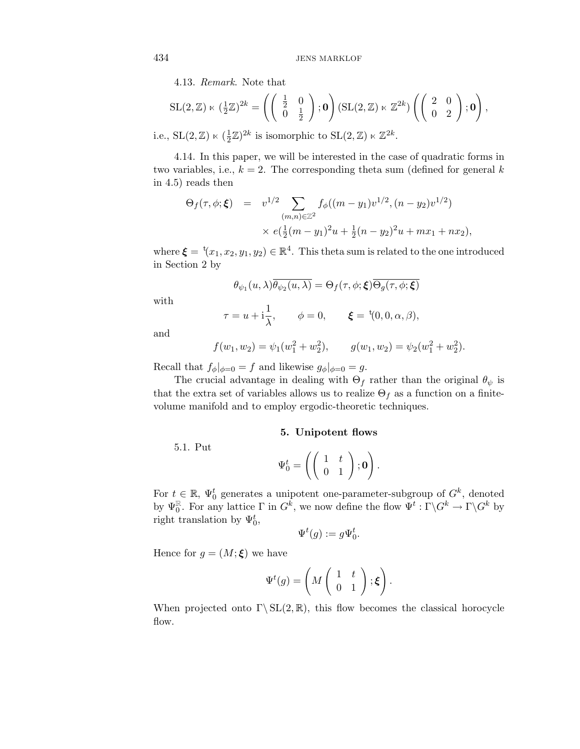4.13. Remark. Note that

$$
SL(2,\mathbb{Z}) \ltimes (\frac{1}{2}\mathbb{Z})^{2k} = \left( \begin{pmatrix} \frac{1}{2} & 0 \\ 0 & \frac{1}{2} \end{pmatrix}; \mathbf{0} \right) (SL(2,\mathbb{Z}) \ltimes \mathbb{Z}^{2k}) \left( \begin{pmatrix} 2 & 0 \\ 0 & 2 \end{pmatrix}; \mathbf{0} \right),
$$
  
SU (9, \mathbb{Z}) \ltimes (\frac{1}{2}\mathbb{Z})^{2k} is isomorphic to SU (9, \mathbb{Z}) \ltimes \mathbb{Z}^{2k}

i.e.,  $SL(2, \mathbb{Z}) \ltimes (\frac{1}{2}\mathbb{Z})^{2k}$  is isomorphic to  $SL(2, \mathbb{Z}) \ltimes \mathbb{Z}^{2k}$ .

4.14. In this paper, we will be interested in the case of quadratic forms in two variables, i.e.,  $k = 2$ . The corresponding theta sum (defined for general k in 4.5) reads then

$$
\Theta_f(\tau, \phi; \xi) = v^{1/2} \sum_{(m,n) \in \mathbb{Z}^2} f_{\phi}((m - y_1)v^{1/2}, (n - y_2)v^{1/2})
$$
  
 
$$
\times e(\frac{1}{2}(m - y_1)^2 u + \frac{1}{2}(n - y_2)^2 u + mx_1 + nx_2),
$$

where  $\boldsymbol{\xi} = {}^{t}(x_1, x_2, y_1, y_2) \in \mathbb{R}^4$ . This theta sum is related to the one introduced in Section 2 by

$$
\theta_{\psi_1}(u,\lambda)\overline{\theta_{\psi_2}(u,\lambda)} = \Theta_f(\tau,\phi;\boldsymbol{\xi})\overline{\Theta_g(\tau,\phi;\boldsymbol{\xi})}
$$

with

$$
\tau = u + i\frac{1}{\lambda}, \qquad \phi = 0, \qquad \xi = {}^{t}(0, 0, \alpha, \beta),
$$

and

$$
f(w_1, w_2) = \psi_1(w_1^2 + w_2^2), \qquad g(w_1, w_2) = \psi_2(w_1^2 + w_2^2).
$$

Recall that  $f_{\phi}|_{\phi=0} = f$  and likewise  $g_{\phi}|_{\phi=0} = g$ .

The crucial advantage in dealing with  $\Theta_f$  rather than the original  $\theta_{\psi}$  is that the extra set of variables allows us to realize  $\Theta_f$  as a function on a finitevolume manifold and to employ ergodic-theoretic techniques.

#### **5. Unipotent flows**

5.1. Put

 $\Psi_0^t =$  $\left(\left(\begin{array}{cc} 1 & t \ 0 & 1 \end{array}\right);{\bf 0} \right)$  $\setminus$ .

For  $t \in \mathbb{R}$ ,  $\Psi_0^t$  generates a unipotent one-parameter-subgroup of  $G^k$ , denoted by  $\Psi_0^{\mathbb{R}}$ . For any lattice  $\Gamma$  in  $G^k$ , we now define the flow  $\Psi^t : \Gamma \backslash G^k \to \Gamma \backslash G^k$  by right translation by  $\Psi_0^t$ ,

$$
\Psi^t(g) := g \Psi_0^t.
$$

Hence for  $g = (M; \boldsymbol{\xi})$  we have

$$
\Psi^t(g) = \left(M\left(\begin{array}{cc} 1 & t \\ 0 & 1 \end{array}\right); \boldsymbol{\xi}\right).
$$

When projected onto  $\Gamma \backslash SL(2, \mathbb{R})$ , this flow becomes the classical horocycle flow.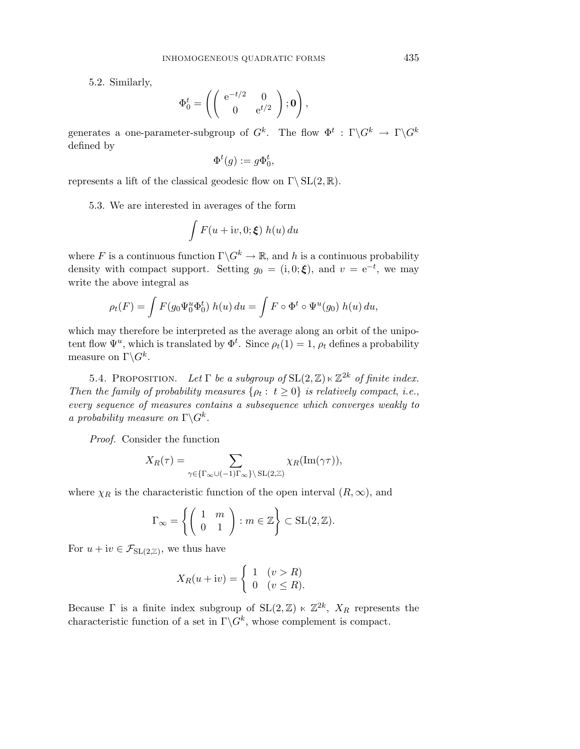5.2. Similarly,

$$
\Phi_0^t = \left( \left( \begin{array}{cc} e^{-t/2} & 0 \\ 0 & e^{t/2} \end{array} \right); \mathbf{0} \right)
$$

,

generates a one-parameter-subgroup of  $G^k$ . The flow  $\Phi^t : \Gamma \backslash G^k \to \Gamma \backslash G^k$ defined by

$$
\Phi^t(g):=g\Phi^t_0,
$$

represents a lift of the classical geodesic flow on  $\Gamma \backslash SL(2, \mathbb{R})$ .

5.3. We are interested in averages of the form

$$
\int F(u+iv,0;\boldsymbol{\xi})\;h(u)\,du
$$

where F is a continuous function  $\Gamma \backslash G^k \to \mathbb{R}$ , and h is a continuous probability density with compact support. Setting  $g_0 = (i, 0; \boldsymbol{\xi})$ , and  $v = e^{-t}$ , we may write the above integral as

$$
\rho_t(F) = \int F(g_0 \Psi_0^u \Phi_0^t) h(u) du = \int F \circ \Phi^t \circ \Psi^u(g_0) h(u) du,
$$

which may therefore be interpreted as the average along an orbit of the unipotent flow  $\Psi^u$ , which is translated by  $\Phi^t$ . Since  $\rho_t(1) = 1$ ,  $\rho_t$  defines a probability measure on  $\Gamma \backslash G^k$ .

5.4. PROPOSITION. Let  $\Gamma$  be a subgroup of  $SL(2,\mathbb{Z})\ltimes\mathbb{Z}^{2k}$  of finite index. Then the family of probability measures  $\{\rho_t: t \geq 0\}$  is relatively compact, i.e., every sequence of measures contains a subsequence which converges weakly to a probability measure on  $\Gamma \backslash G^k$ .

Proof. Consider the function

$$
X_R(\tau) = \sum_{\gamma \in {\{\Gamma_\infty \cup (-1) \Gamma_\infty\}} \backslash {\text{SL}(2,\mathbb{Z})}} \chi_R({\text{Im}}(\gamma \tau)),
$$

where  $\chi_R$  is the characteristic function of the open interval  $(R, \infty)$ , and

$$
\Gamma_{\infty} = \left\{ \left( \begin{array}{cc} 1 & m \\ 0 & 1 \end{array} \right) : m \in \mathbb{Z} \right\} \subset \text{SL}(2, \mathbb{Z}).
$$

For  $u + iv \in \mathcal{F}_{\text{SL}(2,\mathbb{Z})}$ , we thus have

$$
X_R(u + iv) = \begin{cases} 1 & (v > R) \\ 0 & (v \le R). \end{cases}
$$

Because  $\Gamma$  is a finite index subgroup of  $SL(2,\mathbb{Z}) \ltimes \mathbb{Z}^{2k}$ ,  $X_R$  represents the characteristic function of a set in  $\Gamma \backslash G^k$ , whose complement is compact.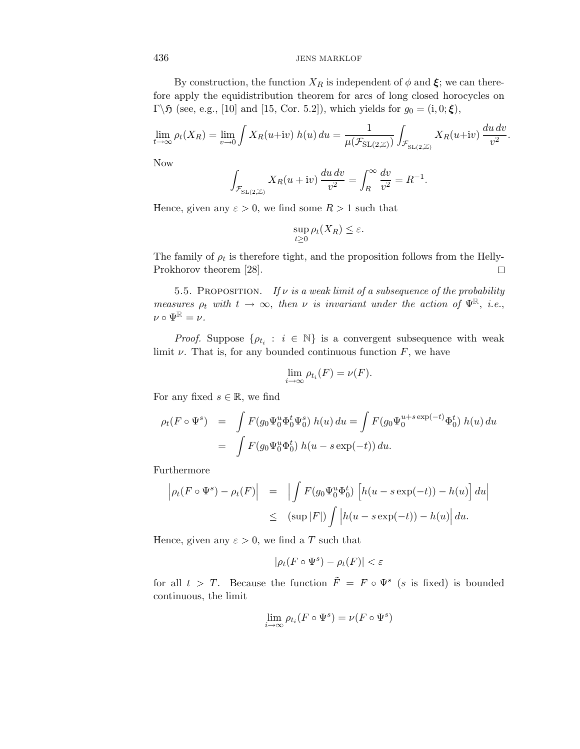By construction, the function  $X_R$  is independent of  $\phi$  and  $\xi$ ; we can therefore apply the equidistribution theorem for arcs of long closed horocycles on Γ\ $\mathfrak{H}$  (see, e.g., [10] and [15, Cor. 5.2]), which yields for  $g_0 = (i, 0; \boldsymbol{\xi})$ ,

$$
\lim_{t \to \infty} \rho_t(X_R) = \lim_{v \to 0} \int X_R(u+iv) \ h(u) \ du = \frac{1}{\mu(\mathcal{F}_{\text{SL}(2,\mathbb{Z})})} \int_{\mathcal{F}_{\text{SL}(2,\mathbb{Z})}} X_R(u+iv) \ \frac{du \ dv}{v^2}.
$$

Now

$$
\int_{\mathcal{F}_{\mathrm{SL}(2,\mathbb{Z})}} X_R(u+\mathrm{i}v) \frac{du\,dv}{v^2} = \int_R^{\infty} \frac{dv}{v^2} = R^{-1}.
$$

Hence, given any  $\varepsilon > 0$ , we find some  $R > 1$  such that

$$
\sup_{t\geq 0}\rho_t(X_R)\leq \varepsilon.
$$

The family of  $\rho_t$  is therefore tight, and the proposition follows from the Helly-Prokhorov theorem [28].  $\Box$ 

5.5. PROPOSITION. If  $\nu$  is a weak limit of a subsequence of the probability measures  $\rho_t$  with  $t \to \infty$ , then  $\nu$  is invariant under the action of  $\Psi^{\mathbb{R}}$ , i.e.,  $\nu \circ \Psi^{\mathbb{R}} = \nu.$ 

*Proof.* Suppose  $\{\rho_{t_i} : i \in \mathbb{N}\}\$ is a convergent subsequence with weak limit  $\nu$ . That is, for any bounded continuous function  $F$ , we have

$$
\lim_{i \to \infty} \rho_{t_i}(F) = \nu(F).
$$

For any fixed  $s \in \mathbb{R}$ , we find

$$
\rho_t(F \circ \Psi^s) = \int F(g_0 \Psi_0^u \Phi_0^t \Psi_0^s) h(u) du = \int F(g_0 \Psi_0^{u+s \exp(-t)} \Phi_0^t) h(u) du
$$
  
= 
$$
\int F(g_0 \Psi_0^u \Phi_0^t) h(u - s \exp(-t)) du.
$$

Furthermore

$$
\left| \rho_t(F \circ \Psi^s) - \rho_t(F) \right| = \left| \int F(g_0 \Psi_0^u \Phi_0^t) \left[ h(u - s \exp(-t)) - h(u) \right] du \right|
$$
  

$$
\leq (\sup |F|) \int \left| h(u - s \exp(-t)) - h(u) \right| du.
$$

Hence, given any  $\varepsilon > 0$ , we find a T such that

$$
|\rho_t(F \circ \Psi^s) - \rho_t(F)| < \varepsilon
$$

for all  $t>T$ . Because the function  $\tilde{F} = F \circ \Psi^s$  (s is fixed) is bounded continuous, the limit

$$
\lim_{i \to \infty} \rho_{t_i}(F \circ \Psi^s) = \nu(F \circ \Psi^s)
$$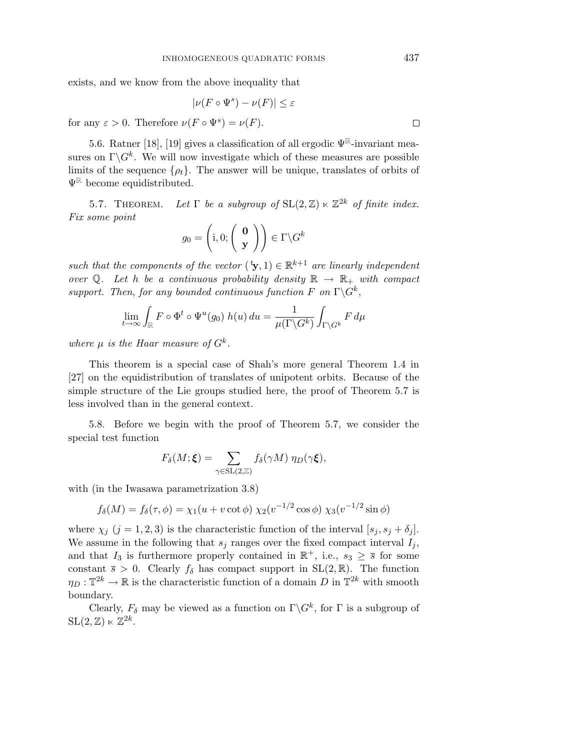exists, and we know from the above inequality that

$$
|\nu(F \circ \Psi^s) - \nu(F)| \le \varepsilon
$$
 for any  $\varepsilon > 0$ . Therefore  $\nu(F \circ \Psi^s) = \nu(F)$ .

5.6. Ratner [18], [19] gives a classification of all ergodic  $\Psi^{\mathbb{R}}$ -invariant measures on  $\Gamma \backslash G^k$ . We will now investigate which of these measures are possible limits of the sequence  $\{\rho_t\}$ . The answer will be unique, translates of orbits of  $\Psi^{\mathbb{R}}$  become equidistributed.

5.7. THEOREM. Let  $\Gamma$  be a subgroup of  $SL(2,\mathbb{Z}) \ltimes \mathbb{Z}^{2k}$  of finite index. Fix some point

$$
g_0 = \left(\mathbf{i}, 0; \left(\begin{array}{c} \mathbf{0} \\ \mathbf{y} \end{array}\right)\right) \in \Gamma \backslash G^k
$$

such that the components of the vector  $(\mathbf{y},1) \in \mathbb{R}^{k+1}$  are linearly independent over Q. Let h be a continuous probability density  $\mathbb{R} \to \mathbb{R}_+$  with compact support. Then, for any bounded continuous function F on  $\Gamma \backslash G^k$ ,

$$
\lim_{t \to \infty} \int_{\mathbb{R}} F \circ \Phi^t \circ \Psi^u(g_0) \ h(u) \ du = \frac{1}{\mu(\Gamma \backslash G^k)} \int_{\Gamma \backslash G^k} F \ d\mu
$$

where  $\mu$  is the Haar measure of  $G^k$ .

This theorem is a special case of Shah's more general Theorem 1.4 in [27] on the equidistribution of translates of unipotent orbits. Because of the simple structure of the Lie groups studied here, the proof of Theorem 5.7 is less involved than in the general context.

5.8. Before we begin with the proof of Theorem 5.7, we consider the special test function

$$
F_{\delta}(M;\boldsymbol{\xi}) = \sum_{\gamma \in \mathrm{SL}(2,\mathbb{Z})} f_{\delta}(\gamma M) \eta_D(\gamma \boldsymbol{\xi}),
$$

with (in the Iwasawa parametrization 3.8)

$$
f_{\delta}(M) = f_{\delta}(\tau, \phi) = \chi_1(u + v \cot \phi) \chi_2(v^{-1/2} \cos \phi) \chi_3(v^{-1/2} \sin \phi)
$$

where  $\chi_i$  (j = 1, 2, 3) is the characteristic function of the interval [ $s_i$ ,  $s_j + \delta_j$ ]. We assume in the following that  $s_i$  ranges over the fixed compact interval  $I_i$ , and that  $I_3$  is furthermore properly contained in  $\mathbb{R}^+$ , i.e.,  $s_3 \geq \overline{s}$  for some constant  $\bar{s} > 0$ . Clearly  $f_{\delta}$  has compact support in SL(2, R). The function  $\eta_D : \mathbb{T}^{2k} \to \mathbb{R}$  is the characteristic function of a domain D in  $\mathbb{T}^{2k}$  with smooth boundary.

Clearly,  $F_{\delta}$  may be viewed as a function on  $\Gamma \backslash G^k$ , for  $\Gamma$  is a subgroup of  $SL(2,\mathbb{Z})\ltimes \mathbb{Z}^{2k}$ .

 $\Box$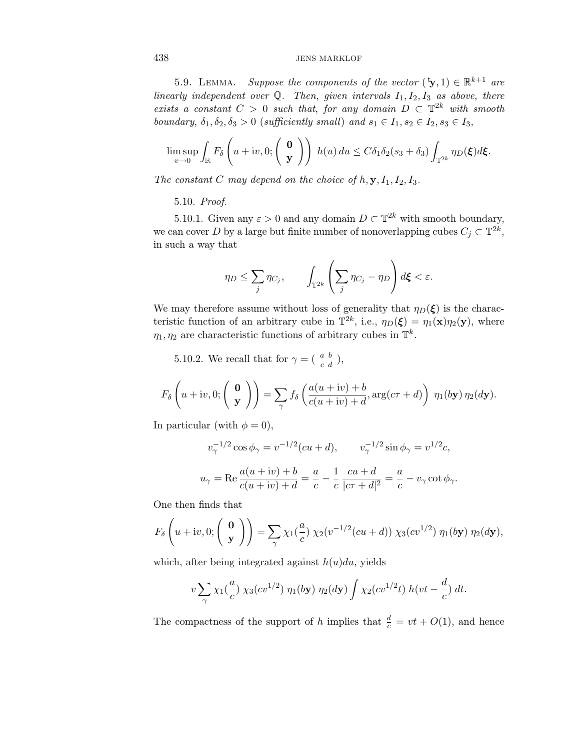5.9. LEMMA. Suppose the components of the vector  $(\mathbf{y},1) \in \mathbb{R}^{k+1}$  are linearly independent over  $\mathbb Q$ . Then, given intervals  $I_1, I_2, I_3$  as above, there exists a constant  $C > 0$  such that, for any domain  $D \subset \mathbb{T}^{2k}$  with smooth boundary,  $\delta_1, \delta_2, \delta_3 > 0$  (sufficiently small) and  $s_1 \in I_1, s_2 \in I_2, s_3 \in I_3$ ,

$$
\limsup_{v\to 0}\int_{\mathbb{R}}F_{\delta}\left(u+iv,0;\left(\begin{array}{c}\mathbf{0}\\ \mathbf{y}\end{array}\right)\right)h(u)\,du\leq C\delta_{1}\delta_{2}(s_{3}+\delta_{3})\int_{\mathbb{T}^{2k}}\eta_{D}(\boldsymbol{\xi})d\boldsymbol{\xi}.
$$

The constant C may depend on the choice of  $h$ ,  $\mathbf{y}, I_1, I_2, I_3$ .

5.10. Proof.

5.10.1. Given any  $\varepsilon > 0$  and any domain  $D \subset \mathbb{T}^{2k}$  with smooth boundary, we can cover D by a large but finite number of nonoverlapping cubes  $C_j \subset \mathbb{T}^{2k}$ , in such a way that

$$
\eta_D \leq \sum_j \eta_{C_j}, \qquad \int_{\mathbb{T}^{2k}} \left( \sum_j \eta_{C_j} - \eta_D \right) d\boldsymbol{\xi} < \varepsilon.
$$

We may therefore assume without loss of generality that  $\eta_D(\boldsymbol{\xi})$  is the characteristic function of an arbitrary cube in  $\mathbb{T}^{2k}$ , i.e.,  $\eta_D(\boldsymbol{\xi}) = \eta_1(\mathbf{x})\eta_2(\mathbf{y})$ , where  $\eta_1, \eta_2$  are characteristic functions of arbitrary cubes in  $\mathbb{T}^k$ .

5.10.2. We recall that for  $\gamma = \begin{pmatrix} a & b \\ c & d \end{pmatrix}$ ,

$$
F_{\delta}\left(u+iv,0;\left(\begin{array}{c}\mathbf{0}\\ \mathbf{y}\end{array}\right)\right)=\sum_{\gamma}f_{\delta}\left(\frac{a(u+iv)+b}{c(u+iv)+d},\arg(c\tau+d)\right)\,\eta_1(b\mathbf{y})\,\eta_2(d\mathbf{y}).
$$

In particular (with  $\phi = 0$ ),

$$
v_{\gamma}^{-1/2} \cos \phi_{\gamma} = v^{-1/2} (cu + d), \qquad v_{\gamma}^{-1/2} \sin \phi_{\gamma} = v^{1/2} c,
$$
  

$$
u_{\gamma} = \text{Re} \frac{a(u + iv) + b}{c(u + iv) + d} = \frac{a}{c} - \frac{1}{c} \frac{cu + d}{|c\tau + d|^2} = \frac{a}{c} - v_{\gamma} \cot \phi_{\gamma}.
$$

One then finds that

$$
F_{\delta}\left(u+iv,0;\left(\begin{array}{c}\mathbf{0}\\ \mathbf{y}\end{array}\right)\right)=\sum_{\gamma}\chi_{1}(\frac{a}{c})\,\chi_{2}(v^{-1/2}(cu+d))\,\chi_{3}(cv^{1/2})\,\eta_{1}(b\mathbf{y})\,\eta_{2}(d\mathbf{y}),
$$

which, after being integrated against  $h(u)du$ , yields

$$
v\sum_{\gamma}\chi_1(\frac{a}{c})\chi_3(cv^{1/2})\eta_1(b\mathbf{y})\eta_2(d\mathbf{y})\int\chi_2(cv^{1/2}t)\,h(vt-\frac{d}{c})\,dt.
$$

The compactness of the support of h implies that  $\frac{d}{c} = vt + O(1)$ , and hence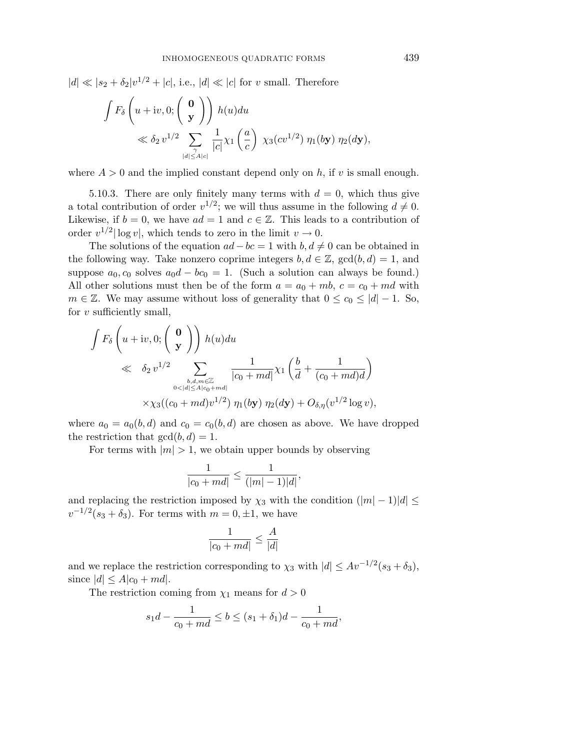$|d| \ll |s_2 + \delta_2|v^{1/2} + |c|$ , i.e.,  $|d| \ll |c|$  for v small. Therefore

$$
\int F_{\delta}\left(u+iv,0;\left(\begin{array}{c}\mathbf{0}\\ \mathbf{y}\end{array}\right)\right)h(u)du
$$
  

$$
\ll \delta_2 v^{1/2} \sum_{\substack{\gamma \\ |d| \le A|c|}} \frac{1}{|c|} \chi_1\left(\frac{a}{c}\right) \chi_3(cv^{1/2}) \eta_1(b\mathbf{y}) \eta_2(d\mathbf{y}),
$$

where  $A > 0$  and the implied constant depend only on h, if v is small enough.

5.10.3. There are only finitely many terms with  $d = 0$ , which thus give a total contribution of order  $v^{1/2}$ ; we will thus assume in the following  $d \neq 0$ . Likewise, if  $b = 0$ , we have  $ad = 1$  and  $c \in \mathbb{Z}$ . This leads to a contribution of order  $v^{1/2}$  log v, which tends to zero in the limit  $v \to 0$ .

The solutions of the equation  $ad - bc = 1$  with  $b, d \neq 0$  can be obtained in the following way. Take nonzero coprime integers  $b, d \in \mathbb{Z}$ ,  $gcd(b, d) = 1$ , and suppose  $a_0$ ,  $c_0$  solves  $a_0d - bc_0 = 1$ . (Such a solution can always be found.) All other solutions must then be of the form  $a = a_0 + mb$ ,  $c = c_0 + md$  with  $m \in \mathbb{Z}$ . We may assume without loss of generality that  $0 \leq c_0 \leq |d| - 1$ . So, for  $v$  sufficiently small,

$$
\int F_{\delta}\left(u+iv,0;\left(\begin{array}{c} \mathbf{0} \\ \mathbf{y} \end{array}\right)\right)h(u)du
$$
\n
$$
\ll \delta_2 v^{1/2} \sum_{\substack{b,d,m \in \mathbb{Z} \\ 0<|d|\le A|c_0+md|}} \frac{1}{|c_0+md|} \chi_1\left(\frac{b}{d}+\frac{1}{(c_0+md)d}\right)
$$
\n
$$
\times \chi_3((c_0+md)v^{1/2}) \eta_1(b\mathbf{y}) \eta_2(d\mathbf{y})+O_{\delta,\eta}(v^{1/2}\log v),
$$

where  $a_0 = a_0(b, d)$  and  $c_0 = c_0(b, d)$  are chosen as above. We have dropped the restriction that  $gcd(b, d) = 1$ .

For terms with  $|m| > 1$ , we obtain upper bounds by observing

$$
\frac{1}{|c_0+md|} \le \frac{1}{(|m|-1)|d|},
$$

and replacing the restriction imposed by  $\chi_3$  with the condition  $(|m| - 1)|d| \leq$  $v^{-1/2}(s_3 + \delta_3)$ . For terms with  $m = 0, \pm 1$ , we have

$$
\frac{1}{|c_0+md|} \le \frac{A}{|d|}
$$

and we replace the restriction corresponding to  $\chi_3$  with  $|d| \leq Av^{-1/2}(s_3 + \delta_3)$ , since  $|d| \leq A|c_0 + md|$ .

The restriction coming from  $\chi_1$  means for  $d > 0$ 

$$
s_1d - \frac{1}{c_0 + md} \le b \le (s_1 + \delta_1)d - \frac{1}{c_0 + md},
$$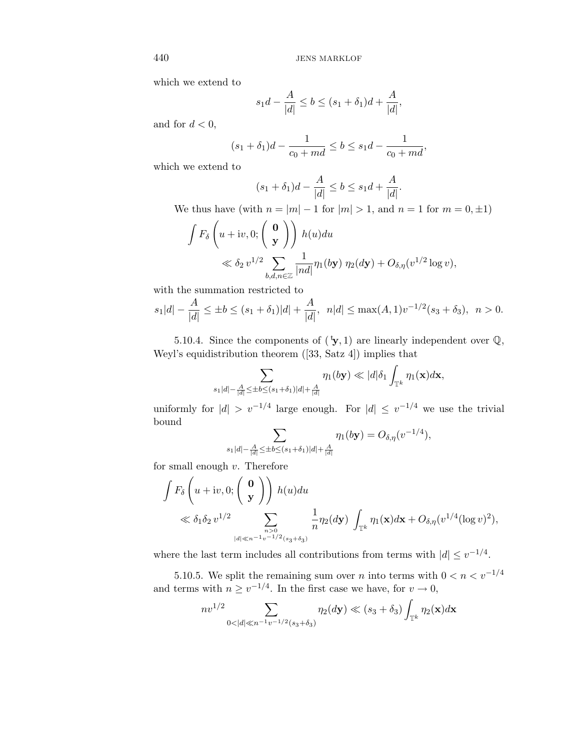which we extend to

$$
s_1d - \frac{A}{|d|} \le b \le (s_1 + \delta_1)d + \frac{A}{|d|},
$$

and for  $d < 0$ ,

$$
(s_1 + \delta_1)d - \frac{1}{c_0 + md} \le b \le s_1d - \frac{1}{c_0 + md},
$$

which we extend to

$$
(s_1 + \delta_1)d - \frac{A}{|d|} \le b \le s_1d + \frac{A}{|d|}.
$$

We thus have (with  $n = |m| - 1$  for  $|m| > 1$ , and  $n = 1$  for  $m = 0, \pm 1$ )

$$
\int F_{\delta}\left(u+iv,0;\left(\begin{array}{c} \mathbf{0} \\ \mathbf{y} \end{array}\right)\right) h(u)du
$$
  
\$\ll \delta\_2 v^{1/2} \sum\_{b,d,n \in \mathbb{Z}} \frac{1}{|nd|} \eta\_1(b\mathbf{y}) \eta\_2(d\mathbf{y}) + O\_{\delta,\eta}(v^{1/2} \log v)\$,

with the summation restricted to

$$
s_1|d| - \frac{A}{|d|} \le \pm b \le (s_1 + \delta_1)|d| + \frac{A}{|d|}, \ \ n|d| \le \max(A, 1)v^{-1/2}(s_3 + \delta_3), \ \ n > 0.
$$

5.10.4. Since the components of  $({}^{\text{t}}\mathbf{y},1)$  are linearly independent over  $\mathbb{Q},$ Weyl's equidistribution theorem ([33, Satz 4]) implies that

$$
\sum_{s_1|d|-\frac{A}{|d|}\leq \pm b\leq (s_1+\delta_1)|d|+\frac{A}{|d|}}\eta_1(b\mathbf{y})\ll |d|\delta_1\int_{\mathbb{T}^k}\eta_1(\mathbf{x})d\mathbf{x},
$$

uniformly for  $|d| > v^{-1/4}$  large enough. For  $|d| \le v^{-1/4}$  we use the trivial bound

$$
\sum_{s_1|d|-\frac{A}{|d|}\leq \pm b\leq (s_1+\delta_1)|d|+\frac{A}{|d|}}\eta_1(b\mathbf{y})=O_{\delta,\eta}(v^{-1/4}),
$$

for small enough  $v$ . Therefore

$$
\int F_{\delta}\left(u+iv,0;\left(\begin{array}{c}\mathbf{0}\\ \mathbf{y}\end{array}\right)\right)h(u)du
$$
\n
$$
\ll \delta_1\delta_2 v^{1/2} \sum_{\substack{n>0\\|d|\ll n^{-1}v^{-1/2}(s_3+\delta_3)}} \frac{1}{n}\eta_2(dy)\int_{\mathbb{T}^k} \eta_1(\mathbf{x})d\mathbf{x}+O_{\delta,\eta}(v^{1/4}(\log v)^2),
$$

where the last term includes all contributions from terms with  $|d| \leq v^{-1/4}$ .

5.10.5. We split the remaining sum over n into terms with  $0 < n < v^{-1/4}$ and terms with  $n \ge v^{-1/4}$ . In the first case we have, for  $v \to 0$ ,

$$
nv^{1/2} \sum_{0 < |d| \ll n^{-1}v^{-1/2}(s_3 + \delta_3)} \eta_2(d\mathbf{y}) \ll (s_3 + \delta_3) \int_{\mathbb{T}^k} \eta_2(\mathbf{x}) d\mathbf{x}
$$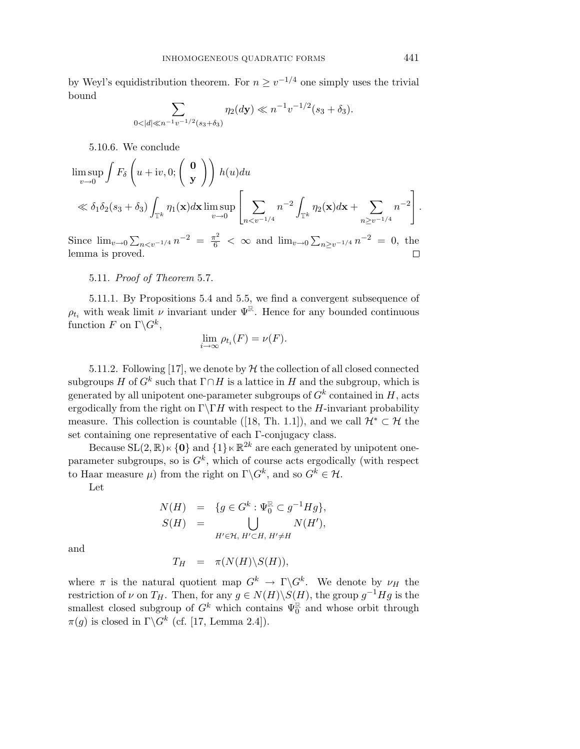by Weyl's equidistribution theorem. For  $n \ge v^{-1/4}$  one simply uses the trivial bound

$$
\sum_{0<|d|\ll n^{-1}v^{-1/2}(s_3+\delta_3)}\eta_2(d\mathbf{y})\ll n^{-1}v^{-1/2}(s_3+\delta_3).
$$

5.10.6. We conclude

$$
\limsup_{v \to 0} \int F_{\delta}\left(u + iv, 0; \begin{pmatrix} \mathbf{0} \\ \mathbf{y} \end{pmatrix} \right) h(u) du
$$
  
\$\ll \delta\_1 \delta\_2 (s\_3 + \delta\_3) \int\_{\mathbb{T}^k} \eta\_1(\mathbf{x}) d\mathbf{x} \limsup\_{v \to 0} \left[ \sum\_{n < v^{-1/4}} n^{-2} \int\_{\mathbb{T}^k} \eta\_2(\mathbf{x}) d\mathbf{x} + \sum\_{n \ge v^{-1/4}} n^{-2} \right].

Since  $\lim_{v\to 0} \sum_{n \lt v^{-1/4}} n^{-2} = \frac{\pi^2}{6} < \infty$  and  $\lim_{v\to 0} \sum_{n \ge v^{-1/4}} n^{-2} = 0$ , the lemma is proved.  $\Box$ 

#### 5.11. Proof of Theorem 5.7.

5.11.1. By Propositions 5.4 and 5.5, we find a convergent subsequence of  $\rho_{t_i}$  with weak limit  $\nu$  invariant under  $\Psi^{\mathbb{R}}$ . Hence for any bounded continuous function F on  $\Gamma \backslash G^k$ ,

$$
\lim_{i \to \infty} \rho_{t_i}(F) = \nu(F).
$$

5.11.2. Following [17], we denote by  $H$  the collection of all closed connected subgroups H of  $G^k$  such that  $\Gamma \cap H$  is a lattice in H and the subgroup, which is generated by all unipotent one-parameter subgroups of  $G<sup>k</sup>$  contained in H, acts ergodically from the right on  $\Gamma\$ TH with respect to the H-invariant probability measure. This collection is countable ([18, Th. 1.1]), and we call  $\mathcal{H}^* \subset \mathcal{H}$  the set containing one representative of each Γ-conjugacy class.

Because  $SL(2,\mathbb{R})\ltimes\{0\}$  and  $\{1\}\ltimes\mathbb{R}^{2k}$  are each generated by unipotent oneparameter subgroups, so is  $G<sup>k</sup>$ , which of course acts ergodically (with respect to Haar measure  $\mu$ ) from the right on  $\Gamma \backslash G^k$ , and so  $G^k \in \mathcal{H}$ .

Let

$$
N(H) = \{g \in G^k : \Psi_0^{\mathbb{R}} \subset g^{-1}Hg\},
$$
  

$$
S(H) = \bigcup_{H' \in \mathcal{H}, H' \subset H, H' \neq H} N(H'),
$$

and

$$
T_H = \pi(N(H) \backslash S(H)),
$$

where  $\pi$  is the natural quotient map  $G^k \to \Gamma \backslash G^k$ . We denote by  $\nu_H$  the restriction of  $\nu$  on  $T_H$ . Then, for any  $g \in N(H)\backslash S(H)$ , the group  $g^{-1}Hg$  is the smallest closed subgroup of  $G^k$  which contains  $\Psi_0^{\mathbb{R}}$  and whose orbit through  $\pi(q)$  is closed in  $\Gamma \backslash G^k$  (cf. [17, Lemma 2.4]).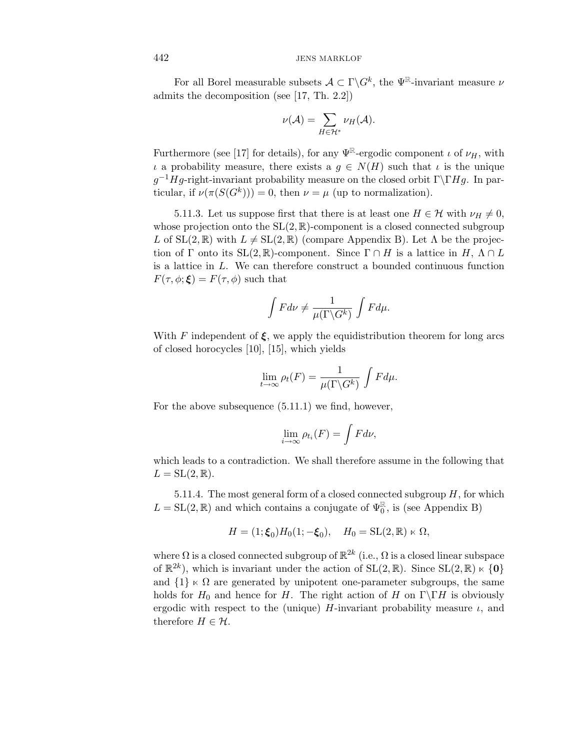For all Borel measurable subsets  $A \subset \Gamma \backslash G^k$ , the  $\Psi^{\mathbb{R}}$ -invariant measure  $\nu$ admits the decomposition (see [17, Th. 2.2])

$$
\nu(\mathcal{A}) = \sum_{H \in \mathcal{H}^*} \nu_H(\mathcal{A}).
$$

Furthermore (see [17] for details), for any  $\Psi^{\mathbb{R}}$ -ergodic component  $\iota$  of  $\nu_H$ , with  $\iota$  a probability measure, there exists a  $g \in N(H)$  such that  $\iota$  is the unique  $g^{-1}Hg$ -right-invariant probability measure on the closed orbit Γ\ΓHg. In particular, if  $\nu(\pi(S(G^k))) = 0$ , then  $\nu = \mu$  (up to normalization).

5.11.3. Let us suppose first that there is at least one  $H \in \mathcal{H}$  with  $\nu_H \neq 0$ , whose projection onto the  $SL(2, \mathbb{R})$ -component is a closed connected subgroup L of  $SL(2,\mathbb{R})$  with  $L \neq SL(2,\mathbb{R})$  (compare Appendix B). Let  $\Lambda$  be the projection of Γ onto its  $SL(2,\mathbb{R})$ -component. Since  $\Gamma \cap H$  is a lattice in  $H, \Lambda \cap L$ is a lattice in L. We can therefore construct a bounded continuous function  $F(\tau,\phi;\boldsymbol{\xi})=F(\tau,\phi)$  such that

$$
\int F d\nu \neq \frac{1}{\mu(\Gamma \backslash G^k)} \int F d\mu.
$$

With F independent of  $\xi$ , we apply the equidistribution theorem for long arcs of closed horocycles [10], [15], which yields

$$
\lim_{t \to \infty} \rho_t(F) = \frac{1}{\mu(\Gamma \backslash G^k)} \int F d\mu.
$$

For the above subsequence (5.11.1) we find, however,

$$
\lim_{i \to \infty} \rho_{t_i}(F) = \int F d\nu,
$$

which leads to a contradiction. We shall therefore assume in the following that  $L = SL(2, \mathbb{R}).$ 

5.11.4. The most general form of a closed connected subgroup  $H$ , for which  $L = SL(2, \mathbb{R})$  and which contains a conjugate of  $\Psi_0^{\mathbb{R}}$ , is (see Appendix B)

$$
H = (1; \xi_0) H_0(1; -\xi_0), \quad H_0 = \text{SL}(2, \mathbb{R}) \ltimes \Omega,
$$

where  $\Omega$  is a closed connected subgroup of  $\mathbb{R}^{2k}$  (i.e.,  $\Omega$  is a closed linear subspace of  $\mathbb{R}^{2k}$ ), which is invariant under the action of  $SL(2, \mathbb{R})$ . Since  $SL(2, \mathbb{R}) \times \{0\}$ and  $\{1\} \times \Omega$  are generated by unipotent one-parameter subgroups, the same holds for  $H_0$  and hence for H. The right action of H on  $\Gamma\backslash\Gamma H$  is obviously ergodic with respect to the (unique)  $H$ -invariant probability measure  $\iota$ , and therefore  $H \in \mathcal{H}$ .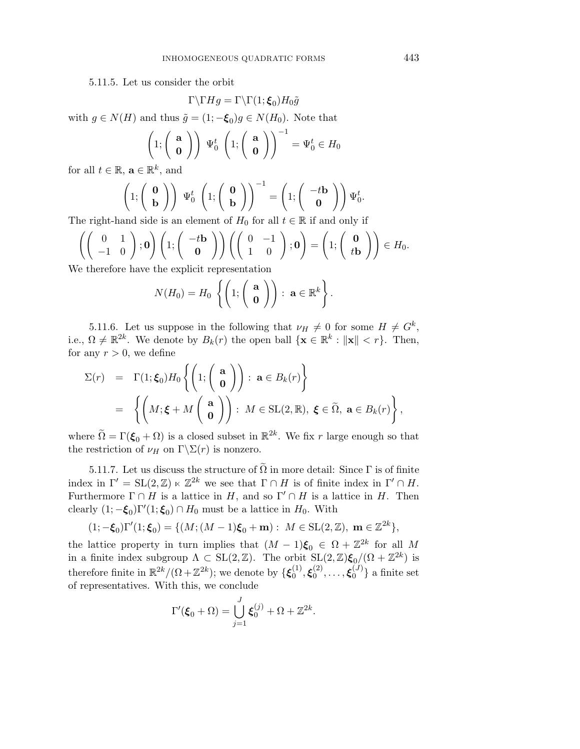5.11.5. Let us consider the orbit

$$
\Gamma \backslash \Gamma Hg = \Gamma \backslash \Gamma(1;\boldsymbol{\xi}_0)H_0\tilde{g}
$$

with  $g \in N(H)$  and thus  $\tilde{g} = (1; -\xi_0)g \in N(H_0)$ . Note that

$$
\left(1; \left(\begin{array}{c} \mathbf{a} \\ \mathbf{0} \end{array}\right)\right) \Psi_0^t \left(1; \left(\begin{array}{c} \mathbf{a} \\ \mathbf{0} \end{array}\right)\right)^{-1} = \Psi_0^t \in H_0
$$

for all  $t \in \mathbb{R}$ ,  $\mathbf{a} \in \mathbb{R}^k$ , and

$$
\left(1; \begin{pmatrix} \mathbf{0} \\ \mathbf{b} \end{pmatrix} \right) \Psi_0^t \left(1; \begin{pmatrix} \mathbf{0} \\ \mathbf{b} \end{pmatrix} \right)^{-1} = \left(1; \begin{pmatrix} -t\mathbf{b} \\ \mathbf{0} \end{pmatrix} \right) \Psi_0^t.
$$

The right-hand side is an element of  $H_0$  for all  $t \in \mathbb{R}$  if and only if

$$
\left( \begin{pmatrix} 0 & 1 \ -1 & 0 \end{pmatrix}; \mathbf{0} \right) \left( 1; \begin{pmatrix} -t\mathbf{b} \\ \mathbf{0} \end{pmatrix} \right) \left( \begin{pmatrix} 0 & -1 \ 1 & 0 \end{pmatrix}; \mathbf{0} \right) = \left( 1; \begin{pmatrix} \mathbf{0} \\ t\mathbf{b} \end{pmatrix} \right) \in H_0.
$$
\nWe therefore have the explicit representation

We therefore have the explicit representation

$$
N(H_0)=H_0\left\{\left(1;\left(\begin{array}{c}\mathbf{a}\\ \mathbf{0}\end{array}\right)\right):\ \mathbf{a}\in\mathbb{R}^k\right\}.
$$

5.11.6. Let us suppose in the following that  $\nu_H \neq 0$  for some  $H \neq G^k$ , i.e.,  $\Omega \neq \mathbb{R}^{2k}$ . We denote by  $B_k(r)$  the open ball  $\{\mathbf{x} \in \mathbb{R}^k : ||\mathbf{x}|| < r\}$ . Then, for any  $r > 0$ , we define

$$
\Sigma(r) = \Gamma(1; \xi_0) H_0 \left\{ \left( 1; \begin{pmatrix} a \\ 0 \end{pmatrix} \right) : a \in B_k(r) \right\} \n= \left\{ \left( M; \xi + M \begin{pmatrix} a \\ 0 \end{pmatrix} \right) : M \in SL(2, \mathbb{R}), \xi \in \tilde{\Omega}, a \in B_k(r) \right\},
$$

where  $\tilde{\Omega} = \Gamma(\xi_0 + \Omega)$  is a closed subset in  $\mathbb{R}^{2k}$ . We fix r large enough so that the restriction of  $\nu_H$  on  $\Gamma \backslash \Sigma(r)$  is nonzero.

5.11.7. Let us discuss the structure of  $\tilde{\Omega}$  in more detail: Since  $\Gamma$  is of finite index in  $\Gamma' = SL(2, \mathbb{Z}) \ltimes \mathbb{Z}^{2k}$  we see that  $\Gamma \cap H$  is of finite index in  $\Gamma' \cap H$ . Furthermore  $\Gamma \cap H$  is a lattice in H, and so  $\Gamma' \cap H$  is a lattice in H. Then clearly  $(1; -\xi_0) \Gamma'(1; \xi_0) \cap H_0$  must be a lattice in  $H_0$ . With

$$
(1; -\xi_0)\Gamma'(1; \xi_0) = \{ (M; (M-1)\xi_0 + \mathbf{m}) : M \in SL(2, \mathbb{Z}), \mathbf{m} \in \mathbb{Z}^{2k} \},
$$

the lattice property in turn implies that  $(M-1)\xi_0 \in \Omega + \mathbb{Z}^{2k}$  for all M in a finite index subgroup  $\Lambda \subset SL(2,\mathbb{Z})$ . The orbit  $SL(2,\mathbb{Z})\xi_0/(\Omega+\mathbb{Z}^{2k})$  is therefore finite in  $\mathbb{R}^{2k}/(\Omega + \mathbb{Z}^{2k})$ ; we denote by  $\{\boldsymbol{\xi}_0^{(1)}, \boldsymbol{\xi}_0^{(2)}, \dots, \boldsymbol{\xi}_0^{(J)}\}$  a finite set of representatives. With this, we conclude

$$
\Gamma'(\boldsymbol{\xi}_0 + \Omega) = \bigcup_{j=1}^J \boldsymbol{\xi}_0^{(j)} + \Omega + \mathbb{Z}^{2k}.
$$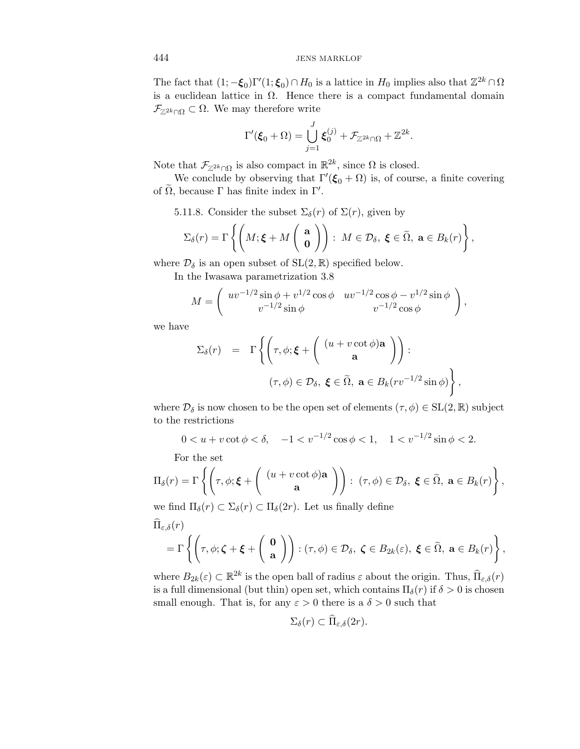The fact that  $(1; -\xi_0) \Gamma'(1; \xi_0) \cap H_0$  is a lattice in  $H_0$  implies also that  $\mathbb{Z}^{2k} \cap \Omega$ is a euclidean lattice in  $\Omega$ . Hence there is a compact fundamental domain  $\mathcal{F}_{\mathbb{Z}^{2k}\cap\Omega}\subset\Omega$ . We may therefore write

$$
\Gamma'(\boldsymbol{\xi}_0 + \Omega) = \bigcup_{j=1}^J \boldsymbol{\xi}_0^{(j)} + \mathcal{F}_{\mathbb{Z}^{2k} \cap \Omega} + \mathbb{Z}^{2k}.
$$

Note that  $\mathcal{F}_{\mathbb{Z}^{2k}\cap\Omega}$  is also compact in  $\mathbb{R}^{2k}$ , since  $\Omega$  is closed.

We conclude by observing that  $\Gamma'(\xi_0 + \Omega)$  is, of course, a finite covering of  $\tilde{\Omega}$ , because  $\Gamma$  has finite index in  $\Gamma'$ .

5.11.8. Consider the subset  $\Sigma_{\delta}(r)$  of  $\Sigma(r)$ , given by

$$
\Sigma_{\delta}(r) = \Gamma\left\{ \left(M; \boldsymbol{\xi} + M\left(\begin{array}{c} \mathbf{a} \\ \mathbf{0} \end{array}\right)\right) : M \in \mathcal{D}_{\delta}, \ \boldsymbol{\xi} \in \widetilde{\Omega}, \ \mathbf{a} \in B_{k}(r) \right\},\
$$

where  $\mathcal{D}_{\delta}$  is an open subset of  $SL(2,\mathbb{R})$  specified below.

In the Iwasawa parametrization 3.8

$$
M = \begin{pmatrix} uv^{-1/2} \sin \phi + v^{1/2} \cos \phi & uv^{-1/2} \cos \phi - v^{1/2} \sin \phi \\ v^{-1/2} \sin \phi & v^{-1/2} \cos \phi \end{pmatrix},
$$

we have

$$
\Sigma_{\delta}(r) = \Gamma \left\{ \left( \tau, \phi; \boldsymbol{\xi} + \left( \begin{array}{c} (u + v \cot \phi) \mathbf{a} \\ \mathbf{a} \end{array} \right) \right) : \n(\tau, \phi) \in \mathcal{D}_{\delta}, \ \boldsymbol{\xi} \in \widetilde{\Omega}, \ \mathbf{a} \in B_{k}(rv^{-1/2} \sin \phi) \right\},
$$

where  $\mathcal{D}_{\delta}$  is now chosen to be the open set of elements  $(\tau,\phi) \in SL(2,\mathbb{R})$  subject to the restrictions

$$
0 < u + v \cot \phi < \delta, \quad -1 < v^{-1/2} \cos \phi < 1, \quad 1 < v^{-1/2} \sin \phi < 2.
$$

For the set

$$
\Pi_{\delta}(r) = \Gamma\left\{ \left( \tau, \phi; \boldsymbol{\xi} + \left( \begin{array}{c} (u + v \cot \phi) \mathbf{a} \\ \mathbf{a} \end{array} \right) \right) : (\tau, \phi) \in \mathcal{D}_{\delta}, \ \boldsymbol{\xi} \in \widetilde{\Omega}, \ \mathbf{a} \in B_{k}(r) \right\},\
$$
we find  $\Pi_{\delta}(r) \subseteq \Sigma_{\delta}(r) \subseteq \Pi_{\delta}(2r)$ . Let us finally define

we find  $\Pi_{\delta}(r) \subset \Sigma_{\delta}(r) \subset \Pi_{\delta}(2r)$ . Let us finally define

$$
\widehat{\Pi}_{\varepsilon,\delta}(r) = \Gamma\left\{ \left( \tau, \phi; \zeta + \xi + \left( \begin{array}{c} \mathbf{0} \\ \mathbf{a} \end{array} \right) \right) : (\tau, \phi) \in \mathcal{D}_{\delta}, \ \zeta \in B_{2k}(\varepsilon), \ \xi \in \widetilde{\Omega}, \ \mathbf{a} \in B_{k}(r) \right\},\
$$

where  $B_{2k}(\varepsilon) \subset \mathbb{R}^{2k}$  is the open ball of radius  $\varepsilon$  about the origin. Thus,  $\widehat{\Pi}_{\varepsilon,\delta}(r)$ is a full dimensional (but thin) open set, which contains  $\Pi_{\delta}(r)$  if  $\delta > 0$  is chosen small enough. That is, for any  $\varepsilon > 0$  there is a  $\delta > 0$  such that

$$
\Sigma_{\delta}(r) \subset \Pi_{\varepsilon,\delta}(2r).
$$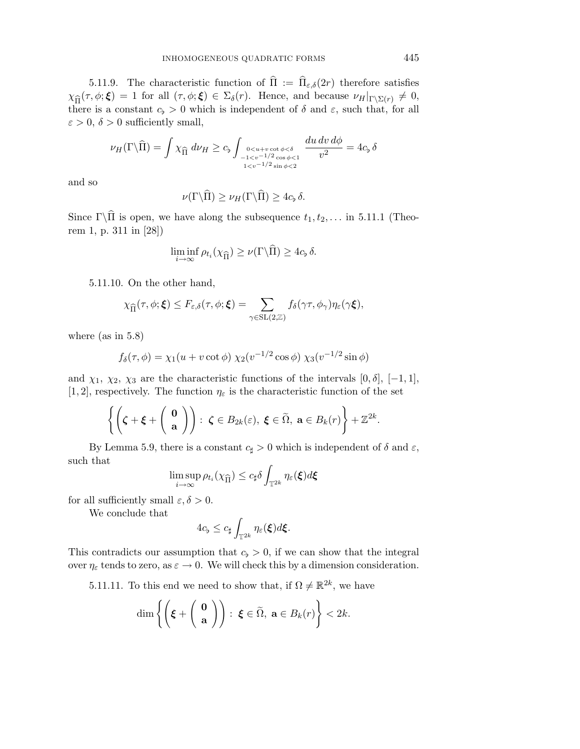5.11.9. The characteristic function of  $\hat{\Pi} := \hat{\Pi}_{\varepsilon,\delta}(2r)$  therefore satisfies  $\chi_{\hat{\Pi}}(\tau,\phi;\boldsymbol{\xi})=1$  for all  $(\tau,\phi;\boldsymbol{\xi})\in\Sigma_{\delta}(r)$ . Hence, and because  $\nu_H|_{\Gamma\setminus\Sigma(r)}\neq 0$ , there is a constant  $c_{\flat} > 0$  which is independent of  $\delta$  and  $\varepsilon$ , such that, for all  $\varepsilon > 0$ ,  $\delta > 0$  sufficiently small,

$$
\nu_H(\Gamma \backslash \widehat{\Pi}) = \int \chi_{\widehat{\Pi}} d\nu_H \geq c_b \int_{\substack{0 < u + v \cot \phi < \delta \\ 1 < v^{-1/2} \cos \phi < 1}} \frac{du \, dv \, d\phi}{v^2} = 4c_b \, \delta
$$

and so

$$
\nu(\Gamma\backslash\widehat{\Pi})\geq\nu_H(\Gamma\backslash\widehat{\Pi})\geq 4c_{\flat}\,\delta.
$$

Since  $\Gamma \backslash \hat{\Pi}$  is open, we have along the subsequence  $t_1, t_2, \ldots$  in 5.11.1 (Theorem 1, p. 311 in [28])

$$
\liminf_{i \to \infty} \rho_{t_i}(\chi_{\widehat{\Pi}}) \ge \nu(\Gamma \backslash \widehat{\Pi}) \ge 4c_{\flat} \delta.
$$

5.11.10. On the other hand,

$$
\chi_{\widehat{\Pi}}(\tau,\phi;\boldsymbol{\xi}) \leq F_{\varepsilon,\delta}(\tau,\phi;\boldsymbol{\xi}) = \sum_{\gamma \in \mathrm{SL}(2,\mathbb{Z})} f_{\delta}(\gamma \tau,\phi_{\gamma}) \eta_{\varepsilon}(\gamma \boldsymbol{\xi}),
$$

where (as in 5.8)

$$
f_{\delta}(\tau, \phi) = \chi_1(u + v \cot \phi) \chi_2(v^{-1/2} \cos \phi) \chi_3(v^{-1/2} \sin \phi)
$$

and  $\chi_1$ ,  $\chi_2$ ,  $\chi_3$  are the characteristic functions of the intervals [0,  $\delta$ ], [-1, 1], [1, 2], respectively. The function  $\eta_{\varepsilon}$  is the characteristic function of the set

$$
\left\{\left(\boldsymbol{\zeta}+\boldsymbol{\xi}+\left(\begin{array}{c}\mathbf{0}\\ \mathbf{a}\end{array}\right)\right):\ \boldsymbol{\zeta}\in B_{2k}(\varepsilon),\ \boldsymbol{\xi}\in\widetilde{\Omega},\ \mathbf{a}\in B_{k}(r)\right\}+\mathbb{Z}^{2k}.
$$

By Lemma 5.9, there is a constant  $c_{\sharp} > 0$  which is independent of  $\delta$  and  $\varepsilon$ , such that

$$
\limsup_{i\to\infty}\rho_{t_i}(\chi_{\widehat{\Pi}})\leq c_\sharp\delta\int_{\mathbb{T}^{2k}}\eta_{\varepsilon}(\boldsymbol{\xi})d\boldsymbol{\xi}
$$

for all sufficiently small  $\varepsilon, \delta > 0$ .

We conclude that

$$
4c_{\flat} \leq c_{\sharp} \int_{\mathbb{T}^{2k}} \eta_{\varepsilon}(\boldsymbol{\xi}) d\boldsymbol{\xi}.
$$

This contradicts our assumption that  $c_b > 0$ , if we can show that the integral over  $\eta_{\varepsilon}$  tends to zero, as  $\varepsilon \to 0$ . We will check this by a dimension consideration.

5.11.11. To this end we need to show that, if  $\Omega \neq \mathbb{R}^{2k}$ , we have

$$
\dim \left\{ \left( \boldsymbol{\xi} + \left( \begin{array}{c} \mathbf{0} \\ \mathbf{a} \end{array} \right) \right) : \ \boldsymbol{\xi} \in \widetilde{\Omega}, \ \mathbf{a} \in B_k(r) \right\} < 2k.
$$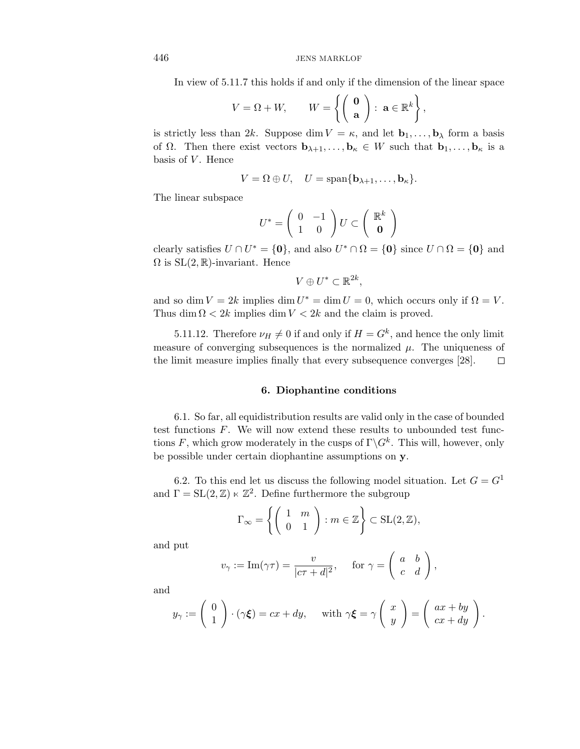In view of 5.11.7 this holds if and only if the dimension of the linear space

$$
V = \Omega + W, \qquad W = \left\{ \begin{pmatrix} \mathbf{0} \\ \mathbf{a} \end{pmatrix} : \ \mathbf{a} \in \mathbb{R}^k \right\},
$$

is strictly less than 2k. Suppose dim  $V = \kappa$ , and let  $\mathbf{b}_1, \ldots, \mathbf{b}_\lambda$  form a basis of  $\Omega$ . Then there exist vectors  $\mathbf{b}_{\lambda+1},...,\mathbf{b}_{\kappa} \in W$  such that  $\mathbf{b}_1,...,\mathbf{b}_{\kappa}$  is a basis of  $V$ . Hence

$$
V = \Omega \oplus U, \quad U = \text{span}\{\mathbf{b}_{\lambda+1}, \dots, \mathbf{b}_{\kappa}\}.
$$

The linear subspace

$$
U^* = \left(\begin{array}{cc} 0 & -1 \\ 1 & 0 \end{array}\right) U \subset \left(\begin{array}{c} \mathbb{R}^k \\ \mathbf{0} \end{array}\right)
$$

clearly satisfies  $U \cap U^* = \{0\}$ , and also  $U^* \cap \Omega = \{0\}$  since  $U \cap \Omega = \{0\}$  and  $\Omega$  is  $SL(2,\mathbb{R})$ -invariant. Hence

$$
V \oplus U^* \subset \mathbb{R}^{2k},
$$

and so dim  $V = 2k$  implies dim  $U^* = \dim U = 0$ , which occurs only if  $\Omega = V$ . Thus dim  $\Omega < 2k$  implies dim  $V < 2k$  and the claim is proved.

5.11.12. Therefore  $\nu_H \neq 0$  if and only if  $H = G^k$ , and hence the only limit measure of converging subsequences is the normalized  $\mu$ . The uniqueness of the limit measure implies finally that every subsequence converges [28].  $\Box$ 

### **6. Diophantine conditions**

6.1. So far, all equidistribution results are valid only in the case of bounded test functions  $F$ . We will now extend these results to unbounded test functions F, which grow moderately in the cusps of  $\Gamma \backslash G^k$ . This will, however, only be possible under certain diophantine assumptions on **y**.

6.2. To this end let us discuss the following model situation. Let  $G = G<sup>1</sup>$ and  $\Gamma = SL(2, \mathbb{Z}) \ltimes \mathbb{Z}^2$ . Define furthermore the subgroup

$$
\Gamma_{\infty} = \left\{ \left( \begin{array}{cc} 1 & m \\ 0 & 1 \end{array} \right) : m \in \mathbb{Z} \right\} \subset \text{SL}(2, \mathbb{Z}),
$$

and put

$$
v_{\gamma} := \text{Im}(\gamma \tau) = \frac{v}{|c\tau + d|^2}, \quad \text{for } \gamma = \begin{pmatrix} a & b \\ c & d \end{pmatrix},
$$

and

$$
y_{\gamma} := \begin{pmatrix} 0 \\ 1 \end{pmatrix} \cdot (\gamma \xi) = cx + dy, \quad \text{with } \gamma \xi = \gamma \begin{pmatrix} x \\ y \end{pmatrix} = \begin{pmatrix} ax + by \\ cx + dy \end{pmatrix}.
$$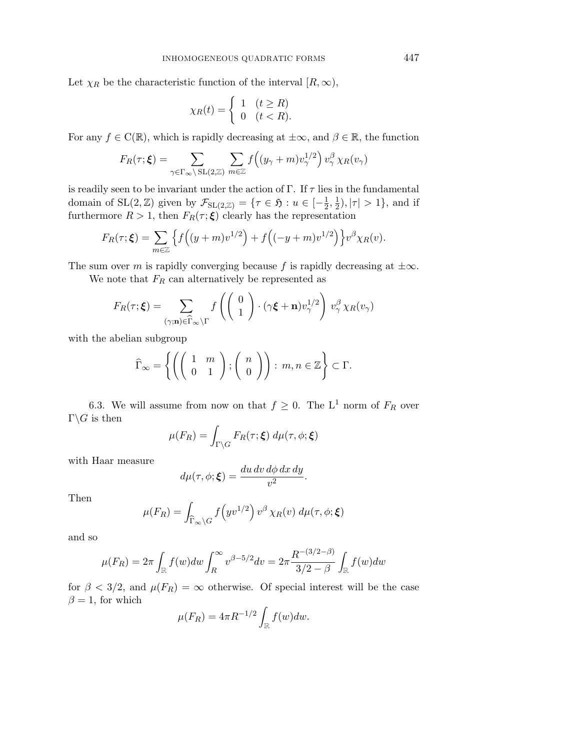Let  $\chi_R$  be the characteristic function of the interval  $[R,\infty)$ ,

$$
\chi_R(t) = \begin{cases} 1 & (t \ge R) \\ 0 & (t < R). \end{cases}
$$

For any  $f \in C(\mathbb{R})$ , which is rapidly decreasing at  $\pm \infty$ , and  $\beta \in \mathbb{R}$ , the function

$$
F_R(\tau; \xi) = \sum_{\gamma \in \Gamma_{\infty} \backslash \mathrm{SL}(2,\mathbb{Z})} \sum_{m \in \mathbb{Z}} f\left( (y_{\gamma} + m) v_{\gamma}^{1/2} \right) v_{\gamma}^{\beta} \chi_R(v_{\gamma})
$$

is readily seen to be invariant under the action of Γ. If  $\tau$  lies in the fundamental domain of  $SL(2, \mathbb{Z})$  given by  $\mathcal{F}_{SL(2, \mathbb{Z})} = \{ \tau \in \mathfrak{H} : u \in [-\frac{1}{2}, \frac{1}{2}), |\tau| > 1 \}$ , and if furthermore  $R > 1$ , then  $F_R(\tau; \xi)$  clearly has the representation

$$
F_R(\tau; \xi) = \sum_{m \in \mathbb{Z}} \left\{ f\left( (y+m)v^{1/2} \right) + f\left( (-y+m)v^{1/2} \right) \right\} v^{\beta} \chi_R(v).
$$

The sum over m is rapidly converging because f is rapidly decreasing at  $\pm \infty$ .

We note that  $F_R$  can alternatively be represented as

$$
F_R(\tau; \boldsymbol{\xi}) = \sum_{(\gamma; \mathbf{n}) \in \widehat{\Gamma}_{\infty} \backslash \Gamma} f\left(\begin{pmatrix} 0\\1 \end{pmatrix} \cdot (\gamma \boldsymbol{\xi} + \mathbf{n}) v_{\gamma}^{1/2}\right) v_{\gamma}^{\beta} \chi_R(v_{\gamma})
$$

with the abelian subgroup

$$
\widehat{\Gamma}_{\infty} = \left\{ \left( \left( \begin{array}{cc} 1 & m \\ 0 & 1 \end{array} \right); \left( \begin{array}{c} n \\ 0 \end{array} \right) \right) : m, n \in \mathbb{Z} \right\} \subset \Gamma.
$$

6.3. We will assume from now on that  $f \geq 0$ . The L<sup>1</sup> norm of  $F_R$  over  $\Gamma \backslash G$  is then

$$
\mu(F_R) = \int_{\Gamma \backslash G} F_R(\tau; \boldsymbol{\xi}) \, d\mu(\tau, \phi; \boldsymbol{\xi})
$$

with Haar measure

$$
d\mu(\tau,\phi;\boldsymbol{\xi}) = \frac{du\,dv\,d\phi\,dx\,dy}{v^2}.
$$

Then

$$
\mu(F_R) = \int_{\widehat{\Gamma}_{\infty} \backslash G} f\left(yv^{1/2}\right) v^{\beta} \chi_R(v) \, d\mu(\tau, \phi; \xi)
$$

and so

$$
\mu(F_R) = 2\pi \int_{\mathbb{R}} f(w) dw \int_{R}^{\infty} v^{\beta - 5/2} dv = 2\pi \frac{R^{-(3/2 - \beta)}}{3/2 - \beta} \int_{\mathbb{R}} f(w) dw
$$

for  $\beta < 3/2$ , and  $\mu(F_R) = \infty$  otherwise. Of special interest will be the case  $\beta = 1$ , for which

$$
\mu(F_R) = 4\pi R^{-1/2} \int_{\mathbb{R}} f(w) dw.
$$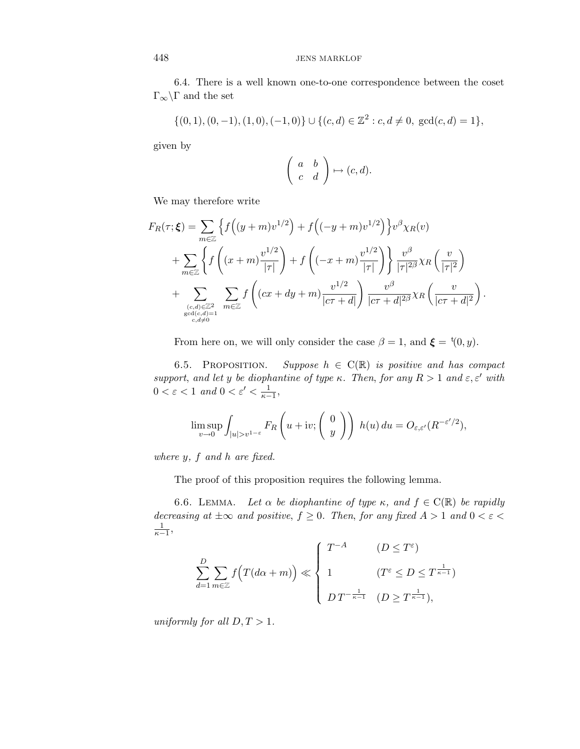6.4. There is a well known one-to-one correspondence between the coset  $\Gamma_{\infty}\backslash\Gamma$  and the set

$$
\{(0,1), (0,-1), (1,0), (-1,0)\} \cup \{(c,d) \in \mathbb{Z}^2 : c, d \neq 0, \gcd(c,d) = 1\},\
$$

given by

$$
\left(\begin{array}{cc} a & b \\ c & d \end{array}\right) \mapsto (c, d).
$$

We may therefore write

$$
F_R(\tau; \xi) = \sum_{m \in \mathbb{Z}} \left\{ f\left( (y+m)v^{1/2} \right) + f\left( (-y+m)v^{1/2} \right) \right\} v^{\beta} \chi_R(v)
$$
  
+ 
$$
\sum_{m \in \mathbb{Z}} \left\{ f\left( (x+m)\frac{v^{1/2}}{|\tau|} \right) + f\left( (-x+m)\frac{v^{1/2}}{|\tau|} \right) \right\} \frac{v^{\beta}}{|\tau|^{2\beta}} \chi_R \left( \frac{v}{|\tau|^2} \right)
$$
  
+ 
$$
\sum_{\substack{(c,d) \in \mathbb{Z}^2 \text{ such that } c, d \neq 0}} \sum_{m \in \mathbb{Z}} f\left( (cx+dy+m)\frac{v^{1/2}}{|c\tau+d|} \right) \frac{v^{\beta}}{|c\tau+d|^{2\beta}} \chi_R \left( \frac{v}{|c\tau+d|^2} \right).
$$

From here on, we will only consider the case  $\beta = 1$ , and  $\boldsymbol{\xi} = {}^{t}(0, y)$ .

6.5. PROPOSITION. Suppose  $h \in C(\mathbb{R})$  is positive and has compact support, and let y be diophantine of type  $\kappa$ . Then, for any  $R > 1$  and  $\varepsilon, \varepsilon'$  with  $0 < \varepsilon < 1$  and  $0 < \varepsilon' < \frac{1}{\kappa - 1}$ ,

$$
\limsup_{v \to 0} \int_{|u| > v^{1-\varepsilon}} F_R\left(u + iv; \begin{pmatrix} 0 \\ y \end{pmatrix} \right) h(u) du = O_{\varepsilon, \varepsilon'}(R^{-\varepsilon'/2}),
$$

where  $y$ ,  $f$  and  $h$  are fixed.

The proof of this proposition requires the following lemma.

6.6. LEMMA. Let  $\alpha$  be diophantine of type  $\kappa$ , and  $f \in C(\mathbb{R})$  be rapidly decreasing at  $\pm \infty$  and positive,  $f \geq 0$ . Then, for any fixed  $A > 1$  and  $0 < \varepsilon <$  $\frac{1}{\kappa-1}$ 

$$
\sum_{d=1}^{D} \sum_{m \in \mathbb{Z}} f(T(d\alpha + m)) \ll \begin{cases} T^{-A} & (D \leq T^{\varepsilon}) \\ 1 & (T^{\varepsilon} \leq D \leq T^{\frac{1}{\kappa - 1}}) \\ D T^{-\frac{1}{\kappa - 1}} & (D \geq T^{\frac{1}{\kappa - 1}}), \end{cases}
$$

uniformly for all  $D, T > 1$ .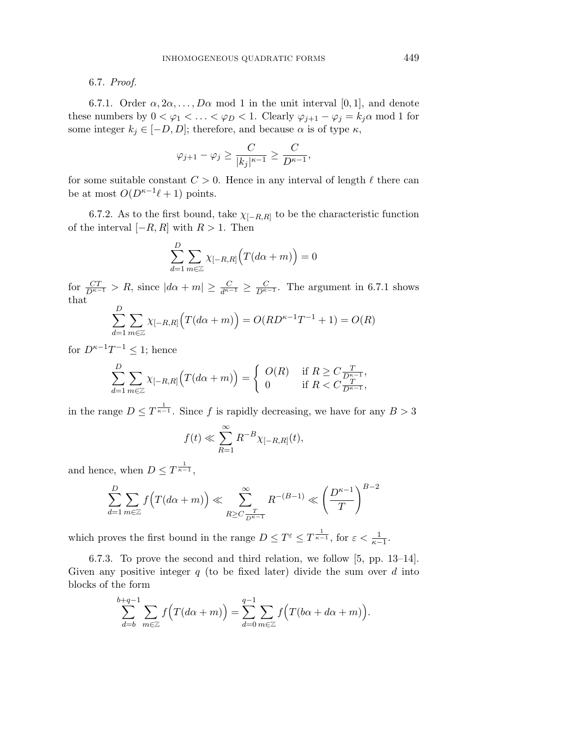### 6.7. Proof.

6.7.1. Order  $\alpha, 2\alpha, \ldots, D\alpha$  mod 1 in the unit interval [0, 1], and denote these numbers by  $0 < \varphi_1 < \ldots < \varphi_D < 1$ . Clearly  $\varphi_{j+1} - \varphi_j = k_j \alpha \mod 1$  for some integer  $k_j \in [-D, D]$ ; therefore, and because  $\alpha$  is of type  $\kappa$ ,

$$
\varphi_{j+1}-\varphi_j\geq \frac{C}{|k_j|^{\kappa-1}}\geq \frac{C}{D^{\kappa-1}},
$$

for some suitable constant  $C > 0$ . Hence in any interval of length  $\ell$  there can be at most  $O(D^{\kappa-1}\ell + 1)$  points.

6.7.2. As to the first bound, take  $\chi_{[-R,R]}$  to be the characteristic function of the interval  $[-R, R]$  with  $R > 1$ . Then

$$
\sum_{d=1}^{D} \sum_{m \in \mathbb{Z}} \chi_{[-R,R]} \Big( T(d\alpha + m) \Big) = 0
$$

for  $\frac{CT}{D^{\kappa-1}} > R$ , since  $|d\alpha + m| \geq \frac{C}{d^{\kappa-1}} \geq \frac{C}{D^{\kappa-1}}$ . The argument in 6.7.1 shows that

$$
\sum_{d=1}^{D} \sum_{m \in \mathbb{Z}} \chi_{[-R,R]}(T(d\alpha + m)) = O(RD^{\kappa - 1}T^{-1} + 1) = O(R)
$$

for  $D^{\kappa-1}T^{-1} \leq 1$ ; hence

$$
\sum_{d=1}^{D} \sum_{m \in \mathbb{Z}} \chi_{[-R,R]} \Big( T(d\alpha + m) \Big) = \begin{cases} O(R) & \text{if } R \ge C \frac{T}{D^{\kappa - 1}}, \\ 0 & \text{if } R < C \frac{T}{D^{\kappa - 1}}, \end{cases}
$$

in the range  $D \leq T^{\frac{1}{\kappa-1}}$ . Since f is rapidly decreasing, we have for any  $B > 3$ 

$$
f(t) \ll \sum_{R=1}^{\infty} R^{-B} \chi_{[-R,R]}(t),
$$

and hence, when  $D \leq T^{\frac{1}{\kappa-1}}$ ,

$$
\sum_{d=1}^{D} \sum_{m \in \mathbb{Z}} f(T(d\alpha + m)) \ll \sum_{R \ge C} \sum_{\frac{T}{D^{\kappa - 1}}} R^{-(B-1)} \ll \left(\frac{D^{\kappa - 1}}{T}\right)^{B-2}
$$

which proves the first bound in the range  $D \leq T^{\varepsilon} \leq T^{\frac{1}{\kappa-1}}$ , for  $\varepsilon < \frac{1}{\kappa-1}$ .

6.7.3. To prove the second and third relation, we follow [5, pp. 13–14]. Given any positive integer  $q$  (to be fixed later) divide the sum over  $d$  into blocks of the form

$$
\sum_{d=b}^{b+q-1} \sum_{m \in \mathbb{Z}} f(T(d\alpha + m)) = \sum_{d=0}^{q-1} \sum_{m \in \mathbb{Z}} f(T(b\alpha + d\alpha + m)).
$$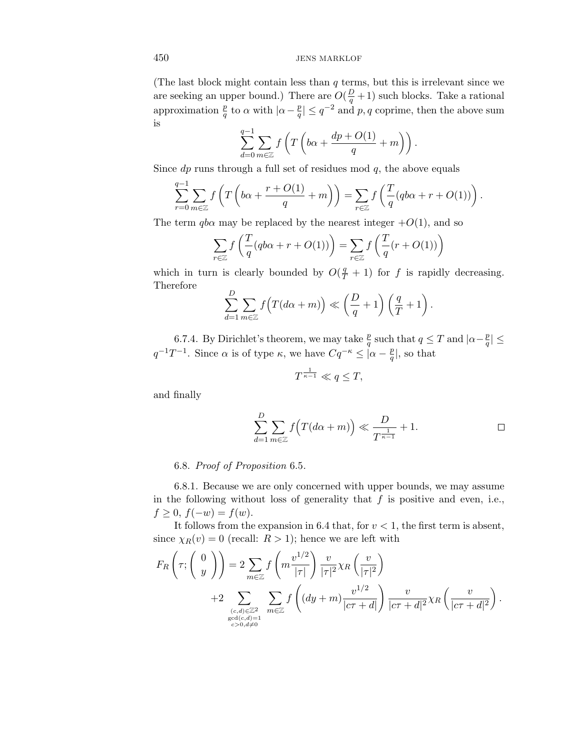(The last block might contain less than  $q$  terms, but this is irrelevant since we are seeking an upper bound.) There are  $O(\frac{D}{q}+1)$  such blocks. Take a rational approximation  $\frac{p}{q}$  to  $\alpha$  with  $|\alpha - \frac{p}{q}| \leq q^{-2}$  and  $p, q$  coprime, then the above sum is

$$
\sum_{d=0}^{q-1} \sum_{m \in \mathbb{Z}} f\left(T\left(b\alpha + \frac{dp + O(1)}{q} + m\right)\right).
$$

Since  $dp$  runs through a full set of residues mod  $q$ , the above equals

$$
\sum_{r=0}^{q-1} \sum_{m \in \mathbb{Z}} f\left(T\left(b\alpha + \frac{r + O(1)}{q} + m\right)\right) = \sum_{r \in \mathbb{Z}} f\left(\frac{T}{q}(q b\alpha + r + O(1))\right).
$$

The term  $q b \alpha$  may be replaced by the nearest integer  $+O(1)$ , and so

$$
\sum_{r \in \mathbb{Z}} f\left(\frac{T}{q} (q b\alpha + r + O(1))\right) = \sum_{r \in \mathbb{Z}} f\left(\frac{T}{q} (r + O(1))\right)
$$

which in turn is clearly bounded by  $O(\frac{q}{T}+1)$  for f is rapidly decreasing. Therefore

$$
\sum_{d=1}^{D} \sum_{m \in \mathbb{Z}} f\left(T(d\alpha + m)\right) \ll \left(\frac{D}{q} + 1\right) \left(\frac{q}{T} + 1\right).
$$

6.7.4. By Dirichlet's theorem, we may take  $\frac{p}{q}$  such that  $q \leq T$  and  $|\alpha - \frac{p}{q}| \leq$  $q^{-1}T^{-1}$ . Since  $\alpha$  is of type  $\kappa$ , we have  $Cq^{-\kappa} \leq |\alpha - \frac{p}{q}|$ , so that

$$
T^{\frac{1}{\kappa-1}} \ll q \leq T,
$$

and finally

$$
\sum_{d=1}^{D} \sum_{m \in \mathbb{Z}} f\Big(T(d\alpha + m)\Big) \ll \frac{D}{T^{\frac{1}{\kappa - 1}}} + 1.
$$

#### 6.8. Proof of Proposition 6.5.

6.8.1. Because we are only concerned with upper bounds, we may assume in the following without loss of generality that  $f$  is positive and even, i.e.,  $f \geq 0, f(-w) = f(w).$ 

It follows from the expansion in 6.4 that, for  $v < 1$ , the first term is absent, since  $\chi_R(v) = 0$  (recall:  $R > 1$ ); hence we are left with

$$
F_R\left(\tau; \begin{pmatrix} 0\\y \end{pmatrix}\right) = 2 \sum_{m \in \mathbb{Z}} f\left(m \frac{v^{1/2}}{|\tau|}\right) \frac{v}{|\tau|^2} \chi_R\left(\frac{v}{|\tau|^2}\right)
$$
  
+2 
$$
\sum_{\substack{(c,d) \in \mathbb{Z}^2\\ \gcd(c,d) = 1\\c > 0, d \neq 0}} \sum_{m \in \mathbb{Z}} f\left((dy+m) \frac{v^{1/2}}{|c\tau + d|}\right) \frac{v}{|c\tau + d|^2} \chi_R\left(\frac{v}{|c\tau + d|^2}\right).
$$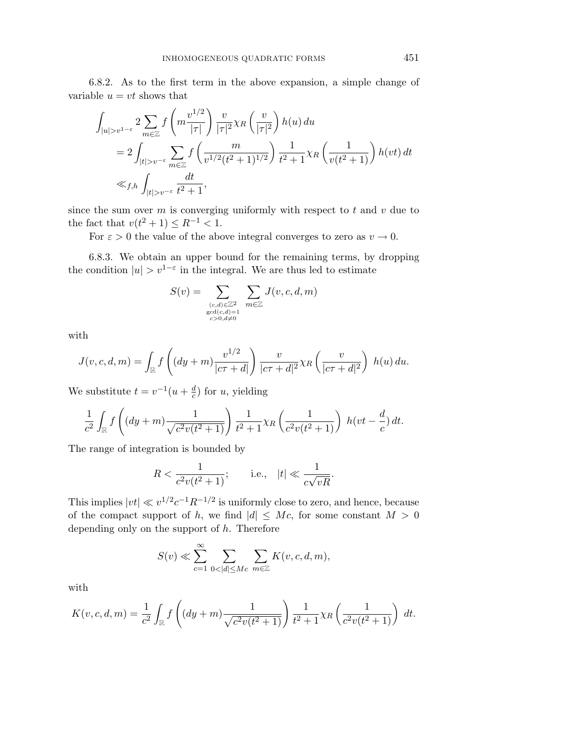6.8.2. As to the first term in the above expansion, a simple change of variable  $u = vt$  shows that

$$
\int_{|u|>v^{1-\varepsilon}} 2 \sum_{m\in\mathbb{Z}} f\left(m\frac{v^{1/2}}{|\tau|}\right) \frac{v}{|\tau|^2} \chi_R\left(\frac{v}{|\tau|^2}\right) h(u) du
$$
  
= 
$$
2 \int_{|t|>v^{-\varepsilon}} \sum_{m\in\mathbb{Z}} f\left(\frac{m}{v^{1/2}(t^2+1)^{1/2}}\right) \frac{1}{t^2+1} \chi_R\left(\frac{1}{v(t^2+1)}\right) h(vt) dt
$$
  
\$\ll f,h\$ 
$$
\int_{|t|>v^{-\varepsilon}} \frac{dt}{t^2+1},
$$

since the sum over  $m$  is converging uniformly with respect to  $t$  and  $v$  due to the fact that  $v(t^2 + 1) \le R^{-1} < 1$ .

For  $\varepsilon > 0$  the value of the above integral converges to zero as  $v \to 0$ .

6.8.3. We obtain an upper bound for the remaining terms, by dropping the condition  $|u| > v^{1-\epsilon}$  in the integral. We are thus led to estimate

$$
S(v) = \sum_{\substack{(c,d) \in \mathbb{Z}^2\\ \gcd(c,d) = 1\\ c > 0, d \neq 0}} \sum_{m \in \mathbb{Z}} J(v, c, d, m)
$$

with

$$
J(v, c, d, m) = \int_{\mathbb{R}} f\left((dy+m)\frac{v^{1/2}}{|c\tau+d|}\right) \frac{v}{|c\tau+d|^2} \chi_R\left(\frac{v}{|c\tau+d|^2}\right) h(u) du.
$$

We substitute  $t = v^{-1}(u + \frac{d}{c})$  for u, yielding

$$
\frac{1}{c^2} \int_{\mathbb{R}} f\left( (dy+m) \frac{1}{\sqrt{c^2 v(t^2+1)}} \right) \frac{1}{t^2+1} \chi_R \left( \frac{1}{c^2 v(t^2+1)} \right) h(vt - \frac{d}{c}) dt.
$$

The range of integration is bounded by

$$
R < \frac{1}{c^2 v(t^2 + 1)}; \qquad \text{i.e.,} \quad |t| \ll \frac{1}{c\sqrt{vR}}.
$$

This implies  $|vt| \ll v^{1/2}c^{-1}R^{-1/2}$  is uniformly close to zero, and hence, because of the compact support of h, we find  $|d| \le Mc$ , for some constant  $M > 0$ depending only on the support of  $h$ . Therefore

$$
S(v) \ll \sum_{c=1}^{\infty} \sum_{0 < |d| \le Mc} \sum_{m \in \mathbb{Z}} K(v, c, d, m),
$$

with

$$
K(v, c, d, m) = \frac{1}{c^2} \int_{\mathbb{R}} f\left( (dy + m) \frac{1}{\sqrt{c^2 v(t^2 + 1)}} \right) \frac{1}{t^2 + 1} \chi_R \left( \frac{1}{c^2 v(t^2 + 1)} \right) dt.
$$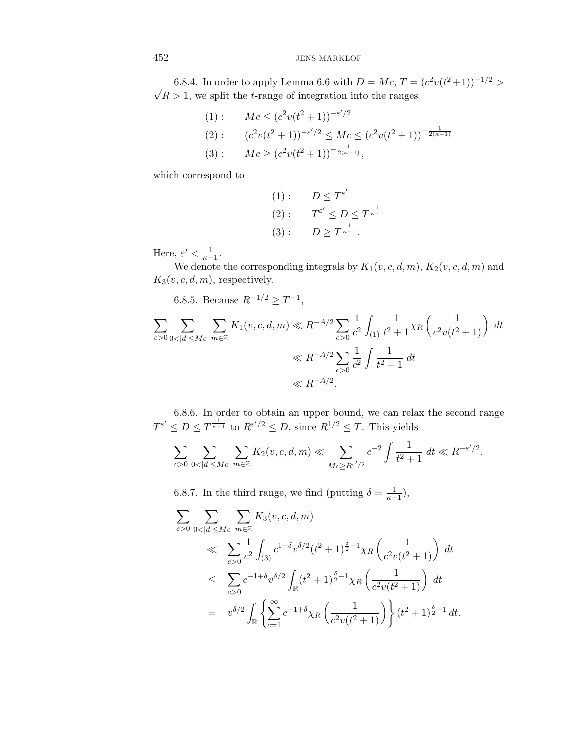6.8.4. In order to apply Lemma 6.6 with  $D = Mc$ ,  $T = (c^2v(t^2+1))^{-1/2} > \sqrt{2}$  $R > 1$ , we split the *t*-range of integration into the ranges

(1): 
$$
Mc \le (c^2v(t^2+1))^{-\varepsilon'/2}
$$
  
\n(2):  $(c^2v(t^2+1))^{-\varepsilon'/2} \le Mc \le (c^2v(t^2+1))^{-\frac{1}{2(\kappa-1)}}$   
\n(3):  $Mc \ge (c^2v(t^2+1))^{-\frac{1}{2(\kappa-1)}},$ 

which correspond to

(1): 
$$
D \leq T^{\varepsilon'}
$$
  
\n(2):  $T^{\varepsilon'} \leq D \leq T^{\frac{1}{\kappa-1}}$   
\n(3):  $D \geq T^{\frac{1}{\kappa-1}}$ .

Here,  $\varepsilon' < \frac{1}{\kappa - 1}$ .

We denote the corresponding integrals by  $K_1(v, c, d, m)$ ,  $K_2(v, c, d, m)$  and  $K_3(v, c, d, m)$ , respectively.

6.8.5. Because  $R^{-1/2} \geq T^{-1}$ ,

$$
\sum_{c>0} \sum_{0<|d|\le Mc} \sum_{m\in\mathbb{Z}} K_1(v,c,d,m) \ll R^{-A/2} \sum_{c>0} \frac{1}{c^2} \int_{(1)} \frac{1}{t^2+1} \chi_R \left( \frac{1}{c^2 v(t^2+1)} \right) dt
$$
  

$$
\ll R^{-A/2} \sum_{c>0} \frac{1}{c^2} \int \frac{1}{t^2+1} dt
$$
  

$$
\ll R^{-A/2}.
$$

6.8.6. In order to obtain an upper bound, we can relax the second range  $T^{\varepsilon'} \leq D \leq T^{\frac{1}{\kappa-1}}$  to  $R^{\varepsilon'/2} \leq D$ , since  $R^{1/2} \leq T$ . This yields

$$
\sum_{c>0} \sum_{0<|d|\le Mc} \sum_{m\in\mathbb{Z}} K_2(v,c,d,m) \ll \sum_{Mc\ge Re^{t/2}} c^{-2} \int \frac{1}{t^2+1} dt \ll R^{-\varepsilon^2/2}.
$$

6.8.7. In the third range, we find (putting  $\delta = \frac{1}{\kappa - 1}$ ),

$$
\sum_{c>0} \sum_{0<|d|\le Mc} \sum_{m\in\mathbb{Z}} K_3(v,c,d,m)
$$
\n
$$
\ll \sum_{c>0} \frac{1}{c^2} \int_{(3)} c^{1+\delta} v^{\delta/2} (t^2+1)^{\frac{\delta}{2}-1} \chi_R\left(\frac{1}{c^2 v(t^2+1)}\right) dt
$$
\n
$$
\le \sum_{c>0} c^{-1+\delta} v^{\delta/2} \int_{\mathbb{R}} (t^2+1)^{\frac{\delta}{2}-1} \chi_R\left(\frac{1}{c^2 v(t^2+1)}\right) dt
$$
\n
$$
= v^{\delta/2} \int_{\mathbb{R}} \left\{ \sum_{c=1}^{\infty} c^{-1+\delta} \chi_R\left(\frac{1}{c^2 v(t^2+1)}\right) \right\} (t^2+1)^{\frac{\delta}{2}-1} dt.
$$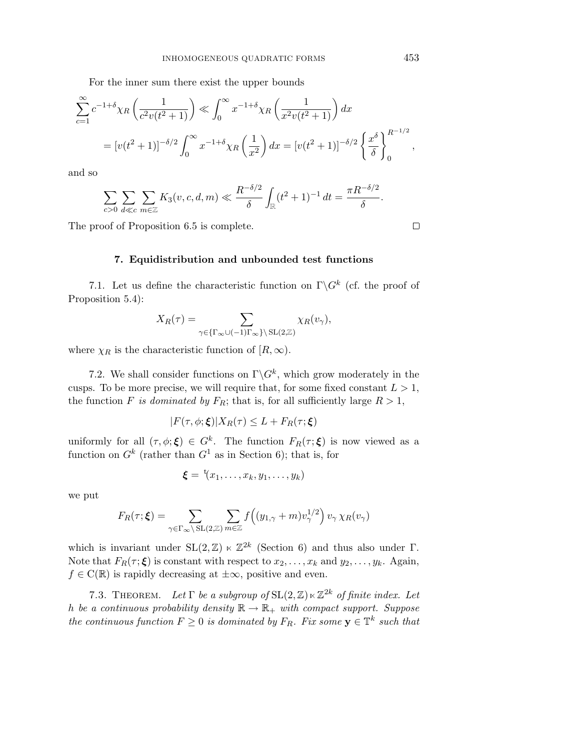For the inner sum there exist the upper bounds

$$
\sum_{c=1}^{\infty} c^{-1+\delta} \chi_R \left( \frac{1}{c^2 v(t^2+1)} \right) \ll \int_0^{\infty} x^{-1+\delta} \chi_R \left( \frac{1}{x^2 v(t^2+1)} \right) dx
$$
  
=  $[v(t^2+1)]^{-\delta/2} \int_0^{\infty} x^{-1+\delta} \chi_R \left( \frac{1}{x^2} \right) dx = [v(t^2+1)]^{-\delta/2} \left\{ \frac{x^{\delta}}{\delta} \right\}_0^{R^{-1/2}},$ 

and so

$$
\sum_{c>0}\sum_{d\ll c}\sum_{m\in\mathbb{Z}}K_3(v,c,d,m)\ll \frac{R^{-\delta/2}}{\delta}\int_{\mathbb{R}}(t^2+1)^{-1}\,dt=\frac{\pi R^{-\delta/2}}{\delta}.
$$

The proof of Proposition 6.5 is complete.

 $\Box$ 

#### **7. Equidistribution and unbounded test functions**

7.1. Let us define the characteristic function on  $\Gamma \backslash G^k$  (cf. the proof of Proposition 5.4):

$$
X_R(\tau) = \sum_{\gamma \in {\Gamma_{\infty} \cup (-1)\Gamma_{\infty}} \setminus SL(2,\mathbb{Z})} \chi_R(v_{\gamma}),
$$

where  $\chi_R$  is the characteristic function of  $[R, \infty)$ .

7.2. We shall consider functions on  $\Gamma \backslash G^k$ , which grow moderately in the cusps. To be more precise, we will require that, for some fixed constant  $L > 1$ , the function F is dominated by  $F_R$ ; that is, for all sufficiently large  $R > 1$ ,

$$
|F(\tau,\phi;\boldsymbol{\xi})|X_R(\tau)\leq L+F_R(\tau;\boldsymbol{\xi})
$$

uniformly for all  $(\tau, \phi; \xi) \in G^k$ . The function  $F_R(\tau; \xi)$  is now viewed as a function on  $G^k$  (rather than  $G^1$  as in Section 6); that is, for

$$
\boldsymbol{\xi} = \mathbf{t}(x_1, \ldots, x_k, y_1, \ldots, y_k)
$$

we put

$$
F_R(\tau; \boldsymbol{\xi}) = \sum_{\gamma \in \Gamma_{\infty} \setminus SL(2, \mathbb{Z})} \sum_{m \in \mathbb{Z}} f((y_{1, \gamma} + m) v_{\gamma}^{1/2}) v_{\gamma} \chi_R(v_{\gamma})
$$

which is invariant under  $SL(2, \mathbb{Z}) \ltimes \mathbb{Z}^{2k}$  (Section 6) and thus also under Γ. Note that  $F_R(\tau; \boldsymbol{\xi})$  is constant with respect to  $x_2, \ldots, x_k$  and  $y_2, \ldots, y_k$ . Again,  $f \in C(\mathbb{R})$  is rapidly decreasing at  $\pm \infty$ , positive and even.

7.3. THEOREM. Let  $\Gamma$  be a subgroup of  $SL(2,\mathbb{Z})\ltimes\mathbb{Z}^{2k}$  of finite index. Let h be a continuous probability density  $\mathbb{R} \to \mathbb{R}_+$  with compact support. Suppose the continuous function  $F \geq 0$  is dominated by  $F_R$ . Fix some  $\mathbf{y} \in \mathbb{T}^k$  such that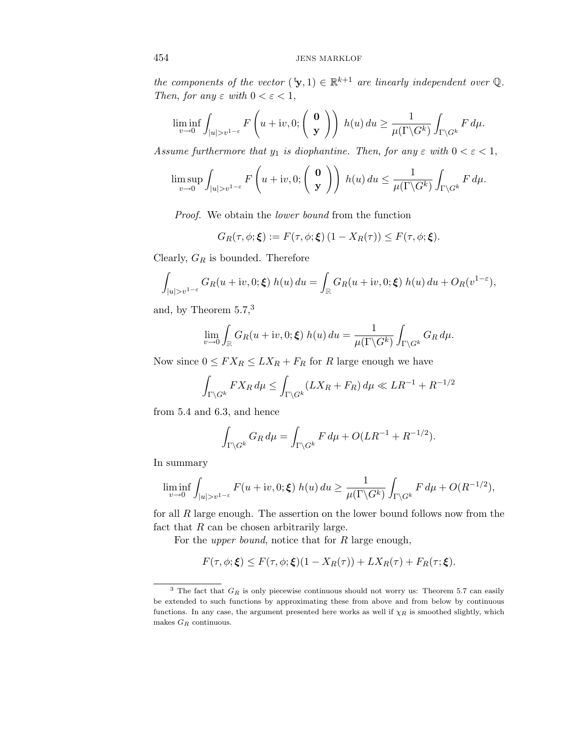the components of the vector  $({}^{\text{t}}\mathbf{y},1) \in \mathbb{R}^{k+1}$  are linearly independent over  $\mathbb{Q}$ . Then, for any  $\varepsilon$  with  $0 < \varepsilon < 1$ ,

$$
\liminf_{v \to 0} \int_{|u| > v^{1-\varepsilon}} F\left(u + iv, 0; \begin{pmatrix} \mathbf{0} \\ \mathbf{y} \end{pmatrix} \right) h(u) du \ge \frac{1}{\mu(\Gamma \backslash G^k)} \int_{\Gamma \backslash G^k} F d\mu.
$$

Assume furthermore that  $y_1$  is diophantine. Then, for any  $\varepsilon$  with  $0 < \varepsilon < 1$ ,

$$
\limsup_{v\to 0}\int_{|u|>v^{1-\varepsilon}}F\left(u+iv,0;\left(\begin{array}{c}\mathbf{0}\\ \mathbf{y}\end{array}\right)\right)\ h(u)\ du\leq \frac{1}{\mu(\Gamma\backslash G^k)}\int_{\Gamma\backslash G^k}F\ d\mu.
$$

Proof. We obtain the lower bound from the function

$$
G_R(\tau, \phi; \xi) := F(\tau, \phi; \xi) (1 - X_R(\tau)) \leq F(\tau, \phi; \xi).
$$

Clearly,  $G_R$  is bounded. Therefore

$$
\int_{|u|>v^{1-\varepsilon}} G_R(u+iv,0;\boldsymbol{\xi}) h(u) du = \int_{\mathbb{R}} G_R(u+iv,0;\boldsymbol{\xi}) h(u) du + O_R(v^{1-\varepsilon}),
$$

and, by Theorem 5.7,<sup>3</sup>

$$
\lim_{v \to 0} \int_{\mathbb{R}} G_R(u + iv, 0; \xi) h(u) du = \frac{1}{\mu(\Gamma \backslash G^k)} \int_{\Gamma \backslash G^k} G_R d\mu.
$$

Now since  $0 \leq FX_R \leq LX_R + F_R$  for R large enough we have

$$
\int_{\Gamma\backslash G^k} FX_R\,d\mu\leq \int_{\Gamma\backslash G^k}(LX_R+F_R)\,d\mu\ll LR^{-1}+R^{-1/2}
$$

from 5.4 and 6.3, and hence

$$
\int_{\Gamma\backslash G^k} G_R \, d\mu = \int_{\Gamma\backslash G^k} F \, d\mu + O(LR^{-1} + R^{-1/2}).
$$

In summary

$$
\liminf_{v \to 0} \int_{|u| > v^{1-\varepsilon}} F(u + iv, 0; \xi) h(u) du \ge \frac{1}{\mu(\Gamma \backslash G^k)} \int_{\Gamma \backslash G^k} F d\mu + O(R^{-1/2}),
$$

for all  $R$  large enough. The assertion on the lower bound follows now from the fact that  $R$  can be chosen arbitrarily large.

For the *upper bound*, notice that for  $R$  large enough,

$$
F(\tau, \phi; \xi) \leq F(\tau, \phi; \xi)(1 - X_R(\tau)) + LX_R(\tau) + F_R(\tau; \xi).
$$

<sup>&</sup>lt;sup>3</sup> The fact that  $G_R$  is only piecewise continuous should not worry us: Theorem 5.7 can easily be extended to such functions by approximating these from above and from below by continuous functions. In any case, the argument presented here works as well if χ*<sup>R</sup>* is smoothed slightly, which makes  ${\cal G}_R$  continuous.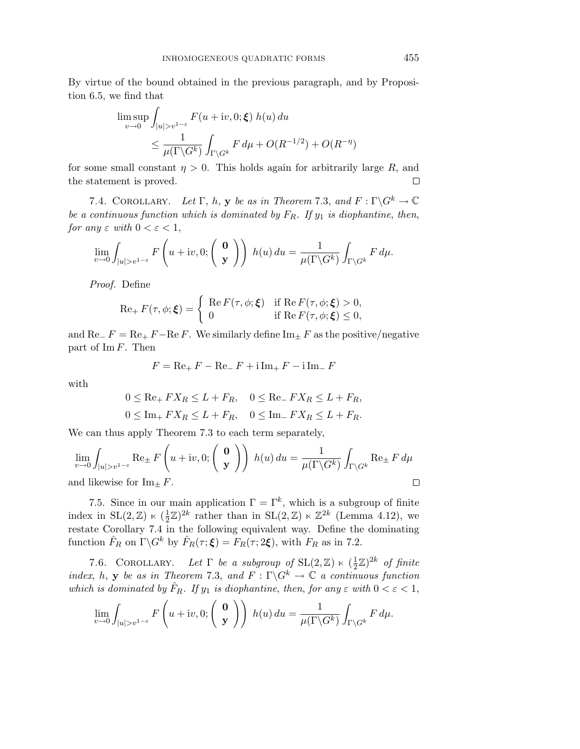By virtue of the bound obtained in the previous paragraph, and by Proposition 6.5, we find that

$$
\limsup_{v \to 0} \int_{|u| > v^{1-\varepsilon}} F(u + iv, 0; \xi) h(u) du
$$
  
\n
$$
\leq \frac{1}{\mu(\Gamma \backslash G^k)} \int_{\Gamma \backslash G^k} F d\mu + O(R^{-1/2}) + O(R^{-\eta})
$$

for some small constant  $\eta > 0$ . This holds again for arbitrarily large R, and the statement is proved.  $\Box$ 

7.4. COROLLARY. Let  $\Gamma$ , h, **y** be as in Theorem 7.3, and  $F : \Gamma \backslash G^k \to \mathbb{C}$ be a continuous function which is dominated by  $F_R$ . If  $y_1$  is diophantine, then, for any  $\varepsilon$  with  $0 < \varepsilon < 1$ ,

$$
\lim_{v \to 0} \int_{|u| > v^{1-\varepsilon}} F\left(u + iv, 0; \begin{pmatrix} \mathbf{0} \\ \mathbf{y} \end{pmatrix} \right) h(u) du = \frac{1}{\mu(\Gamma \backslash G^k)} \int_{\Gamma \backslash G^k} F d\mu.
$$

Proof. Define

$$
\operatorname{Re}_{+} F(\tau, \phi; \boldsymbol{\xi}) = \begin{cases} \operatorname{Re} F(\tau, \phi; \boldsymbol{\xi}) & \text{if } \operatorname{Re} F(\tau, \phi; \boldsymbol{\xi}) > 0, \\ 0 & \text{if } \operatorname{Re} F(\tau, \phi; \boldsymbol{\xi}) \le 0, \end{cases}
$$

and Re<sub>−</sub>  $F = \text{Re}_+ F - \text{Re } F$ . We similarly define Im<sub>+</sub> F as the positive/negative part of  $\text{Im } F$ . Then

$$
F = \text{Re}_{+} F - \text{Re}_{-} F + \text{i} \text{Im}_{+} F - \text{i} \text{Im}_{-} F
$$

with

$$
0 \le \text{Re}_+ FX_R \le L + F_R, \quad 0 \le \text{Re}_- FX_R \le L + F_R,
$$
  

$$
0 \le \text{Im}_+ FX_R \le L + F_R, \quad 0 \le \text{Im}_- FX_R \le L + F_R.
$$

We can thus apply Theorem 7.3 to each term separately,

$$
\lim_{v \to 0} \int_{|u| > v^{1-\varepsilon}} \text{Re}_{\pm} F\left(u + iv, 0; \begin{pmatrix} \mathbf{0} \\ \mathbf{y} \end{pmatrix} \right) h(u) du = \frac{1}{\mu(\Gamma \backslash G^k)} \int_{\Gamma \backslash G^k} \text{Re}_{\pm} F d\mu
$$
  
and likewise for  $\text{Im}_{\pm} F$ .

7.5. Since in our main application  $\Gamma = \Gamma^k$ , which is a subgroup of finite index in  $SL(2, \mathbb{Z}) \ltimes (\frac{1}{2}\mathbb{Z})^{2k}$  rather than in  $SL(2, \mathbb{Z}) \ltimes \mathbb{Z}^{2k}$  (Lemma 4.12), we restate Corollary 7.4 in the following equivalent way. Define the dominating function  $\hat{F}_R$  on  $\Gamma \backslash G^k$  by  $\hat{F}_R(\tau; \boldsymbol{\xi}) = F_R(\tau; 2\boldsymbol{\xi})$ , with  $F_R$  as in 7.2.

7.6. COROLLARY. Let  $\Gamma$  be a subgroup of  $SL(2, \mathbb{Z}) \ltimes (\frac{1}{2}\mathbb{Z})^{2k}$  of finite index, h, **y** be as in Theorem 7.3, and  $F : \Gamma \backslash G^k \to \mathbb{C}$  a continuous function which is dominated by  $\hat{F}_R$ . If  $y_1$  is diophantine, then, for any  $\varepsilon$  with  $0 < \varepsilon < 1$ ,

$$
\lim_{v \to 0} \int_{|u| > v^{1-\varepsilon}} F\left(u + iv, 0; \begin{pmatrix} \mathbf{0} \\ \mathbf{y} \end{pmatrix} \right) h(u) du = \frac{1}{\mu(\Gamma \backslash G^k)} \int_{\Gamma \backslash G^k} F d\mu.
$$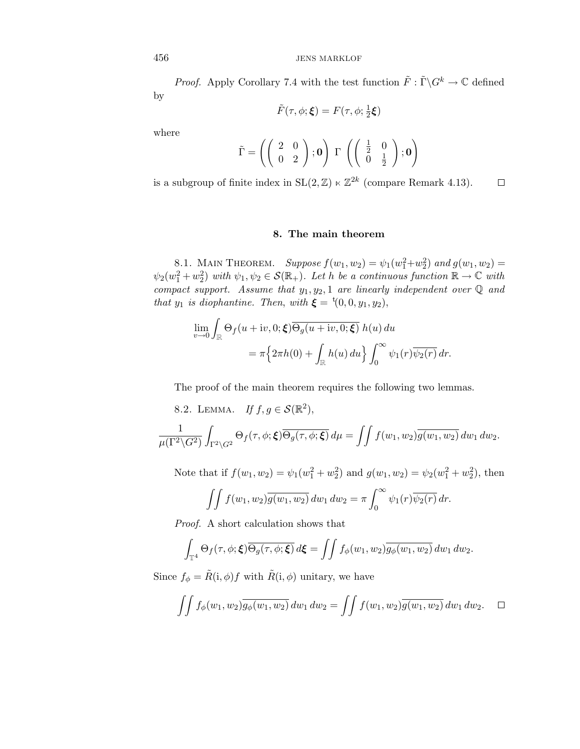*Proof.* Apply Corollary 7.4 with the test function  $\tilde{F} : \tilde{\Gamma} \backslash G^k \to \mathbb{C}$  defined by

$$
\tilde{F}(\tau,\phi;\boldsymbol{\xi})=F(\tau,\phi;\tfrac{1}{2}\boldsymbol{\xi})
$$

where

$$
\tilde{\Gamma} = \left( \left( \begin{array}{cc} 2 & 0 \\ 0 & 2 \end{array} \right); \mathbf{0} \right) \Gamma \left( \left( \begin{array}{cc} \frac{1}{2} & 0 \\ 0 & \frac{1}{2} \end{array} \right); \mathbf{0} \right)
$$

is a subgroup of finite index in  $SL(2, \mathbb{Z}) \ltimes \mathbb{Z}^{2k}$  (compare Remark 4.13).  $\Box$ 

## **8. The main theorem**

8.1. MAIN THEOREM. Suppose  $f(w_1, w_2) = \psi_1(w_1^2 + w_2^2)$  and  $g(w_1, w_2) =$  $\psi_2(w_1^2+w_2^2)$  with  $\psi_1, \psi_2 \in \mathcal{S}(\mathbb{R}_+)$ . Let h be a continuous function  $\mathbb{R} \to \mathbb{C}$  with compact support. Assume that  $y_1, y_2, 1$  are linearly independent over  $\mathbb Q$  and that  $y_1$  is diophantine. Then, with  $\xi = \zeta(0, 0, y_1, y_2)$ ,

$$
\lim_{v \to 0} \int_{\mathbb{R}} \Theta_f(u + iv, 0; \xi) \overline{\Theta_g(u + iv, 0; \xi)} h(u) du
$$
  
=  $\pi \left\{ 2\pi h(0) + \int_{\mathbb{R}} h(u) du \right\} \int_0^\infty \psi_1(r) \overline{\psi_2(r)} dr.$ 

The proof of the main theorem requires the following two lemmas.

8.2. LEMMA. If 
$$
f, g \in \mathcal{S}(\mathbb{R}^2)
$$
,  
\n
$$
\frac{1}{\mu(\Gamma^2 \setminus G^2)} \int_{\Gamma^2 \setminus G^2} \Theta_f(\tau, \phi; \xi) \overline{\Theta_g(\tau, \phi; \xi)} d\mu = \iint f(w_1, w_2) \overline{g(w_1, w_2)} dw_1 dw_2.
$$

Note that if  $f(w_1, w_2) = \psi_1(w_1^2 + w_2^2)$  and  $g(w_1, w_2) = \psi_2(w_1^2 + w_2^2)$ , then

$$
\iint f(w_1, w_2) \overline{g(w_1, w_2)} \, dw_1 \, dw_2 = \pi \int_0^\infty \psi_1(r) \overline{\psi_2(r)} \, dr.
$$

Proof. A short calculation shows that

$$
\int_{\mathbb{T}^4} \Theta_f(\tau, \phi; \boldsymbol{\xi}) \overline{\Theta_g(\tau, \phi; \boldsymbol{\xi})} d\boldsymbol{\xi} = \iint f_{\phi}(w_1, w_2) \overline{g_{\phi}(w_1, w_2)} dw_1 dw_2.
$$

Since  $f_{\phi} = \tilde{R}(i, \phi) f$  with  $\tilde{R}(i, \phi)$  unitary, we have

$$
\iint f_{\phi}(w_1, w_2) \overline{g_{\phi}(w_1, w_2)} dw_1 dw_2 = \iint f(w_1, w_2) \overline{g(w_1, w_2)} dw_1 dw_2. \quad \Box
$$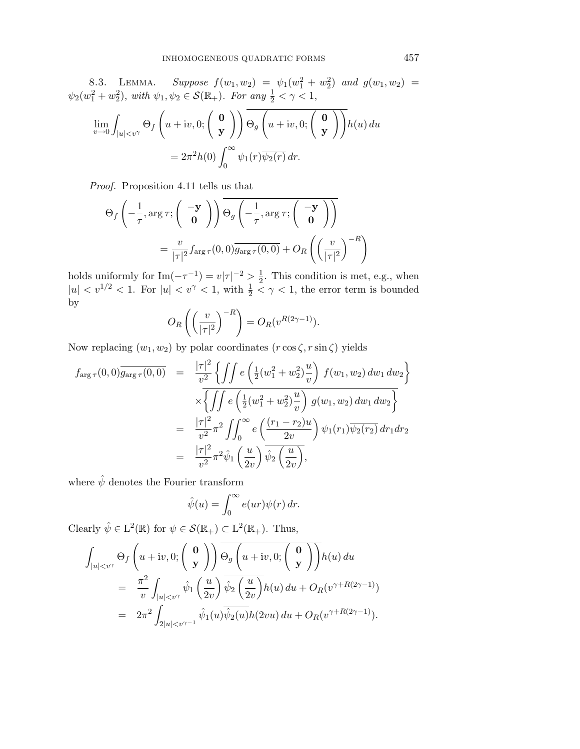8.3. LEMMA. Suppose  $f(w_1, w_2) = \psi_1(w_1^2 + w_2^2)$  and  $g(w_1, w_2) =$  $\psi_2(w_1^2+w_2^2)$ , with  $\psi_1, \psi_2 \in \mathcal{S}(\mathbb{R}_+)$ . For any  $\frac{1}{2} < \gamma < 1$ ,

$$
\lim_{v \to 0} \int_{|u| < v^{\gamma}} \Theta_f \left( u + iv, 0; \begin{pmatrix} \mathbf{0} \\ \mathbf{y} \end{pmatrix} \right) \overline{\Theta_g \left( u + iv, 0; \begin{pmatrix} \mathbf{0} \\ \mathbf{y} \end{pmatrix} \right)} h(u) du
$$

$$
= 2\pi^2 h(0) \int_0^\infty \psi_1(r) \overline{\psi_2(r)} dr.
$$

Proof. Proposition 4.11 tells us that

$$
\Theta_f\left(-\frac{1}{\tau}, \arg \tau; \begin{pmatrix} -\mathbf{y} \\ \mathbf{0} \end{pmatrix}\right) \Theta_g\left(-\frac{1}{\tau}, \arg \tau; \begin{pmatrix} -\mathbf{y} \\ \mathbf{0} \end{pmatrix}\right)
$$

$$
= \frac{v}{|\tau|^2} f_{\arg \tau}(0, 0) \overline{g_{\arg \tau}(0, 0)} + O_R\left(\left(\frac{v}{|\tau|^2}\right)^{-R}\right)
$$

holds uniformly for  $\text{Im}(-\tau^{-1}) = v|\tau|^{-2} > \frac{1}{2}$ . This condition is met, e.g., when  $|u| < v^{1/2} < 1$ . For  $|u| < v^{\gamma} < 1$ , with  $\frac{1}{2} < \gamma < 1$ , the error term is bounded by

$$
O_R\left(\left(\frac{v}{|\tau|^2}\right)^{-R}\right) = O_R(v^{R(2\gamma-1)}).
$$

Now replacing  $(w_1, w_2)$  by polar coordinates  $(r \cos \zeta, r \sin \zeta)$  yields

$$
f_{\arg \tau}(0,0)\overline{g_{\arg \tau}(0,0)} = \frac{|\tau|^2}{v^2} \left\{ \iint e\left(\frac{1}{2}(w_1^2 + w_2^2)\frac{u}{v}\right) f(w_1, w_2) dw_1 dw_2 \right\}
$$
  

$$
\times \left\{ \iint e\left(\frac{1}{2}(w_1^2 + w_2^2)\frac{u}{v}\right) g(w_1, w_2) dw_1 dw_2 \right\}
$$
  

$$
= \frac{|\tau|^2}{v^2} \pi^2 \iint_0^\infty e\left(\frac{(r_1 - r_2)u}{2v}\right) \psi_1(r_1) \overline{\psi_2(r_2)} dr_1 dr_2
$$
  

$$
= \frac{|\tau|^2}{v^2} \pi^2 \hat{\psi}_1\left(\frac{u}{2v}\right) \overline{\hat{\psi}_2\left(\frac{u}{2v}\right)},
$$

where  $\hat{\psi}$  denotes the Fourier transform

$$
\hat{\psi}(u) = \int_0^\infty e(ur)\psi(r) dr.
$$

Clearly  $\hat{\psi} \in L^2(\mathbb{R})$  for  $\psi \in \mathcal{S}(\mathbb{R}_+) \subset L^2(\mathbb{R}_+)$ . Thus,

$$
\int_{|u|  
\n
$$
= \frac{\pi^2}{v} \int_{|u|  
\n
$$
= 2\pi^2 \int_{2|u|
$$
$$
$$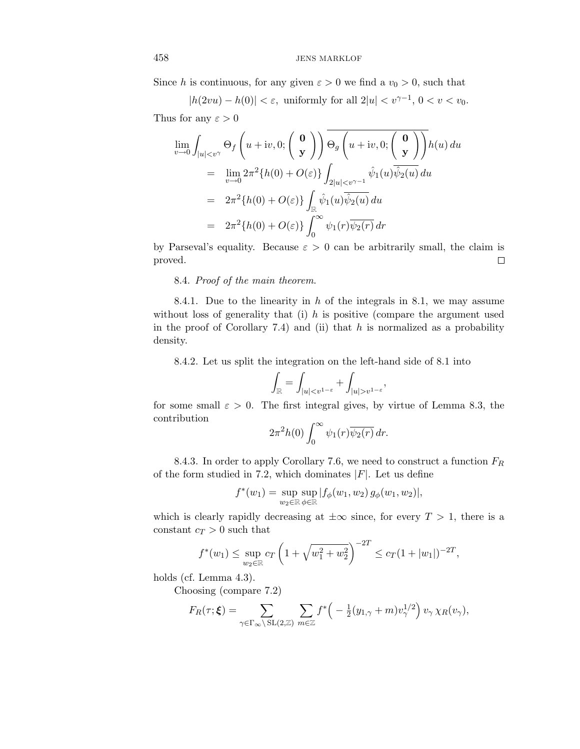Since h is continuous, for any given  $\varepsilon > 0$  we find a  $v_0 > 0$ , such that

 $|h(2vu) - h(0)| < \varepsilon$ , uniformly for all  $2|u| < v^{\gamma-1}$ ,  $0 < v < v_0$ . Thus for any  $\varepsilon > 0$ 

$$
\lim_{v \to 0} \int_{|u| < v^{\gamma}} \Theta_f \left( u + iv, 0; \begin{pmatrix} \mathbf{0} \\ \mathbf{y} \end{pmatrix} \right) \overline{\Theta_g \left( u + iv, 0; \begin{pmatrix} \mathbf{0} \\ \mathbf{y} \end{pmatrix} \right)} h(u) du
$$
\n
$$
= \lim_{v \to 0} 2\pi^2 \{h(0) + O(\varepsilon)\} \int_{2|u| < v^{\gamma - 1}} \hat{\psi}_1(u) \overline{\hat{\psi}_2(u)} du
$$
\n
$$
= 2\pi^2 \{h(0) + O(\varepsilon)\} \int_{\mathbb{R}} \hat{\psi}_1(u) \overline{\hat{\psi}_2(u)} du
$$
\n
$$
= 2\pi^2 \{h(0) + O(\varepsilon)\} \int_0^\infty \psi_1(r) \overline{\psi_2(r)} dr
$$

by Parseval's equality. Because  $\varepsilon > 0$  can be arbitrarily small, the claim is proved.  $\Box$ 

8.4. Proof of the main theorem.

8.4.1. Due to the linearity in  $h$  of the integrals in 8.1, we may assume without loss of generality that (i)  $h$  is positive (compare the argument used in the proof of Corollary 7.4) and (ii) that  $h$  is normalized as a probability density.

8.4.2. Let us split the integration on the left-hand side of 8.1 into

$$
\int_{\mathbb{R}} = \int_{|u| < v^{1-\varepsilon}} + \int_{|u| > v^{1-\varepsilon}},
$$

for some small  $\varepsilon > 0$ . The first integral gives, by virtue of Lemma 8.3, the contribution

$$
2\pi^2 h(0) \int_0^\infty \psi_1(r) \overline{\psi_2(r)}\, dr.
$$

8.4.3. In order to apply Corollary 7.6, we need to construct a function  $F_R$ of the form studied in 7.2, which dominates  $|F|$ . Let us define

$$
f^*(w_1) = \sup_{w_2 \in \mathbb{R}} \sup_{\phi \in \mathbb{R}} |f_{\phi}(w_1, w_2) g_{\phi}(w_1, w_2)|,
$$

which is clearly rapidly decreasing at  $\pm \infty$  since, for every  $T > 1$ , there is a constant  $c_T > 0$  such that

$$
f^*(w_1) \le \sup_{w_2 \in \mathbb{R}} c_T \left( 1 + \sqrt{w_1^2 + w_2^2} \right)^{-2T} \le c_T (1 + |w_1|)^{-2T},
$$

holds (cf. Lemma 4.3).

Choosing (compare 7.2)

$$
F_R(\tau;\boldsymbol{\xi}) = \sum_{\gamma \in \Gamma_{\infty} \backslash \mathrm{SL}(2,\mathbb{Z})} \sum_{m \in \mathbb{Z}} f^* \left( -\frac{1}{2} (y_{1,\gamma} + m) v_{\gamma}^{1/2} \right) v_{\gamma} \chi_R(v_{\gamma}),
$$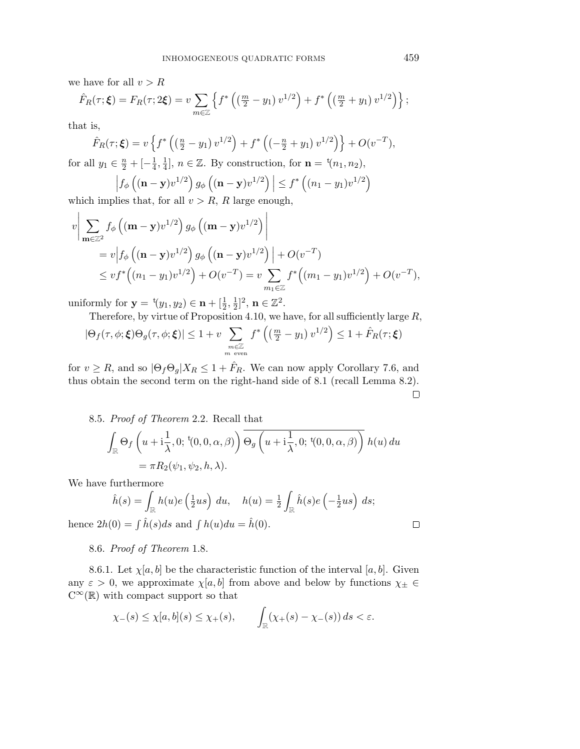we have for all  $v > R$ 

$$
\hat{F}_R(\tau;\boldsymbol{\xi}) = F_R(\tau;2\boldsymbol{\xi}) = v \sum_{m \in \mathbb{Z}} \left\{ f^* \left( \left( \frac{m}{2} - y_1 \right) v^{1/2} \right) + f^* \left( \left( \frac{m}{2} + y_1 \right) v^{1/2} \right) \right\};
$$

that is,

$$
\hat{F}_R(\tau; \xi) = v \left\{ f^* \left( \left( \frac{n}{2} - y_1 \right) v^{1/2} \right) + f^* \left( \left( -\frac{n}{2} + y_1 \right) v^{1/2} \right) \right\} + O(v^{-T}),
$$

for all  $y_1 \in \frac{n}{2} + [-\frac{1}{4}, \frac{1}{4}], n \in \mathbb{Z}$ . By construction, for  $\mathbf{n} = {}^{t}(n_1, n_2)$ ,

$$
\left| f_{\phi} \left( (\mathbf{n} - \mathbf{y}) v^{1/2} \right) g_{\phi} \left( (\mathbf{n} - \mathbf{y}) v^{1/2} \right) \right| \le f^* \left( (n_1 - y_1) v^{1/2} \right)
$$

which implies that, for all  $v > R$ , R large enough,

$$
v \bigg| \sum_{\mathbf{m} \in \mathbb{Z}^2} f_{\phi} \left( (\mathbf{m} - \mathbf{y}) v^{1/2} \right) g_{\phi} \left( (\mathbf{m} - \mathbf{y}) v^{1/2} \right) \bigg|
$$
  
=  $v \bigg| f_{\phi} \left( (\mathbf{n} - \mathbf{y}) v^{1/2} \right) g_{\phi} \left( (\mathbf{n} - \mathbf{y}) v^{1/2} \right) \bigg| + O(v^{-T})$   
 $\leq v f^* \left( (n_1 - y_1) v^{1/2} \right) + O(v^{-T}) = v \sum_{m_1 \in \mathbb{Z}} f^* \left( (m_1 - y_1) v^{1/2} \right) + O(v^{-T}),$ 

uniformly for  $y = {}^{t}(y_1, y_2) \in \mathbf{n} + [\frac{1}{2}, \frac{1}{2}]^2$ ,  $\mathbf{n} \in \mathbb{Z}^2$ .

Therefore, by virtue of Proposition 4.10, we have, for all sufficiently large  $R$ ,

$$
|\Theta_f(\tau,\phi;\boldsymbol{\xi})\Theta_g(\tau,\phi;\boldsymbol{\xi})| \le 1 + v \sum_{\substack{m \in \mathbb{Z} \\ m \text{ even}}} f^* \left( \left( \frac{m}{2} - y_1 \right) v^{1/2} \right) \le 1 + \hat{F}_R(\tau;\boldsymbol{\xi})
$$

for  $v \ge R$ , and so  $|\Theta_f \Theta_g| X_R \le 1 + \hat{F}_R$ . We can now apply Corollary 7.6, and thus obtain the second term on the right-hand side of 8.1 (recall Lemma 8.2).

 $\Box$ 

 $\Box$ 

8.5. Proof of Theorem 2.2. Recall that

$$
\int_{\mathbb{R}} \Theta_f \left( u + i \frac{1}{\lambda}, 0; {}^{t}(0, 0, \alpha, \beta) \right) \overline{\Theta_g \left( u + i \frac{1}{\lambda}, 0; {}^{t}(0, 0, \alpha, \beta) \right)} h(u) du
$$
  
=  $\pi R_2(\psi_1, \psi_2, h, \lambda).$ 

We have furthermore

$$
\hat{h}(s) = \int_{\mathbb{R}} h(u)e\left(\frac{1}{2}us\right) du, \quad h(u) = \frac{1}{2} \int_{\mathbb{R}} \hat{h}(s)e\left(-\frac{1}{2}us\right) ds;
$$
  
hence  $2h(0) = \int \hat{h}(s)ds$  and  $\int h(u)du = \hat{h}(0)$ .

8.6. Proof of Theorem 1.8.

8.6.1. Let  $\chi[a, b]$  be the characteristic function of the interval  $[a, b]$ . Given any  $\varepsilon > 0$ , we approximate  $\chi[a, b]$  from above and below by functions  $\chi_{\pm} \in$  $C^{\infty}(\mathbb{R})$  with compact support so that

$$
\chi_{-}(s) \leq \chi[a,b](s) \leq \chi_{+}(s), \qquad \int_{\mathbb{R}} (\chi_{+}(s) - \chi_{-}(s)) ds < \varepsilon.
$$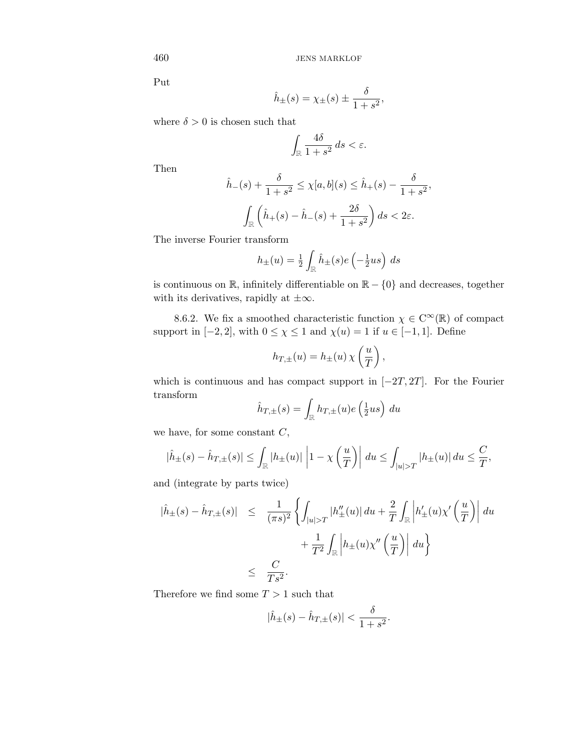Put

$$
\hat{h}_{\pm}(s) = \chi_{\pm}(s) \pm \frac{\delta}{1+s^2},
$$

where  $\delta > 0$  is chosen such that

$$
\int_{\mathbb{R}} \frac{4\delta}{1+s^2} \, ds < \varepsilon.
$$

Then

$$
\hat{h}_{-}(s) + \frac{\delta}{1+s^2} \le \chi[a, b](s) \le \hat{h}_{+}(s) - \frac{\delta}{1+s^2},
$$

$$
\int_{\mathbb{R}} \left(\hat{h}_{+}(s) - \hat{h}_{-}(s) + \frac{2\delta}{1+s^2}\right) ds < 2\varepsilon.
$$

The inverse Fourier transform

$$
h_{\pm}(u) = \frac{1}{2} \int_{\mathbb{R}} \hat{h}_{\pm}(s) e\left(-\frac{1}{2}us\right) ds
$$

is continuous on  $\mathbb{R}$ , infinitely differentiable on  $\mathbb{R} - \{0\}$  and decreases, together with its derivatives, rapidly at  $\pm \infty$ .

8.6.2. We fix a smoothed characteristic function  $\chi \in C^{\infty}(\mathbb{R})$  of compact support in  $[-2, 2]$ , with  $0 \le \chi \le 1$  and  $\chi(u) = 1$  if  $u \in [-1, 1]$ . Define

$$
h_{T,\pm}(u) = h_{\pm}(u) \chi\left(\frac{u}{T}\right),\,
$$

which is continuous and has compact support in  $[-2T, 2T]$ . For the Fourier transform

$$
\hat{h}_{T,\pm}(s) = \int_{\mathbb{R}} h_{T,\pm}(u)e\left(\frac{1}{2}us\right) du
$$

we have, for some constant  $C$ ,

$$
|\hat{h}_{\pm}(s) - \hat{h}_{T,\pm}(s)| \leq \int_{\mathbb{R}} |h_{\pm}(u)| \left| 1 - \chi\left(\frac{u}{T}\right) \right| du \leq \int_{|u| > T} |h_{\pm}(u)| du \leq \frac{C}{T},
$$

and (integrate by parts twice)

$$
\begin{aligned}\n|\hat{h}_{\pm}(s) - \hat{h}_{T,\pm}(s)| &\leq \frac{1}{(\pi s)^2} \left\{ \int_{|u|>T} |h_{\pm}'(u)| \, du + \frac{2}{T} \int_{\mathbb{R}} \left| h_{\pm}'(u) \chi' \left( \frac{u}{T} \right) \right| \, du \right. \\
&\quad \left. + \frac{1}{T^2} \int_{\mathbb{R}} \left| h_{\pm}(u) \chi'' \left( \frac{u}{T} \right) \right| \, du \right\} \\
&\leq \frac{C}{Ts^2}.\n\end{aligned}
$$

Therefore we find some  $T > 1$  such that

$$
|\hat{h}_{\pm}(s) - \hat{h}_{T,\pm}(s)| < \frac{\delta}{1+s^2}.
$$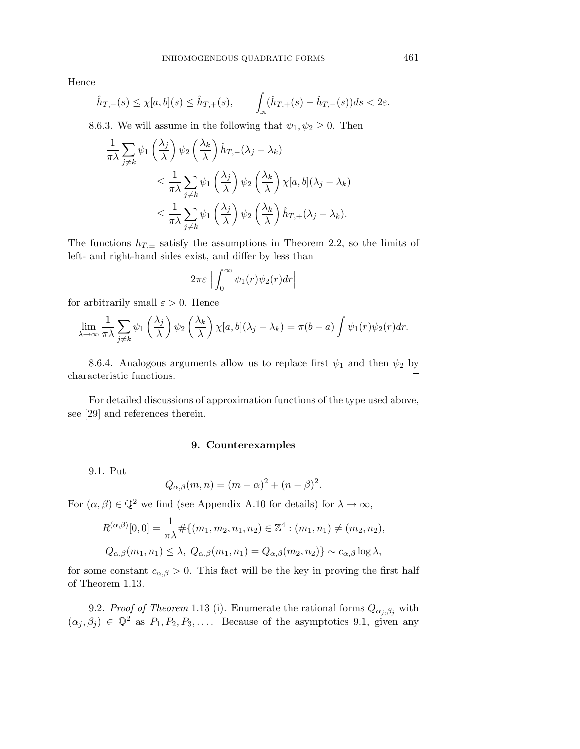Hence

$$
\hat{h}_{T,-}(s) \leq \chi[a,b](s) \leq \hat{h}_{T,+}(s), \qquad \int_{\mathbb{R}} (\hat{h}_{T,+}(s) - \hat{h}_{T,-}(s)) ds < 2\varepsilon.
$$

8.6.3. We will assume in the following that  $\psi_1, \psi_2 \geq 0$ . Then

$$
\frac{1}{\pi\lambda} \sum_{j\neq k} \psi_1 \left(\frac{\lambda_j}{\lambda}\right) \psi_2 \left(\frac{\lambda_k}{\lambda}\right) \hat{h}_{T,-} (\lambda_j - \lambda_k)
$$
\n
$$
\leq \frac{1}{\pi\lambda} \sum_{j\neq k} \psi_1 \left(\frac{\lambda_j}{\lambda}\right) \psi_2 \left(\frac{\lambda_k}{\lambda}\right) \chi[a, b](\lambda_j - \lambda_k)
$$
\n
$$
\leq \frac{1}{\pi\lambda} \sum_{j\neq k} \psi_1 \left(\frac{\lambda_j}{\lambda}\right) \psi_2 \left(\frac{\lambda_k}{\lambda}\right) \hat{h}_{T,+} (\lambda_j - \lambda_k).
$$

The functions  $h_{T,\pm}$  satisfy the assumptions in Theorem 2.2, so the limits of left- and right-hand sides exist, and differ by less than

$$
2\pi\varepsilon \Big| \int_0^\infty \psi_1(r)\psi_2(r)dr \Big|
$$

for arbitrarily small  $\varepsilon > 0$ . Hence

$$
\lim_{\lambda \to \infty} \frac{1}{\pi \lambda} \sum_{j \neq k} \psi_1 \left( \frac{\lambda_j}{\lambda} \right) \psi_2 \left( \frac{\lambda_k}{\lambda} \right) \chi[a, b](\lambda_j - \lambda_k) = \pi(b - a) \int \psi_1(r) \psi_2(r) dr.
$$

8.6.4. Analogous arguments allow us to replace first  $\psi_1$  and then  $\psi_2$  by characteristic functions.  $\Box$ 

For detailed discussions of approximation functions of the type used above, see [29] and references therein.

#### **9. Counterexamples**

9.1. Put

$$
Q_{\alpha,\beta}(m,n) = (m-\alpha)^2 + (n-\beta)^2.
$$

For  $(\alpha, \beta) \in \mathbb{Q}^2$  we find (see Appendix A.10 for details) for  $\lambda \to \infty$ ,

$$
R^{(\alpha,\beta)}[0,0] = \frac{1}{\pi\lambda} \# \{ (m_1, m_2, n_1, n_2) \in \mathbb{Z}^4 : (m_1, n_1) \neq (m_2, n_2),
$$
  

$$
Q_{\alpha,\beta}(m_1, n_1) \leq \lambda, \ Q_{\alpha,\beta}(m_1, n_1) = Q_{\alpha,\beta}(m_2, n_2) \} \sim c_{\alpha,\beta} \log \lambda,
$$

for some constant  $c_{\alpha,\beta} > 0$ . This fact will be the key in proving the first half of Theorem 1.13.

9.2. Proof of Theorem 1.13 (i). Enumerate the rational forms  $Q_{\alpha_j,\beta_j}$  with  $(\alpha_j, \beta_j) \in \mathbb{Q}^2$  as  $P_1, P_2, P_3, \ldots$ . Because of the asymptotics 9.1, given any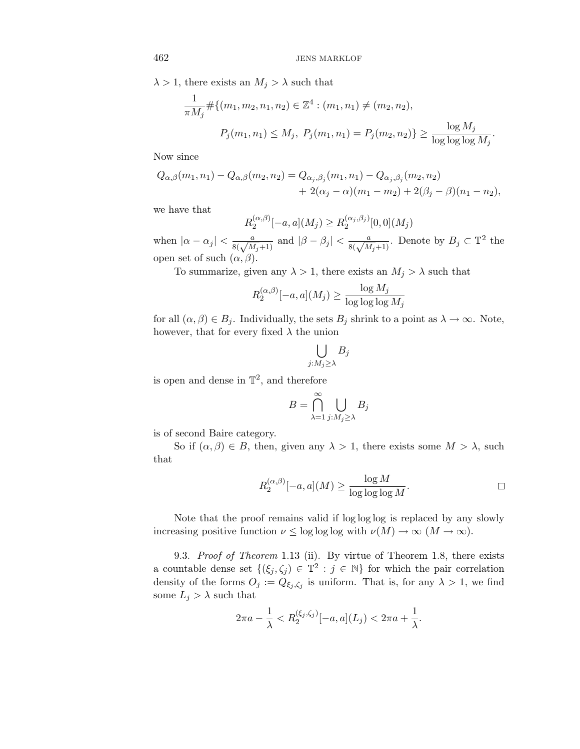$\lambda > 1$ , there exists an  $M_i > \lambda$  such that

$$
\frac{1}{\pi M_j} \# \{ (m_1, m_2, n_1, n_2) \in \mathbb{Z}^4 : (m_1, n_1) \neq (m_2, n_2),
$$
  

$$
P_j(m_1, n_1) \leq M_j, \ P_j(m_1, n_1) = P_j(m_2, n_2) \} \geq \frac{\log M_j}{\log \log \log M_j}.
$$

Now since

$$
Q_{\alpha,\beta}(m_1,n_1) - Q_{\alpha,\beta}(m_2,n_2) = Q_{\alpha_j,\beta_j}(m_1,n_1) - Q_{\alpha_j,\beta_j}(m_2,n_2) + 2(\alpha_j - \alpha)(m_1 - m_2) + 2(\beta_j - \beta)(n_1 - n_2),
$$

we have that

$$
R_2^{(\alpha,\beta)}[-a,a](M_j) \ge R_2^{(\alpha_j,\beta_j)}[0,0](M_j)
$$

when  $|\alpha - \alpha_j| < \frac{a}{8(\sqrt{M_j}+1)}$  and  $|\beta - \beta_j| < \frac{a}{8(\sqrt{M_j}+1)}$ . Denote by  $B_j \subset \mathbb{T}^2$  the open set of such  $(\alpha, \beta)$ .

To summarize, given any  $\lambda > 1$ , there exists an  $M_i > \lambda$  such that

$$
R_2^{(\alpha,\beta)}[-a,a](M_j) \ge \frac{\log M_j}{\log\log\log M_j}
$$

for all  $(\alpha, \beta) \in B_j$ . Individually, the sets  $B_j$  shrink to a point as  $\lambda \to \infty$ . Note, however, that for every fixed  $\lambda$  the union

$$
\bigcup_{j:M_j\geq\lambda}B_j
$$

is open and dense in  $\mathbb{T}^2$ , and therefore

$$
B=\bigcap_{\lambda=1}^\infty\bigcup_{j:M_j\geq\lambda}B_j
$$

is of second Baire category.

So if  $(\alpha, \beta) \in B$ , then, given any  $\lambda > 1$ , there exists some  $M > \lambda$ , such that

$$
R_2^{(\alpha,\beta)}[-a,a](M) \ge \frac{\log M}{\log \log \log M}.
$$

Note that the proof remains valid if log log log is replaced by any slowly increasing positive function  $\nu \leq \log \log \log$  with  $\nu(M) \to \infty$   $(M \to \infty)$ .

9.3. Proof of Theorem 1.13 (ii). By virtue of Theorem 1.8, there exists a countable dense set  $\{(\xi_j, \zeta_j) \in \mathbb{T}^2 : j \in \mathbb{N}\}\)$  for which the pair correlation density of the forms  $O_j := Q_{\xi_j, \zeta_j}$  is uniform. That is, for any  $\lambda > 1$ , we find some  $L_j > \lambda$  such that

$$
2\pi a - \frac{1}{\lambda} < R_2^{(\xi_j, \zeta_j)}[-a, a](L_j) < 2\pi a + \frac{1}{\lambda}.
$$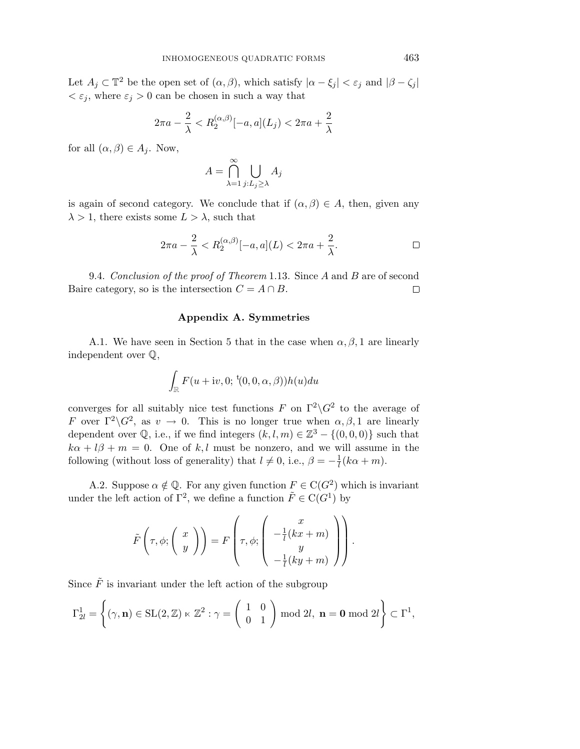Let  $A_i \subset \mathbb{T}^2$  be the open set of  $(\alpha, \beta)$ , which satisfy  $|\alpha - \xi_i| < \varepsilon_i$  and  $|\beta - \zeta_i|$  $\langle \varepsilon_i, \text{ where } \varepsilon_i > 0 \text{ can be chosen in such a way that }$ 

$$
2\pi a - \frac{2}{\lambda} < R_2^{(\alpha,\beta)}[-a,a](L_j) < 2\pi a + \frac{2}{\lambda}
$$

for all  $(\alpha, \beta) \in A_i$ . Now,

$$
A = \bigcap_{\lambda=1}^{\infty} \bigcup_{j:L_j \ge \lambda} A_j
$$

is again of second category. We conclude that if  $(\alpha, \beta) \in A$ , then, given any  $\lambda > 1$ , there exists some  $L > \lambda$ , such that

$$
2\pi a - \frac{2}{\lambda} < R_2^{(\alpha,\beta)}[-a,a](L) < 2\pi a + \frac{2}{\lambda}.\tag{}
$$

9.4. Conclusion of the proof of Theorem 1.13. Since A and B are of second Baire category, so is the intersection  $C = A \cap B$ .  $\Box$ 

### **Appendix A. Symmetries**

A.1. We have seen in Section 5 that in the case when  $\alpha, \beta, 1$  are linearly independent over Q,

$$
\int_{\mathbb{R}} F(u+iv,0; \, {}^{\rm t}(0,0,\alpha,\beta))h(u)du
$$

converges for all suitably nice test functions F on  $\Gamma^2 \backslash G^2$  to the average of F over  $\Gamma^2 \backslash G^2$ , as  $v \to 0$ . This is no longer true when  $\alpha, \beta, 1$  are linearly dependent over  $\mathbb{Q}$ , i.e., if we find integers  $(k, l, m) \in \mathbb{Z}^3 - \{(0, 0, 0)\}\$  such that  $k\alpha + l\beta + m = 0$ . One of k, l must be nonzero, and we will assume in the following (without loss of generality) that  $l \neq 0$ , i.e.,  $\beta = -\frac{1}{l}(k\alpha + m)$ .

A.2. Suppose  $\alpha \notin \mathbb{Q}$ . For any given function  $F \in C(G^2)$  which is invariant under the left action of  $\Gamma^2$ , we define a function  $\tilde{F} \in C(G^1)$  by

$$
\tilde{F}\left(\tau,\phi;\left(\begin{array}{c}x\\y\end{array}\right)\right)=F\left(\tau,\phi;\left(\begin{array}{c}-\frac{1}{l}(kx+m)\\y\\-\frac{1}{l}(ky+m)\end{array}\right)\right).
$$

Since  $\tilde{F}$  is invariant under the left action of the subgroup

$$
\Gamma_{2l}^1 = \left\{ (\gamma, \mathbf{n}) \in SL(2, \mathbb{Z}) \ltimes \mathbb{Z}^2 : \gamma = \left( \begin{array}{cc} 1 & 0 \\ 0 & 1 \end{array} \right) \text{ mod } 2l, \ \mathbf{n} = \mathbf{0} \text{ mod } 2l \right\} \subset \Gamma^1,
$$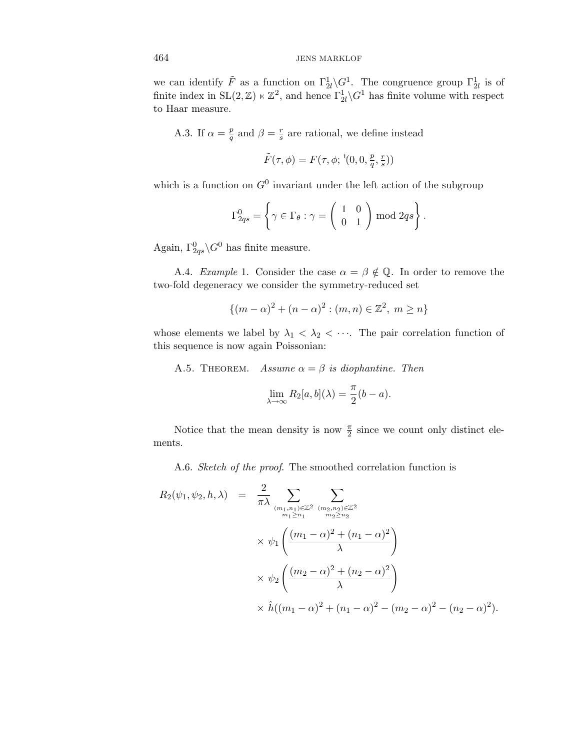we can identify  $\tilde{F}$  as a function on  $\Gamma^1_{2l} \backslash G^1$ . The congruence group  $\Gamma^1_{2l}$  is of finite index in  $SL(2, \mathbb{Z}) \ltimes \mathbb{Z}^2$ , and hence  $\Gamma^1_{2l} \backslash G^1$  has finite volume with respect to Haar measure.

A.3. If  $\alpha = \frac{p}{q}$  and  $\beta = \frac{r}{s}$  are rational, we define instead

$$
\tilde{F}(\tau,\phi) = F(\tau,\phi;\,{}^t\! (0,0,\tfrac{p}{q},\tfrac{r}{s}))
$$

which is a function on  $G^0$  invariant under the left action of the subgroup

$$
\Gamma_{2qs}^{0} = \left\{ \gamma \in \Gamma_{\theta} : \gamma = \left( \begin{array}{cc} 1 & 0 \\ 0 & 1 \end{array} \right) \bmod 2qs \right\}.
$$

Again,  $\Gamma^0_{2qs}\backslash G^0$  has finite measure.

A.4. Example 1. Consider the case  $\alpha = \beta \notin \mathbb{Q}$ . In order to remove the two-fold degeneracy we consider the symmetry-reduced set

$$
\{(m - \alpha)^2 + (n - \alpha)^2 : (m, n) \in \mathbb{Z}^2, m \ge n\}
$$

whose elements we label by  $\lambda_1 < \lambda_2 < \cdots$ . The pair correlation function of this sequence is now again Poissonian:

A.5. THEOREM. Assume  $\alpha = \beta$  is diophantine. Then

$$
\lim_{\lambda \to \infty} R_2[a, b](\lambda) = \frac{\pi}{2}(b - a).
$$

Notice that the mean density is now  $\frac{\pi}{2}$  since we count only distinct elements.

A.6. Sketch of the proof. The smoothed correlation function is

$$
R_2(\psi_1, \psi_2, h, \lambda) = \frac{2}{\pi \lambda} \sum_{\substack{(m_1, n_1) \in \mathbb{Z}^2 \ (m_2, n_2) \in \mathbb{Z}^2}} \sum_{\substack{m_1 \ge n_1 \\ m_1 \ge n_1}} \sum_{\substack{(m_2, n_2) \in \mathbb{Z}^2 \ n_2 \ge n_2}} \times \psi_1 \left( \frac{(m_1 - \alpha)^2 + (n_1 - \alpha)^2}{\lambda} \right) \times \psi_2 \left( \frac{(m_2 - \alpha)^2 + (n_2 - \alpha)^2}{\lambda} \right) \times \hat{h}((m_1 - \alpha)^2 + (n_1 - \alpha)^2 - (m_2 - \alpha)^2 - (n_2 - \alpha)^2).
$$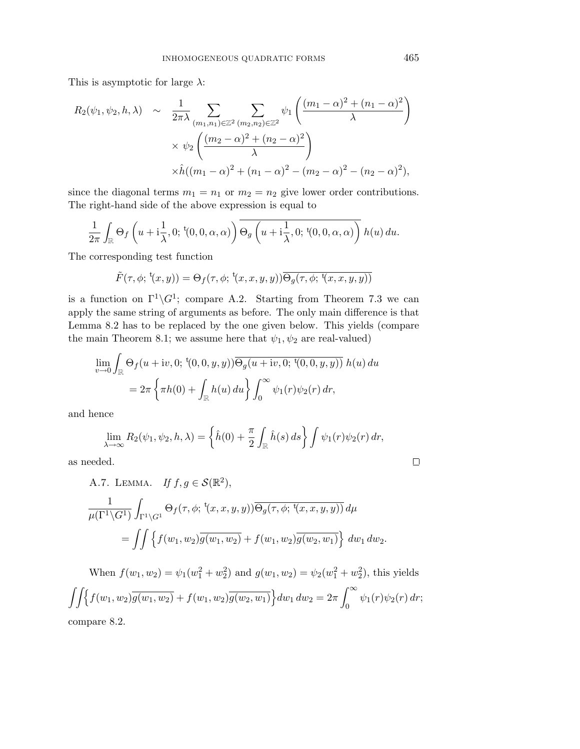This is asymptotic for large  $\lambda$ :

$$
R_2(\psi_1, \psi_2, h, \lambda) \sim \frac{1}{2\pi\lambda} \sum_{(m_1, n_1) \in \mathbb{Z}^2} \sum_{(m_2, n_2) \in \mathbb{Z}^2} \psi_1 \left( \frac{(m_1 - \alpha)^2 + (n_1 - \alpha)^2}{\lambda} \right)
$$

$$
\times \psi_2 \left( \frac{(m_2 - \alpha)^2 + (n_2 - \alpha)^2}{\lambda} \right)
$$

$$
\times \hat{h}((m_1 - \alpha)^2 + (n_1 - \alpha)^2 - (m_2 - \alpha)^2 - (n_2 - \alpha)^2),
$$

since the diagonal terms  $m_1 = n_1$  or  $m_2 = n_2$  give lower order contributions. The right-hand side of the above expression is equal to

$$
\frac{1}{2\pi} \int_{\mathbb{R}} \Theta_f\left(u + i\frac{1}{\lambda}, 0; {}^{t}(0,0,\alpha,\alpha)\right) \overline{\Theta_g\left(u + i\frac{1}{\lambda}, 0; {}^{t}(0,0,\alpha,\alpha)\right)} h(u) du.
$$

The corresponding test function

$$
\tilde{F}(\tau,\phi;\,^t(x,y)) = \Theta_f(\tau,\phi;\,^t(x,x,y,y))\overline{\Theta_g(\tau,\phi;\,^t(x,x,y,y))}
$$

is a function on  $\Gamma^1 \backslash G^1$ ; compare A.2. Starting from Theorem 7.3 we can apply the same string of arguments as before. The only main difference is that Lemma 8.2 has to be replaced by the one given below. This yields (compare the main Theorem 8.1; we assume here that  $\psi_1, \psi_2$  are real-valued)

$$
\lim_{v \to 0} \int_{\mathbb{R}} \Theta_f(u + iv, 0; t(0, 0, y, y)) \overline{\Theta_g(u + iv, 0; t(0, 0, y, y))} h(u) du
$$
  
=  $2\pi \left\{ \pi h(0) + \int_{\mathbb{R}} h(u) du \right\} \int_0^\infty \psi_1(r) \psi_2(r) dr,$ 

and hence

$$
\lim_{\lambda \to \infty} R_2(\psi_1, \psi_2, h, \lambda) = \left\{ \hat{h}(0) + \frac{\pi}{2} \int_{\mathbb{R}} \hat{h}(s) ds \right\} \int \psi_1(r) \psi_2(r) dr,
$$

as needed.

A.7. LEMMA. If 
$$
f, g \in \mathcal{S}(\mathbb{R}^2)
$$
,  
\n
$$
\frac{1}{\mu(\Gamma^1 \backslash G^1)} \int_{\Gamma^1 \backslash G^1} \Theta_f(\tau, \phi; {}^{\mathfrak{t}}(x, x, y, y)) \overline{\Theta_g(\tau, \phi; {}^{\mathfrak{t}}(x, x, y, y))} d\mu
$$
\n
$$
= \iint \left\{ f(w_1, w_2) \overline{g(w_1, w_2)} + f(w_1, w_2) \overline{g(w_2, w_1)} \right\} dw_1 dw_2.
$$

When  $f(w_1, w_2) = \psi_1(w_1^2 + w_2^2)$  and  $g(w_1, w_2) = \psi_2(w_1^2 + w_2^2)$ , this yields  $\int \int \int \{f(w_1, w_2) \overline{g(w_1, w_2)} + f(w_1, w_2) \overline{g(w_2, w_1)}\} dw_1 dw_2 = 2\pi \int_{-\infty}^{\infty}$  $\psi_1(r)\psi_2(r)\,dr;$ compare 8.2.

 $\Box$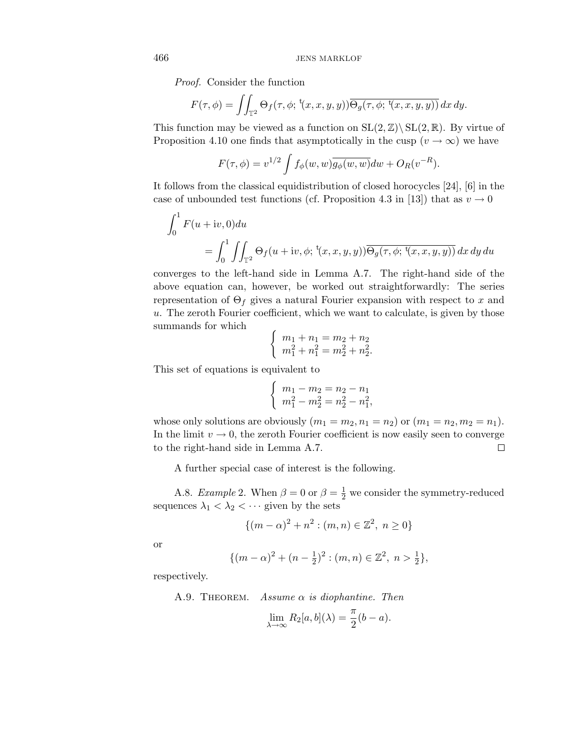Proof. Consider the function

$$
F(\tau,\phi) = \iint_{\mathbb{T}^2} \Theta_f(\tau,\phi; {}^{\mathfrak{t}}(x,x,y,y)) \overline{\Theta_g(\tau,\phi; {}^{\mathfrak{t}}(x,x,y,y))} dx dy.
$$

This function may be viewed as a function on  $SL(2,\mathbb{Z})\backslash SL(2,\mathbb{R})$ . By virtue of Proposition 4.10 one finds that asymptotically in the cusp  $(v \to \infty)$  we have

$$
F(\tau,\phi) = v^{1/2} \int f_{\phi}(w,w) \overline{g_{\phi}(w,w)} dw + O_R(v^{-R}).
$$

It follows from the classical equidistribution of closed horocycles [24], [6] in the case of unbounded test functions (cf. Proposition 4.3 in [13]) that as  $v \to 0$ 

$$
\int_0^1 F(u+iv,0) du
$$
  
= 
$$
\int_0^1 \iint_{\mathbb{T}^2} \Theta_f(u+iv,\phi;\,^t(x,x,y,y)) \overline{\Theta_g(\tau,\phi;\,^t(x,x,y,y))} dx dy du
$$

converges to the left-hand side in Lemma A.7. The right-hand side of the above equation can, however, be worked out straightforwardly: The series representation of  $\Theta_f$  gives a natural Fourier expansion with respect to x and u. The zeroth Fourier coefficient, which we want to calculate, is given by those summands for which

$$
\begin{cases}\nm_1 + n_1 = m_2 + n_2 \\
m_1^2 + n_1^2 = m_2^2 + n_2^2.\n\end{cases}
$$

This set of equations is equivalent to

$$
\begin{cases}\nm_1 - m_2 = n_2 - n_1 \\
m_1^2 - m_2^2 = n_2^2 - n_1^2,\n\end{cases}
$$

whose only solutions are obviously  $(m_1 = m_2, n_1 = n_2)$  or  $(m_1 = n_2, m_2 = n_1)$ . In the limit  $v \to 0$ , the zeroth Fourier coefficient is now easily seen to converge to the right-hand side in Lemma A.7.  $\Box$ 

A further special case of interest is the following.

A.8. Example 2. When  $\beta = 0$  or  $\beta = \frac{1}{2}$  we consider the symmetry-reduced sequences  $\lambda_1 < \lambda_2 < \cdots$  given by the sets

$$
\{(m - \alpha)^2 + n^2 : (m, n) \in \mathbb{Z}^2, n \ge 0\}
$$

or

$$
\{(m-\alpha)^2 + (n-\frac{1}{2})^2 : (m,n) \in \mathbb{Z}^2, n > \frac{1}{2}\},\
$$

respectively.

A.9. THEOREM. Assume  $\alpha$  is diophantine. Then

$$
\lim_{\lambda \to \infty} R_2[a, b](\lambda) = \frac{\pi}{2}(b - a).
$$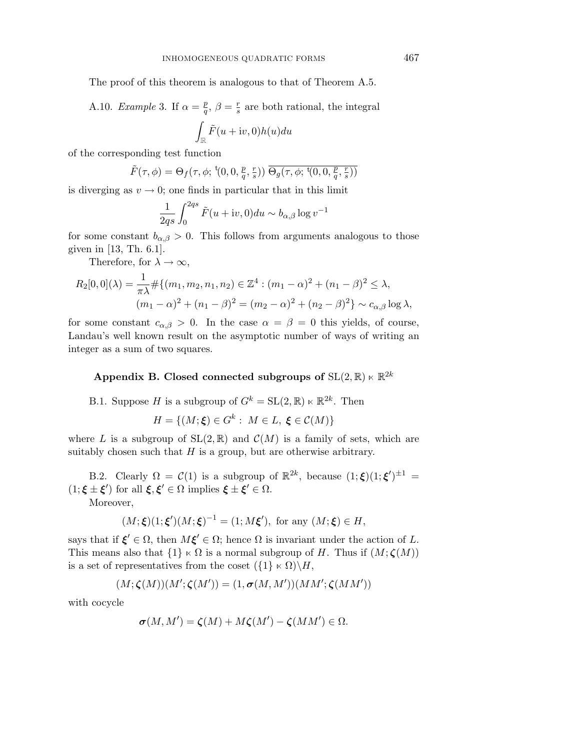The proof of this theorem is analogous to that of Theorem A.5.

A.10. Example 3. If  $\alpha = \frac{p}{q}$ ,  $\beta = \frac{r}{s}$  are both rational, the integral i.

$$
\int_{\mathbb{R}}\tilde{F}(u+{\rm i}v,0)h(u)du
$$

of the corresponding test function

$$
\tilde{F}(\tau,\phi) = \Theta_f(\tau,\phi; {}^{\mathsf{t}}(0,0,\tfrac{p}{q},\tfrac{r}{s})) \overline{\Theta_g(\tau,\phi; {}^{\mathsf{t}}(0,0,\tfrac{p}{q},\tfrac{r}{s}))}
$$

is diverging as  $v \to 0$ ; one finds in particular that in this limit

$$
\frac{1}{2qs} \int_0^{2qs} \tilde{F}(u+iv,0) du \sim b_{\alpha,\beta} \log v^{-1}
$$

for some constant  $b_{\alpha,\beta} > 0$ . This follows from arguments analogous to those given in [13, Th. 6.1].

Therefore, for  $\lambda \to \infty$ ,

$$
R_2[0,0](\lambda) = \frac{1}{\pi\lambda} \# \{ (m_1, m_2, n_1, n_2) \in \mathbb{Z}^4 : (m_1 - \alpha)^2 + (n_1 - \beta)^2 \le \lambda, (m_1 - \alpha)^2 + (n_1 - \beta)^2 = (m_2 - \alpha)^2 + (n_2 - \beta)^2 \} \sim c_{\alpha,\beta} \log \lambda,
$$

for some constant  $c_{\alpha,\beta} > 0$ . In the case  $\alpha = \beta = 0$  this yields, of course, Landau's well known result on the asymptotic number of ways of writing an integer as a sum of two squares.

## **Appendix B. Closed connected subgroups of**  $\text{SL}(2,\mathbb{R}) \ltimes \mathbb{R}^{2k}$

B.1. Suppose H is a subgroup of  $G^k = SL(2, \mathbb{R}) \ltimes \mathbb{R}^{2k}$ . Then

$$
H = \{ (M; \xi) \in G^k : M \in L, \xi \in C(M) \}
$$

where L is a subgroup of  $SL(2,\mathbb{R})$  and  $\mathcal{C}(M)$  is a family of sets, which are suitably chosen such that  $H$  is a group, but are otherwise arbitrary.

B.2. Clearly  $\Omega = \mathcal{C}(1)$  is a subgroup of  $\mathbb{R}^{2k}$ , because  $(1;\xi)(1;\xi')^{\pm 1} =$  $(1; \xi \pm \xi')$  for all  $\xi, \xi' \in \Omega$  implies  $\xi \pm \xi' \in \Omega$ .

Moreover,

$$
(M; \xi)(1; \xi')(M; \xi)^{-1} = (1; M\xi'),
$$
 for any  $(M; \xi) \in H$ ,

says that if  $\xi' \in \Omega$ , then  $M\xi' \in \Omega$ ; hence  $\Omega$  is invariant under the action of L. This means also that  $\{1\} \ltimes \Omega$  is a normal subgroup of H. Thus if  $(M; \zeta(M))$ is a set of representatives from the coset  $({1} \times \Omega) \backslash H$ ,

$$
(M;\boldsymbol{\zeta}(M))(M';\boldsymbol{\zeta}(M'))=(1,\boldsymbol{\sigma}(M,M'))(MM';\boldsymbol{\zeta}(MM'))
$$

with cocycle

$$
\sigma(M, M') = \zeta(M) + M\zeta(M') - \zeta(MM') \in \Omega.
$$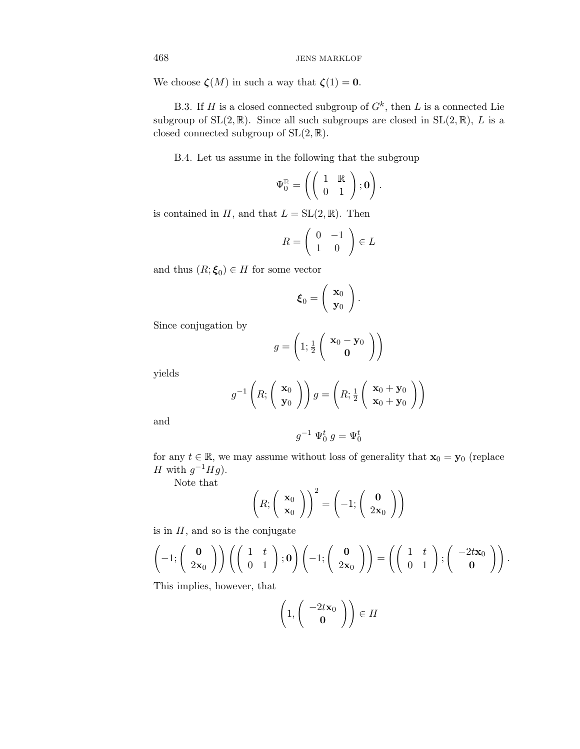We choose  $\zeta(M)$  in such a way that  $\zeta(1) = 0$ .

B.3. If H is a closed connected subgroup of  $G^k$ , then L is a connected Lie subgroup of  $SL(2, \mathbb{R})$ . Since all such subgroups are closed in  $SL(2, \mathbb{R})$ , L is a closed connected subgroup of  $SL(2, \mathbb{R})$ .

B.4. Let us assume in the following that the subgroup

$$
\Psi_0^{\mathbb{R}} = \left( \left( \begin{array}{cc} 1 & \mathbb{R} \\ 0 & 1 \end{array} \right); \mathbf{0} \right).
$$

is contained in H, and that  $L = SL(2, \mathbb{R})$ . Then

$$
R = \left(\begin{array}{cc} 0 & -1 \\ 1 & 0 \end{array}\right) \in L
$$

and thus  $(R; \xi_0) \in H$  for some vector

$$
\boldsymbol{\xi}_0 = \left(\begin{array}{c} \mathbf{x}_0 \\ \mathbf{y}_0 \end{array}\right).
$$

Since conjugation by

$$
g = \left(1; \frac{1}{2} \left( \begin{array}{c} \mathbf{x}_0 - \mathbf{y}_0 \\ \mathbf{0} \end{array} \right) \right)
$$

yields

$$
g^{-1}\left(R; \left(\begin{array}{c} \mathbf{x}_0 \\ \mathbf{y}_0 \end{array}\right)\right)g = \left(R; \frac{1}{2}\left(\begin{array}{c} \mathbf{x}_0 + \mathbf{y}_0 \\ \mathbf{x}_0 + \mathbf{y}_0 \end{array}\right)\right)
$$

and

$$
g^{-1} \Psi_0^t g = \Psi_0^t
$$

for any  $t \in \mathbb{R}$ , we may assume without loss of generality that  $\mathbf{x}_0 = \mathbf{y}_0$  (replace H with  $g^{-1}Hg$ ).

Note that

$$
\left(R; \left(\begin{array}{c} \mathbf{x}_0 \\ \mathbf{x}_0 \end{array}\right)\right)^2 = \left(-1; \left(\begin{array}{c} \mathbf{0} \\ 2\mathbf{x}_0 \end{array}\right)\right)
$$

is in  $H$ , and so is the conjugate

$$
\left(-1;\left(\begin{array}{c}\mathbf{0}\\2\mathbf{x}_0\end{array}\right)\right)\left(\left(\begin{array}{cc}1&t\\0&1\end{array}\right);\mathbf{0}\right)\left(-1;\left(\begin{array}{c}\mathbf{0}\\2\mathbf{x}_0\end{array}\right)\right)=\left(\left(\begin{array}{cc}1&t\\0&1\end{array}\right);\left(\begin{array}{c}-2t\mathbf{x}_0\\0\end{array}\right)\right).
$$

This implies, however, that

$$
\left(1, \left(\begin{array}{c} -2t\mathbf{x}_0 \\ \mathbf{0} \end{array}\right)\right) \in H
$$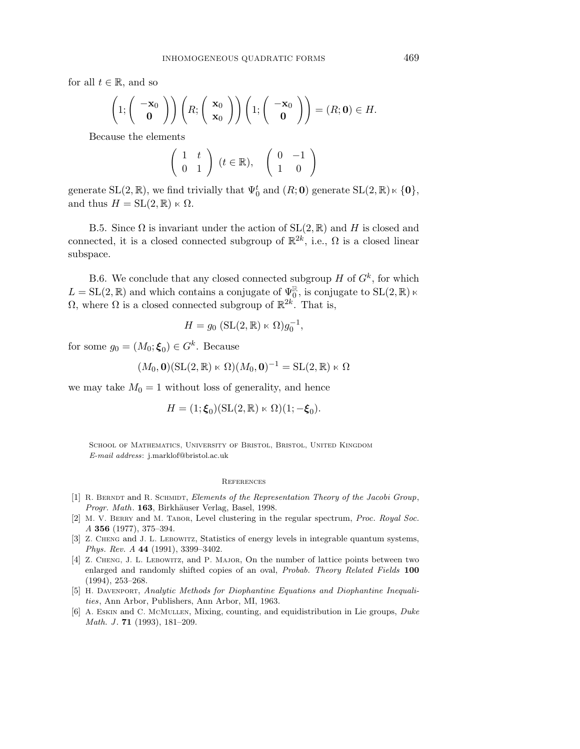for all  $t \in \mathbb{R}$ , and so

$$
\left(1; \begin{pmatrix} -\mathbf{x}_0 \\ \mathbf{0} \end{pmatrix}\right) \left(R; \begin{pmatrix} \mathbf{x}_0 \\ \mathbf{x}_0 \end{pmatrix}\right) \left(1; \begin{pmatrix} -\mathbf{x}_0 \\ \mathbf{0} \end{pmatrix}\right) = (R; \mathbf{0}) \in H.
$$

Because the elements

$$
\left(\begin{array}{cc} 1 & t \\ 0 & 1 \end{array}\right) (t \in \mathbb{R}), \quad \left(\begin{array}{cc} 0 & -1 \\ 1 & 0 \end{array}\right)
$$

generate  $SL(2, \mathbb{R})$ , we find trivially that  $\Psi_0^t$  and  $(R; 0)$  generate  $SL(2, \mathbb{R}) \ltimes \{0\}$ , and thus  $H = SL(2, \mathbb{R}) \ltimes \Omega$ .

B.5. Since  $\Omega$  is invariant under the action of  $SL(2,\mathbb{R})$  and H is closed and connected, it is a closed connected subgroup of  $\mathbb{R}^{2k}$ , i.e.,  $\Omega$  is a closed linear subspace.

B.6. We conclude that any closed connected subgroup  $H$  of  $G<sup>k</sup>$ , for which  $L = SL(2, \mathbb{R})$  and which contains a conjugate of  $\Psi_0^{\mathbb{R}}$ , is conjugate to  $SL(2, \mathbb{R})$   $\ltimes$  $Ω$ , where  $Ω$  is a closed connected subgroup of  $\mathbb{R}^{2k}$ . That is,

$$
H = g_0 \left( \mathrm{SL}(2, \mathbb{R}) \ltimes \Omega \right) g_0^{-1},
$$

for some  $g_0 = (M_0; \boldsymbol{\xi}_0) \in G^k$ . Because

$$
(M_0, \mathbf{0})(\mathrm{SL}(2,\mathbb{R}) \ltimes \Omega)(M_0, \mathbf{0})^{-1} = \mathrm{SL}(2,\mathbb{R}) \ltimes \Omega
$$

we may take  $M_0 = 1$  without loss of generality, and hence

$$
H = (1; \xi_0)(\mathrm{SL}(2, \mathbb{R}) \ltimes \Omega)(1; -\xi_0).
$$

SCHOOL OF MATHEMATICS, UNIVERSITY OF BRISTOL, BRISTOL, UNITED KINGDOM E-mail address: j.marklof@bristol.ac.uk

#### **REFERENCES**

- [1] R. Berndt and R. Schmidt, *Elements of the Representation Theory of the Jacobi Group*, Progr. Math. **163**, Birkhäuser Verlag, Basel, 1998.
- [2] M. V. Berry and M. Tabor, Level clustering in the regular spectrum, *Proc. Royal Soc. A* **356** (1977), 375–394.
- [3] Z. Cheng and J. L. Lebowitz, Statistics of energy levels in integrable quantum systems, *Phys. Rev. A* **44** (1991), 3399–3402.
- [4] Z. Cheng, J. L. Lebowitz, and P. Major, On the number of lattice points between two enlarged and randomly shifted copies of an oval, *Probab. Theory Related Fields* **100** (1994), 253–268.
- [5] H. Davenport, *Analytic Methods for Diophantine Equations and Diophantine Inequalities*, Ann Arbor, Publishers, Ann Arbor, MI, 1963.
- [6] A. Eskin and C. McMullen, Mixing, counting, and equidistribution in Lie groups, *Duke Math. J* . **71** (1993), 181–209.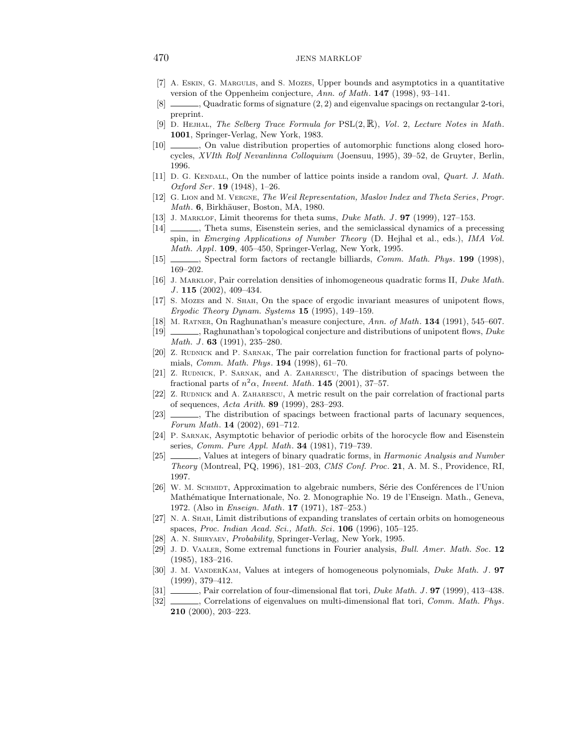- [7] A. Eskin, G. Margulis, and S. Mozes, Upper bounds and asymptotics in a quantitative version of the Oppenheim conjecture, *Ann. of Math*. **147** (1998), 93–141.
- $[8]$  , Quadratic forms of signature  $(2, 2)$  and eigenvalue spacings on rectangular 2-tori, preprint.
- [9] D. Hejhal, *The Selberg Trace Formula for* PSL(2,R), *Vol*. 2, *Lecture Notes in Math*. **1001**, Springer-Verlag, New York, 1983.
- [10] , On value distribution properties of automorphic functions along closed horocycles, *XVIth Rolf Nevanlinna Colloquium* (Joensuu, 1995), 39–52, de Gruyter, Berlin, 1996.
- [11] D. G. Kendall, On the number of lattice points inside a random oval, *Quart. J. Math. Oxford Ser*. **19** (1948), 1–26.
- [12] G. Lion and M. Vergne, *The Weil Representation, Maslov Index and Theta Series*, *Progr. Math.* **6**, Birkhäuser, Boston, MA, 1980.
- [13] J. MARKLOF, Limit theorems for theta sums, *Duke Math. J.* **97** (1999), 127–153.
- [14] , Theta sums, Eisenstein series, and the semiclassical dynamics of a precessing spin, in *Emerging Applications of Number Theory* (D. Hejhal et al., eds.), *IMA Vol. Math. Appl*. **109**, 405–450, Springer-Verlag, New York, 1995.
- [15] , Spectral form factors of rectangle billiards, *Comm. Math. Phys*. **199** (1998), 169–202.
- [16] J. Marklof, Pair correlation densities of inhomogeneous quadratic forms II, *Duke Math. J* . **115** (2002), 409–434.
- [17] S. Mozes and N. Shah, On the space of ergodic invariant measures of unipotent flows, *Ergodic Theory Dynam. Systems* **15** (1995), 149–159.
- [18] M. Ratner, On Raghunathan's measure conjecture, *Ann. of Math*. **134** (1991), 545–607.
- [19] , Raghunathan's topological conjecture and distributions of unipotent flows, *Duke Math. J* . **63** (1991), 235–280.
- [20] Z. RUDNICK and P. SARNAK, The pair correlation function for fractional parts of polynomials, *Comm. Math. Phys*. **194** (1998), 61–70.
- [21] Z. Rudnick, P. Sarnak, and A. Zaharescu, The distribution of spacings between the fractional parts of  $n^2\alpha$ , *Invent. Math.* **145** (2001), 37–57.
- [22] Z. RUDNICK and A. ZAHARESCU, A metric result on the pair correlation of fractional parts of sequences, *Acta Arith.* **89** (1999), 283–293.
- [23]  $\_\_\_\_\$  The distribution of spacings between fractional parts of lacunary sequences, *Forum Math*. **14** (2002), 691–712.
- [24] P. Sarnak, Asymptotic behavior of periodic orbits of the horocycle flow and Eisenstein series, *Comm. Pure Appl. Math*. **34** (1981), 719–739.
- [25] , Values at integers of binary quadratic forms, in *Harmonic Analysis and Number Theory* (Montreal, PQ, 1996), 181–203, *CMS Conf. Proc*. **21**, A. M. S., Providence, RI, 1997.
- [26] W. M. SCHMIDT, Approximation to algebraic numbers, Série des Conférences de l'Union Math´ematique Internationale, No. 2. Monographie No. 19 de l'Enseign. Math., Geneva, 1972. (Also in *Enseign. Math*. **17** (1971), 187–253.)
- [27] N. A. Shah, Limit distributions of expanding translates of certain orbits on homogeneous spaces, *Proc. Indian Acad. Sci., Math. Sci*. **106** (1996), 105–125.
- [28] A. N. Shiryaev, *Probability*, Springer-Verlag, New York, 1995.
- [29] J. D. Vaaler, Some extremal functions in Fourier analysis, *Bull. Amer. Math. Soc*. **12** (1985), 183–216.
- [30] J. M. VanderKam, Values at integers of homogeneous polynomials, *Duke Math. J* . **97** (1999), 379–412.
- [31] , Pair correlation of four-dimensional flat tori, *Duke Math. J* . **97** (1999), 413–438.
- [32] , Correlations of eigenvalues on multi-dimensional flat tori, *Comm. Math. Phys.* **210** (2000), 203–223.